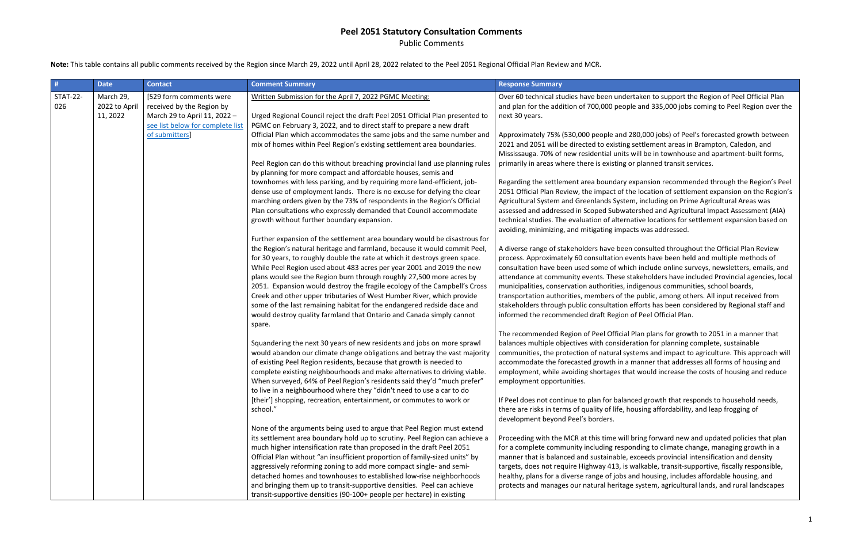Public Comments

**Note:** This table contains all public comments received by the Region since March 29, 2022 until April 28, 2022 related to the Peel 2051 Regional Official Plan Review and MCR.

| #                      | <b>Date</b>                            | <b>Contact</b>                                                                                                           | <b>Comment Summary</b>                                                                                                                                                                                                              | <b>Response Summary</b>                                                                                                                 |  |                                                                                                                                                                                                                                                                                               |                                                                                                                                           |
|------------------------|----------------------------------------|--------------------------------------------------------------------------------------------------------------------------|-------------------------------------------------------------------------------------------------------------------------------------------------------------------------------------------------------------------------------------|-----------------------------------------------------------------------------------------------------------------------------------------|--|-----------------------------------------------------------------------------------------------------------------------------------------------------------------------------------------------------------------------------------------------------------------------------------------------|-------------------------------------------------------------------------------------------------------------------------------------------|
| <b>STAT-22-</b><br>026 | March 29,<br>2022 to April<br>11, 2022 | [529 form comments were<br>received by the Region by<br>March 29 to April 11, 2022 -<br>see list below for complete list | Written Submission for the April 7, 2022 PGMC Meeting:<br>Urged Regional Council reject the draft Peel 2051 Official Plan presented to<br>PGMC on February 3, 2022, and to direct staff to prepare a new draft                      | Over 60 technical studies have been under<br>and plan for the addition of 700,000 people<br>next 30 years.                              |  |                                                                                                                                                                                                                                                                                               |                                                                                                                                           |
|                        |                                        | of submitters]                                                                                                           | Official Plan which accommodates the same jobs and the same number and<br>mix of homes within Peel Region's existing settlement area boundaries.                                                                                    | Approximately 75% (530,000 people and 28<br>2021 and 2051 will be directed to existing s<br>Mississauga. 70% of new residential units w |  |                                                                                                                                                                                                                                                                                               |                                                                                                                                           |
|                        |                                        |                                                                                                                          | Peel Region can do this without breaching provincial land use planning rules<br>by planning for more compact and affordable houses, semis and                                                                                       | primarily in areas where there is existing or                                                                                           |  |                                                                                                                                                                                                                                                                                               |                                                                                                                                           |
|                        |                                        |                                                                                                                          | townhomes with less parking, and by requiring more land-efficient, job-<br>dense use of employment lands. There is no excuse for defying the clear                                                                                  | Regarding the settlement area boundary ex<br>2051 Official Plan Review, the impact of the                                               |  |                                                                                                                                                                                                                                                                                               |                                                                                                                                           |
|                        |                                        |                                                                                                                          | marching orders given by the 73% of respondents in the Region's Official<br>Plan consultations who expressly demanded that Council accommodate<br>growth without further boundary expansion.                                        | Agricultural System and Greenlands System<br>assessed and addressed in Scoped Subwate<br>technical studies. The evaluation of alterna   |  |                                                                                                                                                                                                                                                                                               |                                                                                                                                           |
|                        |                                        |                                                                                                                          | Further expansion of the settlement area boundary would be disastrous for<br>the Region's natural heritage and farmland, because it would commit Peel,                                                                              | avoiding, minimizing, and mitigating impact<br>A diverse range of stakeholders have been                                                |  |                                                                                                                                                                                                                                                                                               |                                                                                                                                           |
|                        |                                        |                                                                                                                          | for 30 years, to roughly double the rate at which it destroys green space.<br>While Peel Region used about 483 acres per year 2001 and 2019 the new                                                                                 | process. Approximately 60 consultation eve<br>consultation have been used some of whicl                                                 |  |                                                                                                                                                                                                                                                                                               |                                                                                                                                           |
|                        |                                        |                                                                                                                          | plans would see the Region burn through roughly 27,500 more acres by<br>2051. Expansion would destroy the fragile ecology of the Campbell's Cross<br>Creek and other upper tributaries of West Humber River, which provide          | attendance at community events. These sta<br>municipalities, conservation authorities, in<br>transportation authorities, members of the |  |                                                                                                                                                                                                                                                                                               |                                                                                                                                           |
|                        |                                        |                                                                                                                          | some of the last remaining habitat for the endangered redside dace and<br>would destroy quality farmland that Ontario and Canada simply cannot<br>spare.                                                                            | stakeholders through public consultation et<br>informed the recommended draft Region o                                                  |  |                                                                                                                                                                                                                                                                                               |                                                                                                                                           |
|                        |                                        |                                                                                                                          |                                                                                                                                                                                                                                     | The recommended Region of Peel Official P                                                                                               |  |                                                                                                                                                                                                                                                                                               |                                                                                                                                           |
|                        |                                        |                                                                                                                          | Squandering the next 30 years of new residents and jobs on more sprawl<br>would abandon our climate change obligations and betray the vast majority                                                                                 | balances multiple objectives with considera<br>communities, the protection of natural syst                                              |  |                                                                                                                                                                                                                                                                                               |                                                                                                                                           |
|                        |                                        |                                                                                                                          |                                                                                                                                                                                                                                     |                                                                                                                                         |  | of existing Peel Region residents, because that growth is needed to<br>complete existing neighbourhoods and make alternatives to driving viable.<br>When surveyed, 64% of Peel Region's residents said they'd "much prefer"                                                                   | accommodate the forecasted growth in a n<br>employment, while avoiding shortages that<br>employment opportunities.                        |
|                        |                                        |                                                                                                                          | to live in a neighbourhood where they "didn't need to use a car to do<br>[their'] shopping, recreation, entertainment, or commutes to work or<br>school."                                                                           | If Peel does not continue to plan for balanc<br>there are risks in terms of quality of life, ho<br>development beyond Peel's borders.   |  |                                                                                                                                                                                                                                                                                               |                                                                                                                                           |
|                        |                                        | None of the arguments being used to argue that Peel Region must extend                                                   |                                                                                                                                                                                                                                     |                                                                                                                                         |  |                                                                                                                                                                                                                                                                                               |                                                                                                                                           |
|                        |                                        |                                                                                                                          | its settlement area boundary hold up to scrutiny. Peel Region can achieve a<br>much higher intensification rate than proposed in the draft Peel 2051<br>Official Plan without "an insufficient proportion of family-sized units" by | Proceeding with the MCR at this time will b<br>for a complete community including respor<br>manner that is balanced and sustainable, e. |  |                                                                                                                                                                                                                                                                                               |                                                                                                                                           |
|                        |                                        |                                                                                                                          |                                                                                                                                                                                                                                     |                                                                                                                                         |  | aggressively reforming zoning to add more compact single- and semi-<br>detached homes and townhouses to established low-rise neighborhoods<br>and bringing them up to transit-supportive densities. Peel can achieve<br>transit-supportive densities (90-100+ people per hectare) in existing | targets, does not require Highway 413, is w<br>healthy, plans for a diverse range of jobs ar<br>protects and manages our natural heritage |

taken to support the Region of Peel Official Plan e and 335,000 jobs coming to Peel Region over the

80,000 jobs) of Peel's forecasted growth between settlement areas in Brampton, Caledon, and will be in townhouse and apartment-built forms, planned transit services.

kpansion recommended through the Region's Peel e location of settlement expansion on the Region's n, including on Prime Agricultural Areas was ershed and Agricultural Impact Assessment (AIA) ative locations for settlement expansion based on ts was addressed.

consulted throughout the Official Plan Review ents have been held and multiple methods of ch include online surveys, newsletters, emails, and akeholders have included Provincial agencies, local digenous communities, school boards, public, among others. All input received from fforts has been considered by Regional staff and of Peel Official Plan.

Plan plans for growth to 2051 in a manner that ation for planning complete, sustainable tems and impact to agriculture. This approach will manner that addresses all forms of housing and  $m$  would increase the costs of housing and reduce

If Peel growth that responds to household needs, busing affordability, and leap frogging of

pring forward new and updated policies that plan nding to climate change, managing growth in a manner that is accede and sustainable. Acceeds provincial intensification and density ralkable, transit-supportive, fiscally responsible, nd housing, includes affordable housing, and system, agricultural lands, and rural landscapes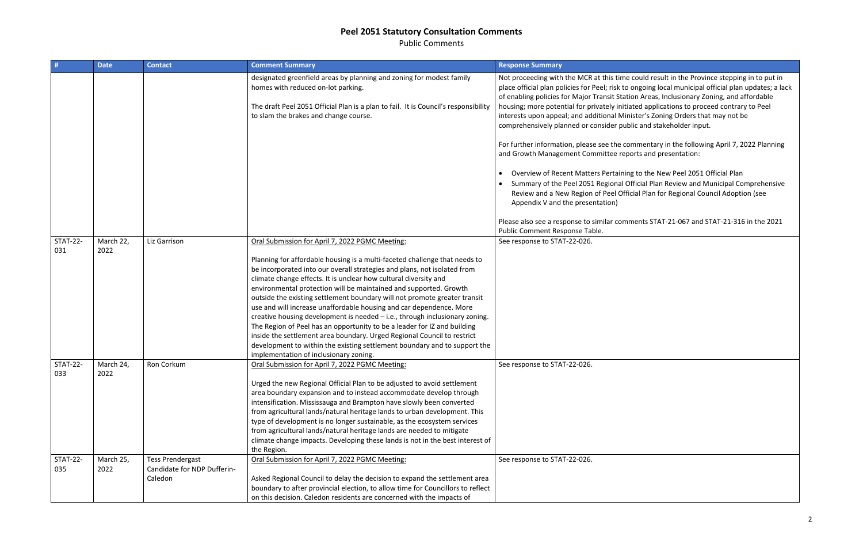Public Comments

| #                      | <b>Date</b>       | <b>Contact</b>                                                    | <b>Comment Summary</b>                                                                                                                                                                                                                                                                                                                                                                                                                                                                                                                                                                                                                                                                                                                                                                                           | <b>Response Summary</b>                                                                                                                                                                                                                                                                                                                                                                                                                                                                                                                             |
|------------------------|-------------------|-------------------------------------------------------------------|------------------------------------------------------------------------------------------------------------------------------------------------------------------------------------------------------------------------------------------------------------------------------------------------------------------------------------------------------------------------------------------------------------------------------------------------------------------------------------------------------------------------------------------------------------------------------------------------------------------------------------------------------------------------------------------------------------------------------------------------------------------------------------------------------------------|-----------------------------------------------------------------------------------------------------------------------------------------------------------------------------------------------------------------------------------------------------------------------------------------------------------------------------------------------------------------------------------------------------------------------------------------------------------------------------------------------------------------------------------------------------|
|                        |                   |                                                                   | designated greenfield areas by planning and zoning for modest family<br>homes with reduced on-lot parking.<br>The draft Peel 2051 Official Plan is a plan to fail. It is Council's responsibility<br>to slam the brakes and change course.                                                                                                                                                                                                                                                                                                                                                                                                                                                                                                                                                                       | Not proceeding with the MCR at this time could result in the Province stepping in to put in<br>place official plan policies for Peel; risk to ongoing local municipal official plan updates; a lack<br>of enabling policies for Major Transit Station Areas, Inclusionary Zoning, and affordable<br>housing; more potential for privately initiated applications to proceed contrary to Peel<br>interests upon appeal; and additional Minister's Zoning Orders that may not be<br>comprehensively planned or consider public and stakeholder input. |
|                        |                   |                                                                   |                                                                                                                                                                                                                                                                                                                                                                                                                                                                                                                                                                                                                                                                                                                                                                                                                  | For further information, please see the commentary in the following April 7, 2022 Planning<br>and Growth Management Committee reports and presentation:                                                                                                                                                                                                                                                                                                                                                                                             |
|                        |                   |                                                                   |                                                                                                                                                                                                                                                                                                                                                                                                                                                                                                                                                                                                                                                                                                                                                                                                                  | Overview of Recent Matters Pertaining to the New Peel 2051 Official Plan<br>Summary of the Peel 2051 Regional Official Plan Review and Municipal Comprehensive<br>Review and a New Region of Peel Official Plan for Regional Council Adoption (see<br>Appendix V and the presentation)                                                                                                                                                                                                                                                              |
|                        |                   |                                                                   |                                                                                                                                                                                                                                                                                                                                                                                                                                                                                                                                                                                                                                                                                                                                                                                                                  | Please also see a response to similar comments STAT-21-067 and STAT-21-316 in the 2021<br>Public Comment Response Table.                                                                                                                                                                                                                                                                                                                                                                                                                            |
| STAT-22-<br>031        | March 22,<br>2022 | Liz Garrison                                                      | Oral Submission for April 7, 2022 PGMC Meeting:                                                                                                                                                                                                                                                                                                                                                                                                                                                                                                                                                                                                                                                                                                                                                                  | See response to STAT-22-026.                                                                                                                                                                                                                                                                                                                                                                                                                                                                                                                        |
|                        |                   |                                                                   | Planning for affordable housing is a multi-faceted challenge that needs to<br>be incorporated into our overall strategies and plans, not isolated from<br>climate change effects. It is unclear how cultural diversity and<br>environmental protection will be maintained and supported. Growth<br>outside the existing settlement boundary will not promote greater transit<br>use and will increase unaffordable housing and car dependence. More<br>creative housing development is needed - i.e., through inclusionary zoning.<br>The Region of Peel has an opportunity to be a leader for IZ and building<br>inside the settlement area boundary. Urged Regional Council to restrict<br>development to within the existing settlement boundary and to support the<br>implementation of inclusionary zoning. |                                                                                                                                                                                                                                                                                                                                                                                                                                                                                                                                                     |
| <b>STAT-22-</b><br>033 | March 24,<br>2022 | Ron Corkum                                                        | Oral Submission for April 7, 2022 PGMC Meeting:<br>Urged the new Regional Official Plan to be adjusted to avoid settlement                                                                                                                                                                                                                                                                                                                                                                                                                                                                                                                                                                                                                                                                                       | See response to STAT-22-026.                                                                                                                                                                                                                                                                                                                                                                                                                                                                                                                        |
|                        |                   |                                                                   | area boundary expansion and to instead accommodate develop through<br>intensification. Mississauga and Brampton have slowly been converted<br>from agricultural lands/natural heritage lands to urban development. This<br>type of development is no longer sustainable, as the ecosystem services<br>from agricultural lands/natural heritage lands are needed to mitigate<br>climate change impacts. Developing these lands is not in the best interest of<br>the Region.                                                                                                                                                                                                                                                                                                                                      |                                                                                                                                                                                                                                                                                                                                                                                                                                                                                                                                                     |
| <b>STAT-22-</b><br>035 | March 25,<br>2022 | <b>Tess Prendergast</b><br>Candidate for NDP Dufferin-<br>Caledon | Oral Submission for April 7, 2022 PGMC Meeting:<br>Asked Regional Council to delay the decision to expand the settlement area<br>boundary to after provincial election, to allow time for Councillors to reflect                                                                                                                                                                                                                                                                                                                                                                                                                                                                                                                                                                                                 | See response to STAT-22-026.                                                                                                                                                                                                                                                                                                                                                                                                                                                                                                                        |
|                        |                   |                                                                   | on this decision. Caledon residents are concerned with the impacts of                                                                                                                                                                                                                                                                                                                                                                                                                                                                                                                                                                                                                                                                                                                                            |                                                                                                                                                                                                                                                                                                                                                                                                                                                                                                                                                     |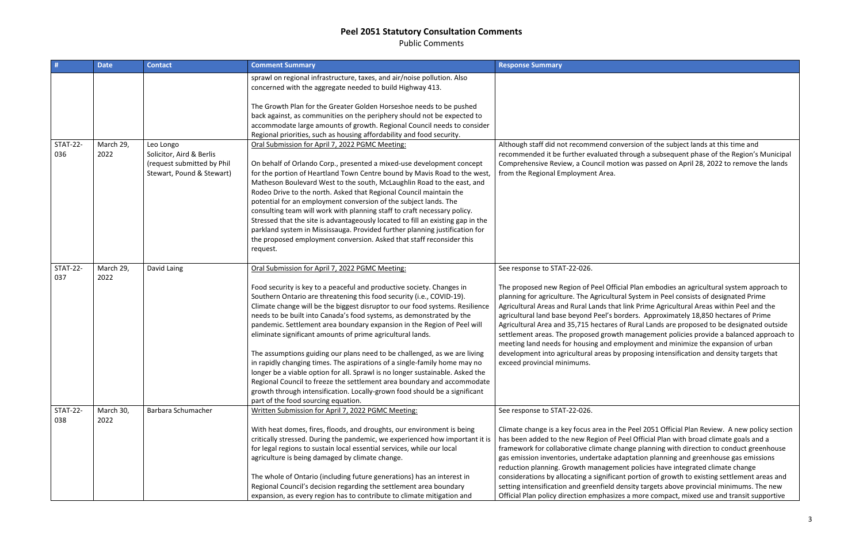Public Comments

| #                      | <b>Date</b>       | <b>Contact</b>                                          | <b>Comment Summary</b>                                                                                                                                                                                                                                                                                                                                                                                                                                                                                                                                                                                                                                                                                                                                                                                                                                                                                                                        | <b>Response Summary</b>                                                                                                                                                                                                                                                                                                                                                                                                                        |
|------------------------|-------------------|---------------------------------------------------------|-----------------------------------------------------------------------------------------------------------------------------------------------------------------------------------------------------------------------------------------------------------------------------------------------------------------------------------------------------------------------------------------------------------------------------------------------------------------------------------------------------------------------------------------------------------------------------------------------------------------------------------------------------------------------------------------------------------------------------------------------------------------------------------------------------------------------------------------------------------------------------------------------------------------------------------------------|------------------------------------------------------------------------------------------------------------------------------------------------------------------------------------------------------------------------------------------------------------------------------------------------------------------------------------------------------------------------------------------------------------------------------------------------|
|                        |                   |                                                         | sprawl on regional infrastructure, taxes, and air/noise pollution. Also<br>concerned with the aggregate needed to build Highway 413.                                                                                                                                                                                                                                                                                                                                                                                                                                                                                                                                                                                                                                                                                                                                                                                                          |                                                                                                                                                                                                                                                                                                                                                                                                                                                |
|                        |                   |                                                         | The Growth Plan for the Greater Golden Horseshoe needs to be pushed<br>back against, as communities on the periphery should not be expected to                                                                                                                                                                                                                                                                                                                                                                                                                                                                                                                                                                                                                                                                                                                                                                                                |                                                                                                                                                                                                                                                                                                                                                                                                                                                |
|                        |                   |                                                         | accommodate large amounts of growth. Regional Council needs to consider<br>Regional priorities, such as housing affordability and food security.                                                                                                                                                                                                                                                                                                                                                                                                                                                                                                                                                                                                                                                                                                                                                                                              |                                                                                                                                                                                                                                                                                                                                                                                                                                                |
| <b>STAT-22-</b><br>036 | March 29,<br>2022 | Leo Longo<br>Solicitor, Aird & Berlis                   | Oral Submission for April 7, 2022 PGMC Meeting:                                                                                                                                                                                                                                                                                                                                                                                                                                                                                                                                                                                                                                                                                                                                                                                                                                                                                               | Although staff did not recommend convers<br>recommended it be further evaluated thro                                                                                                                                                                                                                                                                                                                                                           |
|                        |                   | (request submitted by Phil<br>Stewart, Pound & Stewart) | On behalf of Orlando Corp., presented a mixed-use development concept<br>for the portion of Heartland Town Centre bound by Mavis Road to the west,<br>Matheson Boulevard West to the south, McLaughlin Road to the east, and<br>Rodeo Drive to the north. Asked that Regional Council maintain the<br>potential for an employment conversion of the subject lands. The<br>consulting team will work with planning staff to craft necessary policy.<br>Stressed that the site is advantageously located to fill an existing gap in the<br>parkland system in Mississauga. Provided further planning justification for<br>the proposed employment conversion. Asked that staff reconsider this<br>request.                                                                                                                                                                                                                                      | Comprehensive Review, a Council motion v<br>from the Regional Employment Area.                                                                                                                                                                                                                                                                                                                                                                 |
|                        |                   |                                                         |                                                                                                                                                                                                                                                                                                                                                                                                                                                                                                                                                                                                                                                                                                                                                                                                                                                                                                                                               |                                                                                                                                                                                                                                                                                                                                                                                                                                                |
| <b>STAT-22-</b><br>037 | March 29,<br>2022 | David Laing                                             | Oral Submission for April 7, 2022 PGMC Meeting:<br>Food security is key to a peaceful and productive society. Changes in<br>Southern Ontario are threatening this food security (i.e., COVID-19).<br>Climate change will be the biggest disruptor to our food systems. Resilience<br>needs to be built into Canada's food systems, as demonstrated by the<br>pandemic. Settlement area boundary expansion in the Region of Peel will<br>eliminate significant amounts of prime agricultural lands.<br>The assumptions guiding our plans need to be challenged, as we are living<br>in rapidly changing times. The aspirations of a single-family home may no<br>longer be a viable option for all. Sprawl is no longer sustainable. Asked the<br>Regional Council to freeze the settlement area boundary and accommodate<br>growth through intensification. Locally-grown food should be a significant<br>part of the food sourcing equation. | See response to STAT-22-026.<br>The proposed new Region of Peel Official P<br>planning for agriculture. The Agricultural Sy<br>Agricultural Areas and Rural Lands that link<br>agricultural land base beyond Peel's border<br>Agricultural Area and 35,715 hectares of Ru<br>settlement areas. The proposed growth ma<br>meeting land needs for housing and emplo<br>development into agricultural areas by pro<br>exceed provincial minimums. |
| <b>STAT-22-</b><br>038 | March 30,<br>2022 | Barbara Schumacher                                      | Written Submission for April 7, 2022 PGMC Meeting:<br>With heat domes, fires, floods, and droughts, our environment is being<br>critically stressed. During the pandemic, we experienced how important it is<br>for legal regions to sustain local essential services, while our local<br>agriculture is being damaged by climate change.                                                                                                                                                                                                                                                                                                                                                                                                                                                                                                                                                                                                     | See response to STAT-22-026.<br>Climate change is a key focus area in the Pe<br>has been added to the new Region of Peel<br>framework for collaborative climate change<br>gas emission inventories, undertake adapta<br>reduction planning. Growth management p                                                                                                                                                                                |
|                        |                   |                                                         | The whole of Ontario (including future generations) has an interest in<br>Regional Council's decision regarding the settlement area boundary<br>expansion, as every region has to contribute to climate mitigation and                                                                                                                                                                                                                                                                                                                                                                                                                                                                                                                                                                                                                                                                                                                        | considerations by allocating a significant po<br>setting intensification and greenfield densit<br>Official Plan policy direction emphasizes a r                                                                                                                                                                                                                                                                                                |

sion of the subject lands at this time and rugh a subsequent phase of the Region's Municipal was passed on April 28, 2022 to remove the lands

Plan embodies an agricultural system approach to ystem in Peel consists of designated Prime Prime Agricultural Areas within Peel and the rs. Approximately 18,850 hectares of Prime ural Lands are proposed to be designated outside anagement policies provide a balanced approach to oyment and minimize the expansion of urban pposing intensification and density targets that

eel 2051 Official Plan Review. A new policy section Official Plan with broad climate goals and a framework for conduct greenhouse collainte conduct greenhouse ation planning and greenhouse gas emissions policies have integrated climate change ortion of growth to existing settlement areas and ity targets above provincial minimums. The new more compact, mixed use and transit supportive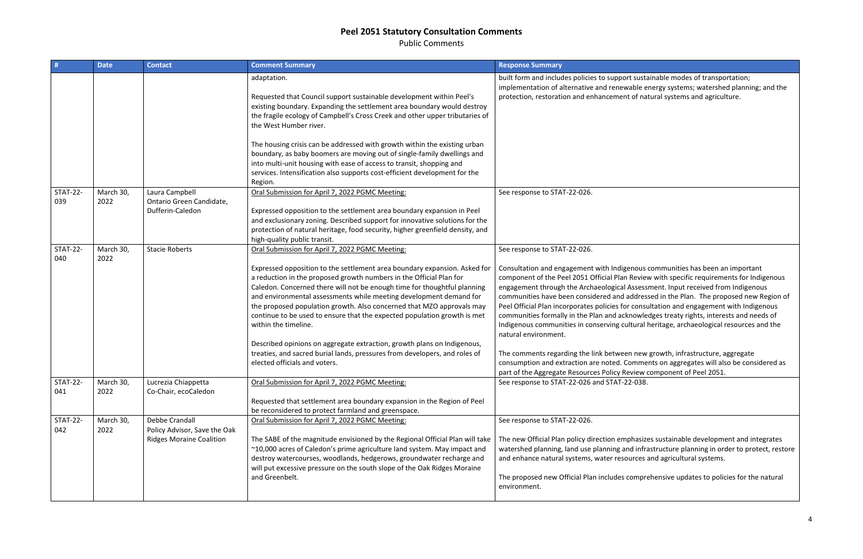Public Comments

|                        | <b>Date</b>       | <b>Contact</b>                                                                           | <b>Comment Summary</b>                                                                                                                                                                                                                                                                                                                                                                                                                                                                                                                                                                                                                                                                                                       | <b>Response Summary</b>                                                                                                                                                                                                                                                                                                                                                                                                                                                                                                                                      |
|------------------------|-------------------|------------------------------------------------------------------------------------------|------------------------------------------------------------------------------------------------------------------------------------------------------------------------------------------------------------------------------------------------------------------------------------------------------------------------------------------------------------------------------------------------------------------------------------------------------------------------------------------------------------------------------------------------------------------------------------------------------------------------------------------------------------------------------------------------------------------------------|--------------------------------------------------------------------------------------------------------------------------------------------------------------------------------------------------------------------------------------------------------------------------------------------------------------------------------------------------------------------------------------------------------------------------------------------------------------------------------------------------------------------------------------------------------------|
|                        |                   |                                                                                          | adaptation.<br>Requested that Council support sustainable development within Peel's<br>existing boundary. Expanding the settlement area boundary would destroy<br>the fragile ecology of Campbell's Cross Creek and other upper tributaries of<br>the West Humber river.<br>The housing crisis can be addressed with growth within the existing urban<br>boundary, as baby boomers are moving out of single-family dwellings and<br>into multi-unit housing with ease of access to transit, shopping and                                                                                                                                                                                                                     | built form and includes policies to support susta<br>implementation of alternative and renewable e<br>protection, restoration and enhancement of na                                                                                                                                                                                                                                                                                                                                                                                                          |
|                        |                   |                                                                                          | services. Intensification also supports cost-efficient development for the<br>Region.                                                                                                                                                                                                                                                                                                                                                                                                                                                                                                                                                                                                                                        |                                                                                                                                                                                                                                                                                                                                                                                                                                                                                                                                                              |
| <b>STAT-22-</b><br>039 | March 30,<br>2022 | Laura Campbell<br>Ontario Green Candidate,<br>Dufferin-Caledon                           | Oral Submission for April 7, 2022 PGMC Meeting:<br>Expressed opposition to the settlement area boundary expansion in Peel<br>and exclusionary zoning. Described support for innovative solutions for the<br>protection of natural heritage, food security, higher greenfield density, and<br>high-quality public transit.                                                                                                                                                                                                                                                                                                                                                                                                    | See response to STAT-22-026.                                                                                                                                                                                                                                                                                                                                                                                                                                                                                                                                 |
| <b>STAT-22-</b><br>040 | March 30,<br>2022 | <b>Stacie Roberts</b>                                                                    | Oral Submission for April 7, 2022 PGMC Meeting:<br>Expressed opposition to the settlement area boundary expansion. Asked for<br>a reduction in the proposed growth numbers in the Official Plan for<br>Caledon. Concerned there will not be enough time for thoughtful planning<br>and environmental assessments while meeting development demand for<br>the proposed population growth. Also concerned that MZO approvals may<br>continue to be used to ensure that the expected population growth is met<br>within the timeline.<br>Described opinions on aggregate extraction, growth plans on Indigenous,<br>treaties, and sacred burial lands, pressures from developers, and roles of<br>elected officials and voters. | See response to STAT-22-026.<br>Consultation and engagement with Indigenous<br>component of the Peel 2051 Official Plan Revier<br>engagement through the Archaeological Assess<br>communities have been considered and addres<br>Peel Official Plan incorporates policies for consu<br>communities formally in the Plan and acknowle<br>Indigenous communities in conserving cultural<br>natural environment.<br>The comments regarding the link between new<br>consumption and extraction are noted. Comme<br>part of the Aggregate Resources Policy Review |
| <b>STAT-22-</b><br>041 | March 30,<br>2022 | Lucrezia Chiappetta<br>Co-Chair, ecoCaledon                                              | Oral Submission for April 7, 2022 PGMC Meeting:<br>Requested that settlement area boundary expansion in the Region of Peel<br>be reconsidered to protect farmland and greenspace.                                                                                                                                                                                                                                                                                                                                                                                                                                                                                                                                            | See response to STAT-22-026 and STAT-22-038.                                                                                                                                                                                                                                                                                                                                                                                                                                                                                                                 |
| <b>STAT-22-</b><br>042 | March 30,<br>2022 | <b>Debbe Crandall</b><br>Policy Advisor, Save the Oak<br><b>Ridges Moraine Coalition</b> | Oral Submission for April 7, 2022 PGMC Meeting:<br>The SABE of the magnitude envisioned by the Regional Official Plan will take<br>~10,000 acres of Caledon's prime agriculture land system. May impact and<br>destroy watercourses, woodlands, hedgerows, groundwater recharge and<br>will put excessive pressure on the south slope of the Oak Ridges Moraine<br>and Greenbelt.                                                                                                                                                                                                                                                                                                                                            | See response to STAT-22-026.<br>The new Official Plan policy direction emphasize<br>watershed planning, land use planning and infra<br>and enhance natural systems, water resources<br>The proposed new Official Plan includes compre<br>environment.                                                                                                                                                                                                                                                                                                        |

t sustainable modes of transportation; ible energy systems; watershed planning; and the of natural systems and agriculture.

nous communities has been an important Review with specific requirements for Indigenous  $s$ ssessment. Input received from Indigenous ddressed in the Plan. The proposed new Region of consultation and engagement with Indigenous owledges treaty rights, interests and needs of tural heritage, archaeological resources and the

n new growth, infrastructure, aggregate omments on aggregates will also be considered as view component of Peel 2051.

hasizes sustainable development and integrates d infrastructure planning in order to protect, restore rces and agricultural systems.

omprehensive updates to policies for the natural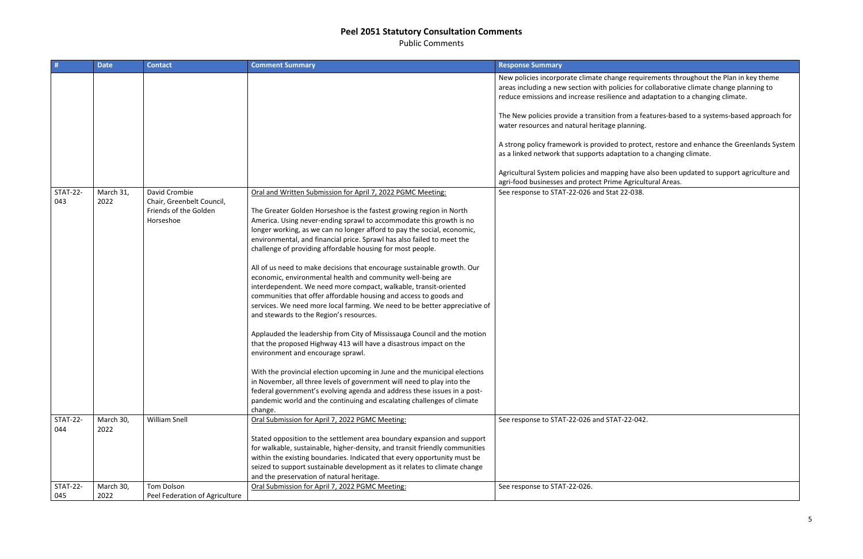Public Comments

| #                      | <b>Date</b>       | <b>Contact</b>                                                                   | <b>Comment Summary</b>                                                                                                                                                                                                                                                                                                                                                                                                                                                                                                                                                                                                                                                                                                                                                                                                                                                                                                                                                                                                                                                                                                                                                                                                                                                                                                                       | <b>Response Summary</b>                                                                                                                            |
|------------------------|-------------------|----------------------------------------------------------------------------------|----------------------------------------------------------------------------------------------------------------------------------------------------------------------------------------------------------------------------------------------------------------------------------------------------------------------------------------------------------------------------------------------------------------------------------------------------------------------------------------------------------------------------------------------------------------------------------------------------------------------------------------------------------------------------------------------------------------------------------------------------------------------------------------------------------------------------------------------------------------------------------------------------------------------------------------------------------------------------------------------------------------------------------------------------------------------------------------------------------------------------------------------------------------------------------------------------------------------------------------------------------------------------------------------------------------------------------------------|----------------------------------------------------------------------------------------------------------------------------------------------------|
|                        |                   |                                                                                  |                                                                                                                                                                                                                                                                                                                                                                                                                                                                                                                                                                                                                                                                                                                                                                                                                                                                                                                                                                                                                                                                                                                                                                                                                                                                                                                                              | New policies incorporate climate change requi<br>areas including a new section with policies for<br>reduce emissions and increase resilience and a |
|                        |                   |                                                                                  |                                                                                                                                                                                                                                                                                                                                                                                                                                                                                                                                                                                                                                                                                                                                                                                                                                                                                                                                                                                                                                                                                                                                                                                                                                                                                                                                              | The New policies provide a transition from a fe<br>water resources and natural heritage planning                                                   |
|                        |                   |                                                                                  |                                                                                                                                                                                                                                                                                                                                                                                                                                                                                                                                                                                                                                                                                                                                                                                                                                                                                                                                                                                                                                                                                                                                                                                                                                                                                                                                              | A strong policy framework is provided to prote<br>as a linked network that supports adaptation t                                                   |
|                        |                   |                                                                                  |                                                                                                                                                                                                                                                                                                                                                                                                                                                                                                                                                                                                                                                                                                                                                                                                                                                                                                                                                                                                                                                                                                                                                                                                                                                                                                                                              | Agricultural System policies and mapping have<br>agri-food businesses and protect Prime Agricu                                                     |
| <b>STAT-22-</b><br>043 | March 31,<br>2022 | David Crombie<br>Chair, Greenbelt Council,<br>Friends of the Golden<br>Horseshoe | Oral and Written Submission for April 7, 2022 PGMC Meeting:<br>The Greater Golden Horseshoe is the fastest growing region in North<br>America. Using never-ending sprawl to accommodate this growth is no<br>longer working, as we can no longer afford to pay the social, economic,<br>environmental, and financial price. Sprawl has also failed to meet the<br>challenge of providing affordable housing for most people.<br>All of us need to make decisions that encourage sustainable growth. Our<br>economic, environmental health and community well-being are<br>interdependent. We need more compact, walkable, transit-oriented<br>communities that offer affordable housing and access to goods and<br>services. We need more local farming. We need to be better appreciative of<br>and stewards to the Region's resources.<br>Applauded the leadership from City of Mississauga Council and the motion<br>that the proposed Highway 413 will have a disastrous impact on the<br>environment and encourage sprawl.<br>With the provincial election upcoming in June and the municipal elections<br>in November, all three levels of government will need to play into the<br>federal government's evolving agenda and address these issues in a post-<br>pandemic world and the continuing and escalating challenges of climate | See response to STAT-22-026 and Stat 22-038.                                                                                                       |
| <b>STAT-22-</b><br>044 | March 30,<br>2022 | <b>William Snell</b>                                                             | change.<br>Oral Submission for April 7, 2022 PGMC Meeting:                                                                                                                                                                                                                                                                                                                                                                                                                                                                                                                                                                                                                                                                                                                                                                                                                                                                                                                                                                                                                                                                                                                                                                                                                                                                                   | See response to STAT-22-026 and STAT-22-042                                                                                                        |
|                        |                   |                                                                                  | Stated opposition to the settlement area boundary expansion and support<br>for walkable, sustainable, higher-density, and transit friendly communities<br>within the existing boundaries. Indicated that every opportunity must be<br>seized to support sustainable development as it relates to climate change<br>and the preservation of natural heritage.                                                                                                                                                                                                                                                                                                                                                                                                                                                                                                                                                                                                                                                                                                                                                                                                                                                                                                                                                                                 |                                                                                                                                                    |
| <b>STAT-22-</b><br>045 | March 30,<br>2022 | <b>Tom Dolson</b><br>Peel Federation of Agriculture                              | Oral Submission for April 7, 2022 PGMC Meeting:                                                                                                                                                                                                                                                                                                                                                                                                                                                                                                                                                                                                                                                                                                                                                                                                                                                                                                                                                                                                                                                                                                                                                                                                                                                                                              | See response to STAT-22-026.                                                                                                                       |

equirements throughout the Plan in key theme s for collaborative climate change planning to and adaptation to a changing climate.

n a features-based to a systems-based approach for ning.

rotect, restore and enhance the Greenlands System ion to a changing climate.

have also been updated to support agriculture and aricultural Areas.<sup>1</sup><br>038.

 $.2 - 042.$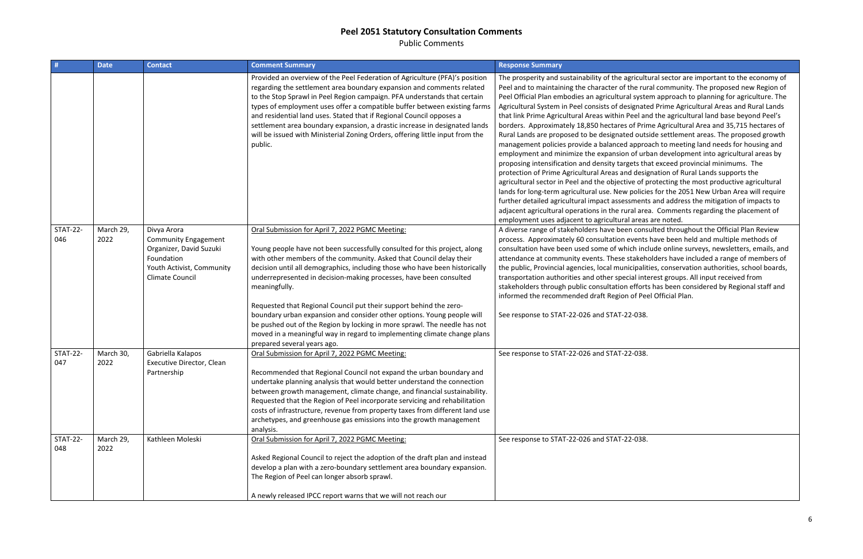Public Comments

| #                      | <b>Date</b>       | <b>Contact</b>                                                                                                                      | <b>Comment Summary</b>                                                                                                                                                                                                                                                                                                                                                                                                                                                                                                                                          | <b>Response Summary</b>                                                                                                                                                                                                                                                                                                                                                                                                                                                                                                                                                                                                                                                                                                                                                                                                                               |
|------------------------|-------------------|-------------------------------------------------------------------------------------------------------------------------------------|-----------------------------------------------------------------------------------------------------------------------------------------------------------------------------------------------------------------------------------------------------------------------------------------------------------------------------------------------------------------------------------------------------------------------------------------------------------------------------------------------------------------------------------------------------------------|-------------------------------------------------------------------------------------------------------------------------------------------------------------------------------------------------------------------------------------------------------------------------------------------------------------------------------------------------------------------------------------------------------------------------------------------------------------------------------------------------------------------------------------------------------------------------------------------------------------------------------------------------------------------------------------------------------------------------------------------------------------------------------------------------------------------------------------------------------|
|                        |                   |                                                                                                                                     | Provided an overview of the Peel Federation of Agriculture (PFA)'s position<br>regarding the settlement area boundary expansion and comments related<br>to the Stop Sprawl in Peel Region campaign. PFA understands that certain<br>types of employment uses offer a compatible buffer between existing farms<br>and residential land uses. Stated that if Regional Council opposes a<br>settlement area boundary expansion, a drastic increase in designated lands<br>will be issued with Ministerial Zoning Orders, offering little input from the<br>public. | The prosperity and sustainability of the agricult<br>Peel and to maintaining the character of the rui<br>Peel Official Plan embodies an agricultural syste<br>Agricultural System in Peel consists of designate<br>that link Prime Agricultural Areas within Peel ar<br>borders. Approximately 18,850 hectares of Prir<br>Rural Lands are proposed to be designated outs<br>management policies provide a balanced appro<br>employment and minimize the expansion of url<br>proposing intensification and density targets th<br>protection of Prime Agricultural Areas and desig<br>agricultural sector in Peel and the objective of p<br>lands for long-term agricultural use. New policie<br>further detailed agricultural impact assessment<br>adjacent agricultural operations in the rural are<br>employment uses adjacent to agricultural areas |
| <b>STAT-22-</b><br>046 | March 29,<br>2022 | Divya Arora<br><b>Community Engagement</b><br>Organizer, David Suzuki<br>Foundation<br>Youth Activist, Community<br>Climate Council | Oral Submission for April 7, 2022 PGMC Meeting:<br>Young people have not been successfully consulted for this project, along<br>with other members of the community. Asked that Council delay their<br>decision until all demographics, including those who have been historically<br>underrepresented in decision-making processes, have been consulted<br>meaningfully.                                                                                                                                                                                       | A diverse range of stakeholders have been cons<br>process. Approximately 60 consultation events<br>consultation have been used some of which inc<br>attendance at community events. These stakeh<br>the public, Provincial agencies, local municipalit<br>transportation authorities and other special inte<br>stakeholders through public consultation effort<br>informed the recommended draft Region of Pe                                                                                                                                                                                                                                                                                                                                                                                                                                         |
|                        |                   |                                                                                                                                     | Requested that Regional Council put their support behind the zero-<br>boundary urban expansion and consider other options. Young people will<br>be pushed out of the Region by locking in more sprawl. The needle has not<br>moved in a meaningful way in regard to implementing climate change plans<br>prepared several years ago.                                                                                                                                                                                                                            | See response to STAT-22-026 and STAT-22-038.                                                                                                                                                                                                                                                                                                                                                                                                                                                                                                                                                                                                                                                                                                                                                                                                          |
| <b>STAT-22-</b><br>047 | March 30,<br>2022 | Gabriella Kalapos<br>Executive Director, Clean<br>Partnership                                                                       | Oral Submission for April 7, 2022 PGMC Meeting:<br>Recommended that Regional Council not expand the urban boundary and<br>undertake planning analysis that would better understand the connection<br>between growth management, climate change, and financial sustainability.<br>Requested that the Region of Peel incorporate servicing and rehabilitation<br>costs of infrastructure, revenue from property taxes from different land use<br>archetypes, and greenhouse gas emissions into the growth management<br>analysis.                                 | See response to STAT-22-026 and STAT-22-038.                                                                                                                                                                                                                                                                                                                                                                                                                                                                                                                                                                                                                                                                                                                                                                                                          |
| <b>STAT-22-</b><br>048 | March 29,<br>2022 | Kathleen Moleski                                                                                                                    | Oral Submission for April 7, 2022 PGMC Meeting:<br>Asked Regional Council to reject the adoption of the draft plan and instead<br>develop a plan with a zero-boundary settlement area boundary expansion.<br>The Region of Peel can longer absorb sprawl.<br>A newly released IPCC report warns that we will not reach our                                                                                                                                                                                                                                      | See response to STAT-22-026 and STAT-22-038.                                                                                                                                                                                                                                                                                                                                                                                                                                                                                                                                                                                                                                                                                                                                                                                                          |
|                        |                   |                                                                                                                                     |                                                                                                                                                                                                                                                                                                                                                                                                                                                                                                                                                                 |                                                                                                                                                                                                                                                                                                                                                                                                                                                                                                                                                                                                                                                                                                                                                                                                                                                       |

icultural sector are important to the economy of e rural community. The proposed new Region of system approach to planning for agriculture. The gnated Prime Agricultural Areas and Rural Lands el and the agricultural land base beyond Peel's f Prime Agricultural Area and 35,715 hectares of outside settlement areas. The proposed growth pproach to meeting land needs for housing and of urban development into agricultural areas by ts that exceed provincial minimums. The designation of Rural Lands supports the of protecting the most productive agricultural olicies for the 2051 New Urban Area will require nents and address the mitigation of impacts to l area. Comments regarding the placement of reas are noted.

consulted throughout the Official Plan Review ents have been held and multiple methods of n include online surveys, newsletters, emails, and akeholders have included a range of members of palities, conservation authorities, school boards, I interest groups. All input received from fforts has been considered by Regional staff and if Peel Official Plan.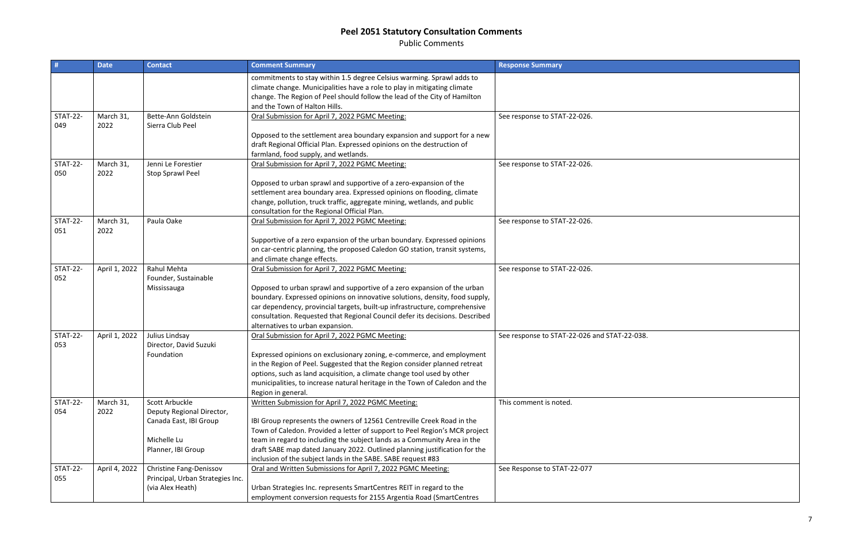Public Comments

| commitments to stay within 1.5 degree Celsius warming. Sprawl adds to<br>climate change. Municipalities have a role to play in mitigating climate<br>change. The Region of Peel should follow the lead of the City of Hamilton<br>and the Town of Halton Hills.<br><b>STAT-22-</b><br>March 31,<br>Bette-Ann Goldstein<br>Oral Submission for April 7, 2022 PGMC Meeting:<br>See response to STAT-22-026.<br>049<br>2022<br>Sierra Club Peel<br>Opposed to the settlement area boundary expansion and support for a new<br>draft Regional Official Plan. Expressed opinions on the destruction of<br>farmland, food supply, and wetlands.<br><b>STAT-22-</b><br>March 31,<br>Oral Submission for April 7, 2022 PGMC Meeting:<br>Jenni Le Forestier<br>See response to STAT-22-026.<br>050<br>2022<br>Stop Sprawl Peel<br>Opposed to urban sprawl and supportive of a zero-expansion of the<br>settlement area boundary area. Expressed opinions on flooding, climate<br>change, pollution, truck traffic, aggregate mining, wetlands, and public<br>consultation for the Regional Official Plan.<br><b>STAT-22-</b><br>March 31,<br>Paula Oake<br>Oral Submission for April 7, 2022 PGMC Meeting:<br>See response to STAT-22-026.<br>2022<br>051<br>Supportive of a zero expansion of the urban boundary. Expressed opinions<br>on car-centric planning, the proposed Caledon GO station, transit systems,<br>and climate change effects.<br><b>STAT-22-</b><br>Rahul Mehta<br>April 1, 2022<br>Oral Submission for April 7, 2022 PGMC Meeting:<br>See response to STAT-22-026.<br>052<br>Founder, Sustainable<br>Opposed to urban sprawl and supportive of a zero expansion of the urban<br>Mississauga<br>boundary. Expressed opinions on innovative solutions, density, food supply,<br>car dependency, provincial targets, built-up infrastructure, comprehensive<br>consultation. Requested that Regional Council defer its decisions. Described<br>alternatives to urban expansion.<br><b>STAT-22-</b><br>April 1, 2022<br>Julius Lindsay<br>Oral Submission for April 7, 2022 PGMC Meeting:<br>See response to STAT-22-026 and STAT-22-038.<br>Director, David Suzuki<br>053<br>Expressed opinions on exclusionary zoning, e-commerce, and employment<br>Foundation<br>in the Region of Peel. Suggested that the Region consider planned retreat<br>options, such as land acquisition, a climate change tool used by other<br>municipalities, to increase natural heritage in the Town of Caledon and the<br>Region in general.<br>March 31,<br><b>STAT-22-</b><br>Scott Arbuckle<br>Written Submission for April 7, 2022 PGMC Meeting:<br>This comment is noted.<br>2022<br>Deputy Regional Director,<br>054<br>IBI Group represents the owners of 12561 Centreville Creek Road in the<br>Canada East, IBI Group<br>Town of Caledon. Provided a letter of support to Peel Region's MCR project<br>Michelle Lu<br>team in regard to including the subject lands as a Community Area in the<br>Planner, IBI Group<br>draft SABE map dated January 2022. Outlined planning justification for the<br>inclusion of the subject lands in the SABE. SABE request #83<br><b>STAT-22-</b><br>April 4, 2022<br>Christine Fang-Denissov<br>Oral and Written Submissions for April 7, 2022 PGMC Meeting:<br>See Response to STAT-22-077 |     | <b>Date</b> | <b>Contact</b>                   | <b>Comment Summary</b> | <b>Response Summary</b> |
|-------------------------------------------------------------------------------------------------------------------------------------------------------------------------------------------------------------------------------------------------------------------------------------------------------------------------------------------------------------------------------------------------------------------------------------------------------------------------------------------------------------------------------------------------------------------------------------------------------------------------------------------------------------------------------------------------------------------------------------------------------------------------------------------------------------------------------------------------------------------------------------------------------------------------------------------------------------------------------------------------------------------------------------------------------------------------------------------------------------------------------------------------------------------------------------------------------------------------------------------------------------------------------------------------------------------------------------------------------------------------------------------------------------------------------------------------------------------------------------------------------------------------------------------------------------------------------------------------------------------------------------------------------------------------------------------------------------------------------------------------------------------------------------------------------------------------------------------------------------------------------------------------------------------------------------------------------------------------------------------------------------------------------------------------------------------------------------------------------------------------------------------------------------------------------------------------------------------------------------------------------------------------------------------------------------------------------------------------------------------------------------------------------------------------------------------------------------------------------------------------------------------------------------------------------------------------------------------------------------------------------------------------------------------------------------------------------------------------------------------------------------------------------------------------------------------------------------------------------------------------------------------------------------------------------------------------------------------------------------------------------------------------------------------------------------------------------------------------------------------------------------------------------------------------------------------------------------------------------------------------------------------------------------------------------------------------------------|-----|-------------|----------------------------------|------------------------|-------------------------|
|                                                                                                                                                                                                                                                                                                                                                                                                                                                                                                                                                                                                                                                                                                                                                                                                                                                                                                                                                                                                                                                                                                                                                                                                                                                                                                                                                                                                                                                                                                                                                                                                                                                                                                                                                                                                                                                                                                                                                                                                                                                                                                                                                                                                                                                                                                                                                                                                                                                                                                                                                                                                                                                                                                                                                                                                                                                                                                                                                                                                                                                                                                                                                                                                                                                                                                                                     |     |             |                                  |                        |                         |
|                                                                                                                                                                                                                                                                                                                                                                                                                                                                                                                                                                                                                                                                                                                                                                                                                                                                                                                                                                                                                                                                                                                                                                                                                                                                                                                                                                                                                                                                                                                                                                                                                                                                                                                                                                                                                                                                                                                                                                                                                                                                                                                                                                                                                                                                                                                                                                                                                                                                                                                                                                                                                                                                                                                                                                                                                                                                                                                                                                                                                                                                                                                                                                                                                                                                                                                                     |     |             |                                  |                        |                         |
|                                                                                                                                                                                                                                                                                                                                                                                                                                                                                                                                                                                                                                                                                                                                                                                                                                                                                                                                                                                                                                                                                                                                                                                                                                                                                                                                                                                                                                                                                                                                                                                                                                                                                                                                                                                                                                                                                                                                                                                                                                                                                                                                                                                                                                                                                                                                                                                                                                                                                                                                                                                                                                                                                                                                                                                                                                                                                                                                                                                                                                                                                                                                                                                                                                                                                                                                     |     |             |                                  |                        |                         |
|                                                                                                                                                                                                                                                                                                                                                                                                                                                                                                                                                                                                                                                                                                                                                                                                                                                                                                                                                                                                                                                                                                                                                                                                                                                                                                                                                                                                                                                                                                                                                                                                                                                                                                                                                                                                                                                                                                                                                                                                                                                                                                                                                                                                                                                                                                                                                                                                                                                                                                                                                                                                                                                                                                                                                                                                                                                                                                                                                                                                                                                                                                                                                                                                                                                                                                                                     |     |             |                                  |                        |                         |
|                                                                                                                                                                                                                                                                                                                                                                                                                                                                                                                                                                                                                                                                                                                                                                                                                                                                                                                                                                                                                                                                                                                                                                                                                                                                                                                                                                                                                                                                                                                                                                                                                                                                                                                                                                                                                                                                                                                                                                                                                                                                                                                                                                                                                                                                                                                                                                                                                                                                                                                                                                                                                                                                                                                                                                                                                                                                                                                                                                                                                                                                                                                                                                                                                                                                                                                                     |     |             |                                  |                        |                         |
|                                                                                                                                                                                                                                                                                                                                                                                                                                                                                                                                                                                                                                                                                                                                                                                                                                                                                                                                                                                                                                                                                                                                                                                                                                                                                                                                                                                                                                                                                                                                                                                                                                                                                                                                                                                                                                                                                                                                                                                                                                                                                                                                                                                                                                                                                                                                                                                                                                                                                                                                                                                                                                                                                                                                                                                                                                                                                                                                                                                                                                                                                                                                                                                                                                                                                                                                     |     |             |                                  |                        |                         |
|                                                                                                                                                                                                                                                                                                                                                                                                                                                                                                                                                                                                                                                                                                                                                                                                                                                                                                                                                                                                                                                                                                                                                                                                                                                                                                                                                                                                                                                                                                                                                                                                                                                                                                                                                                                                                                                                                                                                                                                                                                                                                                                                                                                                                                                                                                                                                                                                                                                                                                                                                                                                                                                                                                                                                                                                                                                                                                                                                                                                                                                                                                                                                                                                                                                                                                                                     |     |             |                                  |                        |                         |
|                                                                                                                                                                                                                                                                                                                                                                                                                                                                                                                                                                                                                                                                                                                                                                                                                                                                                                                                                                                                                                                                                                                                                                                                                                                                                                                                                                                                                                                                                                                                                                                                                                                                                                                                                                                                                                                                                                                                                                                                                                                                                                                                                                                                                                                                                                                                                                                                                                                                                                                                                                                                                                                                                                                                                                                                                                                                                                                                                                                                                                                                                                                                                                                                                                                                                                                                     |     |             |                                  |                        |                         |
|                                                                                                                                                                                                                                                                                                                                                                                                                                                                                                                                                                                                                                                                                                                                                                                                                                                                                                                                                                                                                                                                                                                                                                                                                                                                                                                                                                                                                                                                                                                                                                                                                                                                                                                                                                                                                                                                                                                                                                                                                                                                                                                                                                                                                                                                                                                                                                                                                                                                                                                                                                                                                                                                                                                                                                                                                                                                                                                                                                                                                                                                                                                                                                                                                                                                                                                                     |     |             |                                  |                        |                         |
|                                                                                                                                                                                                                                                                                                                                                                                                                                                                                                                                                                                                                                                                                                                                                                                                                                                                                                                                                                                                                                                                                                                                                                                                                                                                                                                                                                                                                                                                                                                                                                                                                                                                                                                                                                                                                                                                                                                                                                                                                                                                                                                                                                                                                                                                                                                                                                                                                                                                                                                                                                                                                                                                                                                                                                                                                                                                                                                                                                                                                                                                                                                                                                                                                                                                                                                                     |     |             |                                  |                        |                         |
|                                                                                                                                                                                                                                                                                                                                                                                                                                                                                                                                                                                                                                                                                                                                                                                                                                                                                                                                                                                                                                                                                                                                                                                                                                                                                                                                                                                                                                                                                                                                                                                                                                                                                                                                                                                                                                                                                                                                                                                                                                                                                                                                                                                                                                                                                                                                                                                                                                                                                                                                                                                                                                                                                                                                                                                                                                                                                                                                                                                                                                                                                                                                                                                                                                                                                                                                     |     |             |                                  |                        |                         |
|                                                                                                                                                                                                                                                                                                                                                                                                                                                                                                                                                                                                                                                                                                                                                                                                                                                                                                                                                                                                                                                                                                                                                                                                                                                                                                                                                                                                                                                                                                                                                                                                                                                                                                                                                                                                                                                                                                                                                                                                                                                                                                                                                                                                                                                                                                                                                                                                                                                                                                                                                                                                                                                                                                                                                                                                                                                                                                                                                                                                                                                                                                                                                                                                                                                                                                                                     |     |             |                                  |                        |                         |
|                                                                                                                                                                                                                                                                                                                                                                                                                                                                                                                                                                                                                                                                                                                                                                                                                                                                                                                                                                                                                                                                                                                                                                                                                                                                                                                                                                                                                                                                                                                                                                                                                                                                                                                                                                                                                                                                                                                                                                                                                                                                                                                                                                                                                                                                                                                                                                                                                                                                                                                                                                                                                                                                                                                                                                                                                                                                                                                                                                                                                                                                                                                                                                                                                                                                                                                                     |     |             |                                  |                        |                         |
|                                                                                                                                                                                                                                                                                                                                                                                                                                                                                                                                                                                                                                                                                                                                                                                                                                                                                                                                                                                                                                                                                                                                                                                                                                                                                                                                                                                                                                                                                                                                                                                                                                                                                                                                                                                                                                                                                                                                                                                                                                                                                                                                                                                                                                                                                                                                                                                                                                                                                                                                                                                                                                                                                                                                                                                                                                                                                                                                                                                                                                                                                                                                                                                                                                                                                                                                     |     |             |                                  |                        |                         |
|                                                                                                                                                                                                                                                                                                                                                                                                                                                                                                                                                                                                                                                                                                                                                                                                                                                                                                                                                                                                                                                                                                                                                                                                                                                                                                                                                                                                                                                                                                                                                                                                                                                                                                                                                                                                                                                                                                                                                                                                                                                                                                                                                                                                                                                                                                                                                                                                                                                                                                                                                                                                                                                                                                                                                                                                                                                                                                                                                                                                                                                                                                                                                                                                                                                                                                                                     |     |             |                                  |                        |                         |
|                                                                                                                                                                                                                                                                                                                                                                                                                                                                                                                                                                                                                                                                                                                                                                                                                                                                                                                                                                                                                                                                                                                                                                                                                                                                                                                                                                                                                                                                                                                                                                                                                                                                                                                                                                                                                                                                                                                                                                                                                                                                                                                                                                                                                                                                                                                                                                                                                                                                                                                                                                                                                                                                                                                                                                                                                                                                                                                                                                                                                                                                                                                                                                                                                                                                                                                                     |     |             |                                  |                        |                         |
|                                                                                                                                                                                                                                                                                                                                                                                                                                                                                                                                                                                                                                                                                                                                                                                                                                                                                                                                                                                                                                                                                                                                                                                                                                                                                                                                                                                                                                                                                                                                                                                                                                                                                                                                                                                                                                                                                                                                                                                                                                                                                                                                                                                                                                                                                                                                                                                                                                                                                                                                                                                                                                                                                                                                                                                                                                                                                                                                                                                                                                                                                                                                                                                                                                                                                                                                     |     |             |                                  |                        |                         |
|                                                                                                                                                                                                                                                                                                                                                                                                                                                                                                                                                                                                                                                                                                                                                                                                                                                                                                                                                                                                                                                                                                                                                                                                                                                                                                                                                                                                                                                                                                                                                                                                                                                                                                                                                                                                                                                                                                                                                                                                                                                                                                                                                                                                                                                                                                                                                                                                                                                                                                                                                                                                                                                                                                                                                                                                                                                                                                                                                                                                                                                                                                                                                                                                                                                                                                                                     |     |             |                                  |                        |                         |
|                                                                                                                                                                                                                                                                                                                                                                                                                                                                                                                                                                                                                                                                                                                                                                                                                                                                                                                                                                                                                                                                                                                                                                                                                                                                                                                                                                                                                                                                                                                                                                                                                                                                                                                                                                                                                                                                                                                                                                                                                                                                                                                                                                                                                                                                                                                                                                                                                                                                                                                                                                                                                                                                                                                                                                                                                                                                                                                                                                                                                                                                                                                                                                                                                                                                                                                                     |     |             |                                  |                        |                         |
|                                                                                                                                                                                                                                                                                                                                                                                                                                                                                                                                                                                                                                                                                                                                                                                                                                                                                                                                                                                                                                                                                                                                                                                                                                                                                                                                                                                                                                                                                                                                                                                                                                                                                                                                                                                                                                                                                                                                                                                                                                                                                                                                                                                                                                                                                                                                                                                                                                                                                                                                                                                                                                                                                                                                                                                                                                                                                                                                                                                                                                                                                                                                                                                                                                                                                                                                     |     |             |                                  |                        |                         |
|                                                                                                                                                                                                                                                                                                                                                                                                                                                                                                                                                                                                                                                                                                                                                                                                                                                                                                                                                                                                                                                                                                                                                                                                                                                                                                                                                                                                                                                                                                                                                                                                                                                                                                                                                                                                                                                                                                                                                                                                                                                                                                                                                                                                                                                                                                                                                                                                                                                                                                                                                                                                                                                                                                                                                                                                                                                                                                                                                                                                                                                                                                                                                                                                                                                                                                                                     |     |             |                                  |                        |                         |
|                                                                                                                                                                                                                                                                                                                                                                                                                                                                                                                                                                                                                                                                                                                                                                                                                                                                                                                                                                                                                                                                                                                                                                                                                                                                                                                                                                                                                                                                                                                                                                                                                                                                                                                                                                                                                                                                                                                                                                                                                                                                                                                                                                                                                                                                                                                                                                                                                                                                                                                                                                                                                                                                                                                                                                                                                                                                                                                                                                                                                                                                                                                                                                                                                                                                                                                                     |     |             |                                  |                        |                         |
|                                                                                                                                                                                                                                                                                                                                                                                                                                                                                                                                                                                                                                                                                                                                                                                                                                                                                                                                                                                                                                                                                                                                                                                                                                                                                                                                                                                                                                                                                                                                                                                                                                                                                                                                                                                                                                                                                                                                                                                                                                                                                                                                                                                                                                                                                                                                                                                                                                                                                                                                                                                                                                                                                                                                                                                                                                                                                                                                                                                                                                                                                                                                                                                                                                                                                                                                     |     |             |                                  |                        |                         |
|                                                                                                                                                                                                                                                                                                                                                                                                                                                                                                                                                                                                                                                                                                                                                                                                                                                                                                                                                                                                                                                                                                                                                                                                                                                                                                                                                                                                                                                                                                                                                                                                                                                                                                                                                                                                                                                                                                                                                                                                                                                                                                                                                                                                                                                                                                                                                                                                                                                                                                                                                                                                                                                                                                                                                                                                                                                                                                                                                                                                                                                                                                                                                                                                                                                                                                                                     |     |             |                                  |                        |                         |
|                                                                                                                                                                                                                                                                                                                                                                                                                                                                                                                                                                                                                                                                                                                                                                                                                                                                                                                                                                                                                                                                                                                                                                                                                                                                                                                                                                                                                                                                                                                                                                                                                                                                                                                                                                                                                                                                                                                                                                                                                                                                                                                                                                                                                                                                                                                                                                                                                                                                                                                                                                                                                                                                                                                                                                                                                                                                                                                                                                                                                                                                                                                                                                                                                                                                                                                                     |     |             |                                  |                        |                         |
|                                                                                                                                                                                                                                                                                                                                                                                                                                                                                                                                                                                                                                                                                                                                                                                                                                                                                                                                                                                                                                                                                                                                                                                                                                                                                                                                                                                                                                                                                                                                                                                                                                                                                                                                                                                                                                                                                                                                                                                                                                                                                                                                                                                                                                                                                                                                                                                                                                                                                                                                                                                                                                                                                                                                                                                                                                                                                                                                                                                                                                                                                                                                                                                                                                                                                                                                     |     |             |                                  |                        |                         |
|                                                                                                                                                                                                                                                                                                                                                                                                                                                                                                                                                                                                                                                                                                                                                                                                                                                                                                                                                                                                                                                                                                                                                                                                                                                                                                                                                                                                                                                                                                                                                                                                                                                                                                                                                                                                                                                                                                                                                                                                                                                                                                                                                                                                                                                                                                                                                                                                                                                                                                                                                                                                                                                                                                                                                                                                                                                                                                                                                                                                                                                                                                                                                                                                                                                                                                                                     |     |             |                                  |                        |                         |
|                                                                                                                                                                                                                                                                                                                                                                                                                                                                                                                                                                                                                                                                                                                                                                                                                                                                                                                                                                                                                                                                                                                                                                                                                                                                                                                                                                                                                                                                                                                                                                                                                                                                                                                                                                                                                                                                                                                                                                                                                                                                                                                                                                                                                                                                                                                                                                                                                                                                                                                                                                                                                                                                                                                                                                                                                                                                                                                                                                                                                                                                                                                                                                                                                                                                                                                                     |     |             |                                  |                        |                         |
|                                                                                                                                                                                                                                                                                                                                                                                                                                                                                                                                                                                                                                                                                                                                                                                                                                                                                                                                                                                                                                                                                                                                                                                                                                                                                                                                                                                                                                                                                                                                                                                                                                                                                                                                                                                                                                                                                                                                                                                                                                                                                                                                                                                                                                                                                                                                                                                                                                                                                                                                                                                                                                                                                                                                                                                                                                                                                                                                                                                                                                                                                                                                                                                                                                                                                                                                     |     |             |                                  |                        |                         |
|                                                                                                                                                                                                                                                                                                                                                                                                                                                                                                                                                                                                                                                                                                                                                                                                                                                                                                                                                                                                                                                                                                                                                                                                                                                                                                                                                                                                                                                                                                                                                                                                                                                                                                                                                                                                                                                                                                                                                                                                                                                                                                                                                                                                                                                                                                                                                                                                                                                                                                                                                                                                                                                                                                                                                                                                                                                                                                                                                                                                                                                                                                                                                                                                                                                                                                                                     |     |             |                                  |                        |                         |
|                                                                                                                                                                                                                                                                                                                                                                                                                                                                                                                                                                                                                                                                                                                                                                                                                                                                                                                                                                                                                                                                                                                                                                                                                                                                                                                                                                                                                                                                                                                                                                                                                                                                                                                                                                                                                                                                                                                                                                                                                                                                                                                                                                                                                                                                                                                                                                                                                                                                                                                                                                                                                                                                                                                                                                                                                                                                                                                                                                                                                                                                                                                                                                                                                                                                                                                                     |     |             |                                  |                        |                         |
|                                                                                                                                                                                                                                                                                                                                                                                                                                                                                                                                                                                                                                                                                                                                                                                                                                                                                                                                                                                                                                                                                                                                                                                                                                                                                                                                                                                                                                                                                                                                                                                                                                                                                                                                                                                                                                                                                                                                                                                                                                                                                                                                                                                                                                                                                                                                                                                                                                                                                                                                                                                                                                                                                                                                                                                                                                                                                                                                                                                                                                                                                                                                                                                                                                                                                                                                     |     |             |                                  |                        |                         |
|                                                                                                                                                                                                                                                                                                                                                                                                                                                                                                                                                                                                                                                                                                                                                                                                                                                                                                                                                                                                                                                                                                                                                                                                                                                                                                                                                                                                                                                                                                                                                                                                                                                                                                                                                                                                                                                                                                                                                                                                                                                                                                                                                                                                                                                                                                                                                                                                                                                                                                                                                                                                                                                                                                                                                                                                                                                                                                                                                                                                                                                                                                                                                                                                                                                                                                                                     |     |             |                                  |                        |                         |
|                                                                                                                                                                                                                                                                                                                                                                                                                                                                                                                                                                                                                                                                                                                                                                                                                                                                                                                                                                                                                                                                                                                                                                                                                                                                                                                                                                                                                                                                                                                                                                                                                                                                                                                                                                                                                                                                                                                                                                                                                                                                                                                                                                                                                                                                                                                                                                                                                                                                                                                                                                                                                                                                                                                                                                                                                                                                                                                                                                                                                                                                                                                                                                                                                                                                                                                                     | 055 |             | Principal, Urban Strategies Inc. |                        |                         |
| Urban Strategies Inc. represents SmartCentres REIT in regard to the<br>(via Alex Heath)                                                                                                                                                                                                                                                                                                                                                                                                                                                                                                                                                                                                                                                                                                                                                                                                                                                                                                                                                                                                                                                                                                                                                                                                                                                                                                                                                                                                                                                                                                                                                                                                                                                                                                                                                                                                                                                                                                                                                                                                                                                                                                                                                                                                                                                                                                                                                                                                                                                                                                                                                                                                                                                                                                                                                                                                                                                                                                                                                                                                                                                                                                                                                                                                                                             |     |             |                                  |                        |                         |
| employment conversion requests for 2155 Argentia Road (SmartCentres                                                                                                                                                                                                                                                                                                                                                                                                                                                                                                                                                                                                                                                                                                                                                                                                                                                                                                                                                                                                                                                                                                                                                                                                                                                                                                                                                                                                                                                                                                                                                                                                                                                                                                                                                                                                                                                                                                                                                                                                                                                                                                                                                                                                                                                                                                                                                                                                                                                                                                                                                                                                                                                                                                                                                                                                                                                                                                                                                                                                                                                                                                                                                                                                                                                                 |     |             |                                  |                        |                         |

| $\overline{T-22}$ -038. |  |
|-------------------------|--|
|                         |  |
|                         |  |
|                         |  |
|                         |  |
|                         |  |
|                         |  |
|                         |  |
|                         |  |
|                         |  |
|                         |  |
|                         |  |
|                         |  |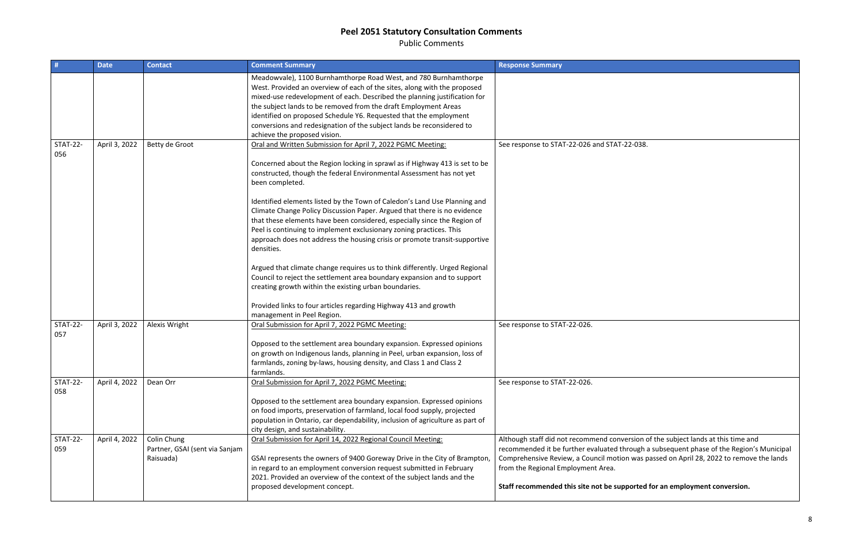Public Comments

sion of the subject lands at this time and recommended it be further evaluated through a subsequent phase of the Region's Municipal Comprehensive Review, a Council motion was passed on April 28, 2022 to remove the lands

### **State for an employment conversion.**

|                        | <b>Date</b>   | <b>Contact</b>                                             | <b>Comment Summary</b>                                                                                                                                                                                                                                                                                                                                                                                                                                                     | <b>Response Summary</b>                                                                                                                                                                                                                 |
|------------------------|---------------|------------------------------------------------------------|----------------------------------------------------------------------------------------------------------------------------------------------------------------------------------------------------------------------------------------------------------------------------------------------------------------------------------------------------------------------------------------------------------------------------------------------------------------------------|-----------------------------------------------------------------------------------------------------------------------------------------------------------------------------------------------------------------------------------------|
|                        |               |                                                            | Meadowvale), 1100 Burnhamthorpe Road West, and 780 Burnhamthorpe<br>West. Provided an overview of each of the sites, along with the proposed<br>mixed-use redevelopment of each. Described the planning justification for<br>the subject lands to be removed from the draft Employment Areas<br>identified on proposed Schedule Y6. Requested that the employment<br>conversions and redesignation of the subject lands be reconsidered to<br>achieve the proposed vision. |                                                                                                                                                                                                                                         |
| <b>STAT-22-</b><br>056 | April 3, 2022 | Betty de Groot                                             | Oral and Written Submission for April 7, 2022 PGMC Meeting:<br>Concerned about the Region locking in sprawl as if Highway 413 is set to be                                                                                                                                                                                                                                                                                                                                 | See response to STAT-22-026 and STAT-22-038.                                                                                                                                                                                            |
|                        |               |                                                            | constructed, though the federal Environmental Assessment has not yet<br>been completed.                                                                                                                                                                                                                                                                                                                                                                                    |                                                                                                                                                                                                                                         |
|                        |               |                                                            | Identified elements listed by the Town of Caledon's Land Use Planning and<br>Climate Change Policy Discussion Paper. Argued that there is no evidence<br>that these elements have been considered, especially since the Region of<br>Peel is continuing to implement exclusionary zoning practices. This<br>approach does not address the housing crisis or promote transit-supportive<br>densities.                                                                       |                                                                                                                                                                                                                                         |
|                        |               |                                                            | Argued that climate change requires us to think differently. Urged Regional<br>Council to reject the settlement area boundary expansion and to support<br>creating growth within the existing urban boundaries.                                                                                                                                                                                                                                                            |                                                                                                                                                                                                                                         |
|                        |               |                                                            | Provided links to four articles regarding Highway 413 and growth<br>management in Peel Region.                                                                                                                                                                                                                                                                                                                                                                             |                                                                                                                                                                                                                                         |
| <b>STAT-22-</b><br>057 | April 3, 2022 | Alexis Wright                                              | Oral Submission for April 7, 2022 PGMC Meeting:                                                                                                                                                                                                                                                                                                                                                                                                                            | See response to STAT-22-026.                                                                                                                                                                                                            |
|                        |               |                                                            | Opposed to the settlement area boundary expansion. Expressed opinions<br>on growth on Indigenous lands, planning in Peel, urban expansion, loss of<br>farmlands, zoning by-laws, housing density, and Class 1 and Class 2<br>farmlands.                                                                                                                                                                                                                                    |                                                                                                                                                                                                                                         |
| <b>STAT-22-</b><br>058 | April 4, 2022 | Dean Orr                                                   | Oral Submission for April 7, 2022 PGMC Meeting:                                                                                                                                                                                                                                                                                                                                                                                                                            | See response to STAT-22-026.                                                                                                                                                                                                            |
|                        |               |                                                            | Opposed to the settlement area boundary expansion. Expressed opinions<br>on food imports, preservation of farmland, local food supply, projected<br>population in Ontario, car dependability, inclusion of agriculture as part of<br>city design, and sustainability.                                                                                                                                                                                                      |                                                                                                                                                                                                                                         |
| <b>STAT-22-</b><br>059 | April 4, 2022 | Colin Chung<br>Partner, GSAI (sent via Sanjam<br>Raisuada) | Oral Submission for April 14, 2022 Regional Council Meeting:<br>GSAI represents the owners of 9400 Goreway Drive in the City of Brampton,<br>in regard to an employment conversion request submitted in February<br>2021. Provided an overview of the context of the subject lands and the<br>proposed development concept.                                                                                                                                                | Although staff did not recommend conversion o<br>recommended it be further evaluated through a<br>Comprehensive Review, a Council motion was pa<br>from the Regional Employment Area.<br>Staff recommended this site not be supported t |
|                        |               |                                                            |                                                                                                                                                                                                                                                                                                                                                                                                                                                                            |                                                                                                                                                                                                                                         |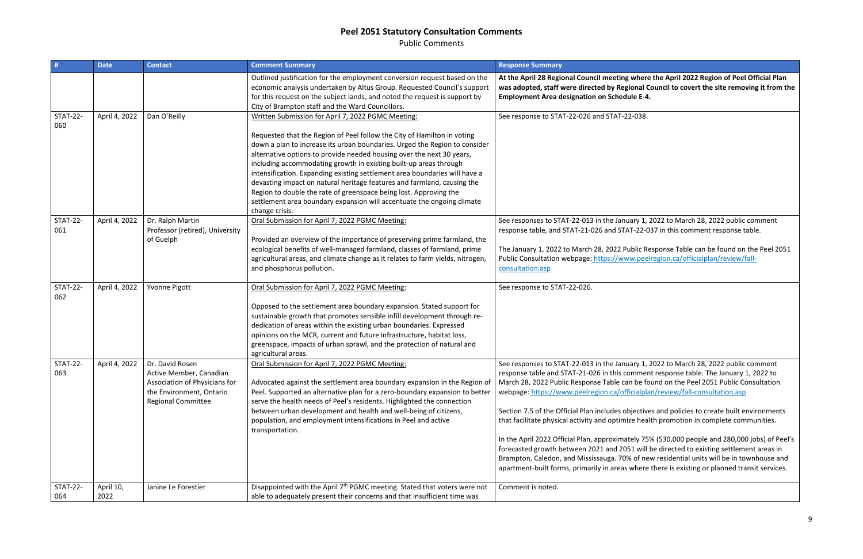Public Comments

|                        | <b>Date</b>       | <b>Contact</b>                                                                                                                       | <b>Comment Summary</b>                                                                                                                                                                                                                                                                                                                                                                                                                                                                                                                                                                                                                                                              | <b>Response Summary</b>                                                                                                                                                                                                                                                                                                                                                                                                                                                   |
|------------------------|-------------------|--------------------------------------------------------------------------------------------------------------------------------------|-------------------------------------------------------------------------------------------------------------------------------------------------------------------------------------------------------------------------------------------------------------------------------------------------------------------------------------------------------------------------------------------------------------------------------------------------------------------------------------------------------------------------------------------------------------------------------------------------------------------------------------------------------------------------------------|---------------------------------------------------------------------------------------------------------------------------------------------------------------------------------------------------------------------------------------------------------------------------------------------------------------------------------------------------------------------------------------------------------------------------------------------------------------------------|
|                        |                   |                                                                                                                                      | Outlined justification for the employment conversion request based on the<br>economic analysis undertaken by Altus Group. Requested Council's support<br>for this request on the subject lands, and noted the request is support by<br>City of Brampton staff and the Ward Councillors.                                                                                                                                                                                                                                                                                                                                                                                             | At the April 28 Regional Council meeting w<br>was adopted, staff were directed by Regio<br><b>Employment Area designation on Schedule</b>                                                                                                                                                                                                                                                                                                                                 |
| <b>STAT-22-</b><br>060 | April 4, 2022     | Dan O'Reilly                                                                                                                         | Written Submission for April 7, 2022 PGMC Meeting:<br>Requested that the Region of Peel follow the City of Hamilton in voting<br>down a plan to increase its urban boundaries. Urged the Region to consider<br>alternative options to provide needed housing over the next 30 years,<br>including accommodating growth in existing built-up areas through<br>intensification. Expanding existing settlement area boundaries will have a<br>devasting impact on natural heritage features and farmland, causing the<br>Region to double the rate of greenspace being lost. Approving the<br>settlement area boundary expansion will accentuate the ongoing climate<br>change crisis. | See response to STAT-22-026 and STAT-22-                                                                                                                                                                                                                                                                                                                                                                                                                                  |
| <b>STAT-22-</b><br>061 | April 4, 2022     | Dr. Ralph Martin<br>Professor (retired), University<br>of Guelph                                                                     | Oral Submission for April 7, 2022 PGMC Meeting:<br>Provided an overview of the importance of preserving prime farmland, the<br>ecological benefits of well-managed farmland, classes of farmland, prime<br>agricultural areas, and climate change as it relates to farm yields, nitrogen,<br>and phosphorus pollution.                                                                                                                                                                                                                                                                                                                                                              | See responses to STAT-22-013 in the Januar<br>response table, and STAT-21-026 and STAT<br>The January 1, 2022 to March 28, 2022 Pub<br>Public Consultation webpage: https://www<br>consultation.asp                                                                                                                                                                                                                                                                       |
| <b>STAT-22-</b><br>062 | April 4, 2022     | Yvonne Pigott                                                                                                                        | Oral Submission for April 7, 2022 PGMC Meeting:<br>Opposed to the settlement area boundary expansion. Stated support for<br>sustainable growth that promotes sensible infill development through re-<br>dedication of areas within the existing urban boundaries. Expressed<br>opinions on the MCR, current and future infrastructure, habitat loss,<br>greenspace, impacts of urban sprawl, and the protection of natural and<br>agricultural areas.                                                                                                                                                                                                                               | See response to STAT-22-026.                                                                                                                                                                                                                                                                                                                                                                                                                                              |
| <b>STAT-22-</b><br>063 | April 4, 2022     | Dr. David Rosen<br>Active Member, Canadian<br>Association of Physicians for<br>the Environment, Ontario<br><b>Regional Committee</b> | Oral Submission for April 7, 2022 PGMC Meeting:<br>Advocated against the settlement area boundary expansion in the Region of<br>Peel. Supported an alternative plan for a zero-boundary expansion to better<br>serve the health needs of Peel's residents. Highlighted the connection<br>between urban development and health and well-being of citizens,<br>population, and employment intensifications in Peel and active<br>transportation.                                                                                                                                                                                                                                      | See responses to STAT-22-013 in the Januar<br>response table and STAT-21-026 in this con<br>March 28, 2022 Public Response Table can<br>webpage: https://www.peelregion.ca/offic<br>Section 7.5 of the Official Plan includes obje<br>that facilitate physical activity and optimize<br>In the April 2022 Official Plan, approximate<br>forecasted growth between 2021 and 2051<br>Brampton, Caledon, and Mississauga. 70%<br>apartment-built forms, primarily in areas w |
| <b>STAT-22-</b><br>064 | April 10,<br>2022 | Janine Le Forestier                                                                                                                  | Disappointed with the April 7 <sup>th</sup> PGMC meeting. Stated that voters were not<br>able to adequately present their concerns and that insufficient time was                                                                                                                                                                                                                                                                                                                                                                                                                                                                                                                   | Comment is noted.                                                                                                                                                                                                                                                                                                                                                                                                                                                         |

**At the April 2022 Region of Peel Official Plan** onal Council to covert the site removing it from the le E-4.

 $\overline{2-038.}$ 

Bry 1, 2022 to March 28, 2022 public comment r-22-037 in this comment response table.

blic Response Table can be found on the Peel 2051 Public Consultation webpatches.

Iry 1, 2022 to March 28, 2022 public comment mment response table. The January 1, 2022 to be found on the Peel 2051 Public Consultation cialplan/review/fall-consultation.asp

ectives and policies to create built environments that facilitate in complete communities.

ely 75% (530,000 people and 280,000 jobs) of Peel's for will be directed to existing settlement areas in  $\delta$  of new residential units will be in townhouse and vhere there is existing or planned transit services.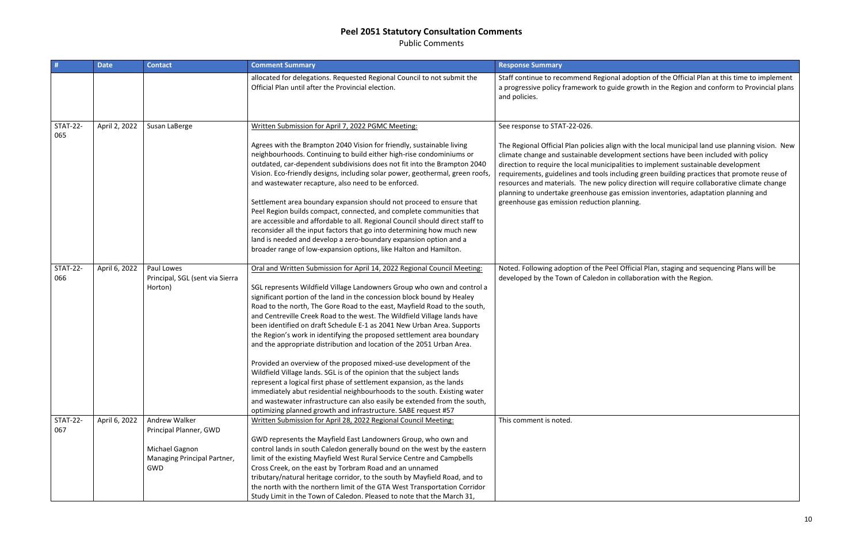Public Comments

| #                      | <b>Date</b>   | <b>Contact</b>                                                                                  | <b>Comment Summary</b>                                                                                                                                                                                                                                                                                                                                                                                                                                                                                                                                                                                                                                                                                                                                                                                                                                                                                                                                                                                                                                                 | <b>Response Summary</b>                                                                                                                                                                                                                                                                                                                          |
|------------------------|---------------|-------------------------------------------------------------------------------------------------|------------------------------------------------------------------------------------------------------------------------------------------------------------------------------------------------------------------------------------------------------------------------------------------------------------------------------------------------------------------------------------------------------------------------------------------------------------------------------------------------------------------------------------------------------------------------------------------------------------------------------------------------------------------------------------------------------------------------------------------------------------------------------------------------------------------------------------------------------------------------------------------------------------------------------------------------------------------------------------------------------------------------------------------------------------------------|--------------------------------------------------------------------------------------------------------------------------------------------------------------------------------------------------------------------------------------------------------------------------------------------------------------------------------------------------|
|                        |               |                                                                                                 | allocated for delegations. Requested Regional Council to not submit the<br>Official Plan until after the Provincial election.                                                                                                                                                                                                                                                                                                                                                                                                                                                                                                                                                                                                                                                                                                                                                                                                                                                                                                                                          | Staff continue to recommend Regional adopt<br>a progressive policy framework to guide grow<br>and policies.                                                                                                                                                                                                                                      |
| <b>STAT-22-</b><br>065 | April 2, 2022 | Susan LaBerge                                                                                   | Written Submission for April 7, 2022 PGMC Meeting:                                                                                                                                                                                                                                                                                                                                                                                                                                                                                                                                                                                                                                                                                                                                                                                                                                                                                                                                                                                                                     | See response to STAT-22-026.                                                                                                                                                                                                                                                                                                                     |
|                        |               |                                                                                                 | Agrees with the Brampton 2040 Vision for friendly, sustainable living<br>neighbourhoods. Continuing to build either high-rise condominiums or<br>outdated, car-dependent subdivisions does not fit into the Brampton 2040<br>Vision. Eco-friendly designs, including solar power, geothermal, green roofs,<br>and wastewater recapture, also need to be enforced.<br>Settlement area boundary expansion should not proceed to ensure that<br>Peel Region builds compact, connected, and complete communities that<br>are accessible and affordable to all. Regional Council should direct staff to<br>reconsider all the input factors that go into determining how much new<br>land is needed and develop a zero-boundary expansion option and a<br>broader range of low-expansion options, like Halton and Hamilton.                                                                                                                                                                                                                                                 | The Regional Official Plan policies align with t<br>climate change and sustainable development<br>direction to require the local municipalities to<br>requirements, guidelines and tools including<br>resources and materials. The new policy dire<br>planning to undertake greenhouse gas emissi<br>greenhouse gas emission reduction planning. |
| <b>STAT-22-</b><br>066 | April 6, 2022 | Paul Lowes<br>Principal, SGL (sent via Sierra<br>Horton)                                        | Oral and Written Submission for April 14, 2022 Regional Council Meeting:<br>SGL represents Wildfield Village Landowners Group who own and control a<br>significant portion of the land in the concession block bound by Healey<br>Road to the north, The Gore Road to the east, Mayfield Road to the south,<br>and Centreville Creek Road to the west. The Wildfield Village lands have<br>been identified on draft Schedule E-1 as 2041 New Urban Area. Supports<br>the Region's work in identifying the proposed settlement area boundary<br>and the appropriate distribution and location of the 2051 Urban Area.<br>Provided an overview of the proposed mixed-use development of the<br>Wildfield Village lands. SGL is of the opinion that the subject lands<br>represent a logical first phase of settlement expansion, as the lands<br>immediately abut residential neighbourhoods to the south. Existing water<br>and wastewater infrastructure can also easily be extended from the south,<br>optimizing planned growth and infrastructure. SABE request #57 | Noted. Following adoption of the Peel Officia<br>developed by the Town of Caledon in collabo                                                                                                                                                                                                                                                     |
| <b>STAT-22-</b><br>067 | April 6, 2022 | Andrew Walker<br>Principal Planner, GWD<br>Michael Gagnon<br>Managing Principal Partner,<br>GWD | Written Submission for April 28, 2022 Regional Council Meeting:<br>GWD represents the Mayfield East Landowners Group, who own and<br>control lands in south Caledon generally bound on the west by the eastern<br>limit of the existing Mayfield West Rural Service Centre and Campbells<br>Cross Creek, on the east by Torbram Road and an unnamed<br>tributary/natural heritage corridor, to the south by Mayfield Road, and to<br>the north with the northern limit of the GTA West Transportation Corridor<br>Study Limit in the Town of Caledon. Pleased to note that the March 31,                                                                                                                                                                                                                                                                                                                                                                                                                                                                               | This comment is noted.                                                                                                                                                                                                                                                                                                                           |

option of the Official Plan at this time to implement rowth in the Region and conform to Provincial plans

th the local municipal land use planning vision. New ent sections have been included with policy to implement sustainable development ng green building practices that promote reuse of firection will require collaborative climate change ission inventories, adaptation planning and

icial Plan, staging and sequencing Plans will be aboration with the Region.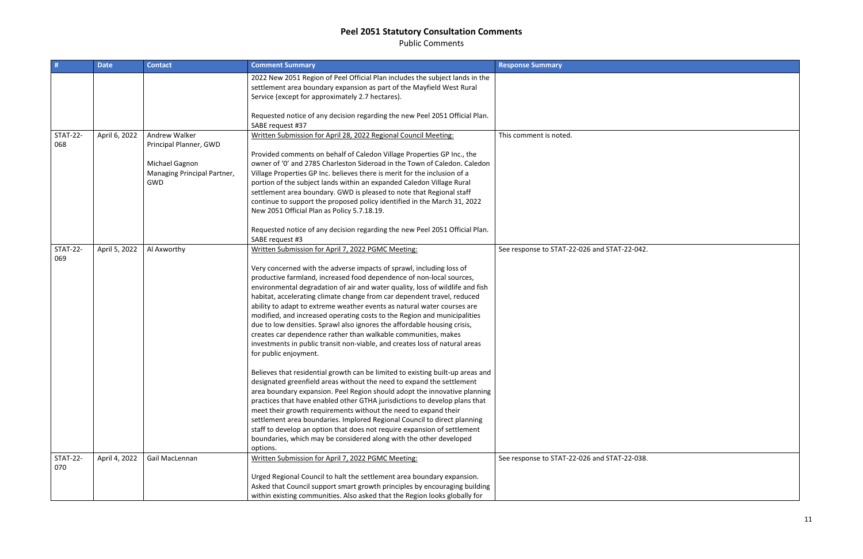Public Comments

| #                      | <b>Date</b>   | <b>Contact</b>                                              | <b>Comment Summary</b>                                                                                                                                                                                                                                                                                                                                                                                                                                                                                                                                                                                                                                                                                                                                                                                                                                                                                                                                                                                                                                                                                                                                                                                                                                                                                                                                                                                         | <b>Response Summary</b>                 |
|------------------------|---------------|-------------------------------------------------------------|----------------------------------------------------------------------------------------------------------------------------------------------------------------------------------------------------------------------------------------------------------------------------------------------------------------------------------------------------------------------------------------------------------------------------------------------------------------------------------------------------------------------------------------------------------------------------------------------------------------------------------------------------------------------------------------------------------------------------------------------------------------------------------------------------------------------------------------------------------------------------------------------------------------------------------------------------------------------------------------------------------------------------------------------------------------------------------------------------------------------------------------------------------------------------------------------------------------------------------------------------------------------------------------------------------------------------------------------------------------------------------------------------------------|-----------------------------------------|
|                        |               |                                                             | 2022 New 2051 Region of Peel Official Plan includes the subject lands in the<br>settlement area boundary expansion as part of the Mayfield West Rural<br>Service (except for approximately 2.7 hectares).                                                                                                                                                                                                                                                                                                                                                                                                                                                                                                                                                                                                                                                                                                                                                                                                                                                                                                                                                                                                                                                                                                                                                                                                      |                                         |
|                        |               |                                                             | Requested notice of any decision regarding the new Peel 2051 Official Plan.<br>SABE request #37                                                                                                                                                                                                                                                                                                                                                                                                                                                                                                                                                                                                                                                                                                                                                                                                                                                                                                                                                                                                                                                                                                                                                                                                                                                                                                                |                                         |
| <b>STAT-22-</b><br>068 | April 6, 2022 | <b>Andrew Walker</b><br>Principal Planner, GWD              | Written Submission for April 28, 2022 Regional Council Meeting:<br>Provided comments on behalf of Caledon Village Properties GP Inc., the                                                                                                                                                                                                                                                                                                                                                                                                                                                                                                                                                                                                                                                                                                                                                                                                                                                                                                                                                                                                                                                                                                                                                                                                                                                                      | This comment is noted.                  |
|                        |               | Michael Gagnon<br>Managing Principal Partner,<br><b>GWD</b> | owner of '0' and 2785 Charleston Sideroad in the Town of Caledon. Caledon<br>Village Properties GP Inc. believes there is merit for the inclusion of a<br>portion of the subject lands within an expanded Caledon Village Rural<br>settlement area boundary. GWD is pleased to note that Regional staff<br>continue to support the proposed policy identified in the March 31, 2022<br>New 2051 Official Plan as Policy 5.7.18.19.                                                                                                                                                                                                                                                                                                                                                                                                                                                                                                                                                                                                                                                                                                                                                                                                                                                                                                                                                                             |                                         |
|                        |               |                                                             | Requested notice of any decision regarding the new Peel 2051 Official Plan.<br>SABE request #3                                                                                                                                                                                                                                                                                                                                                                                                                                                                                                                                                                                                                                                                                                                                                                                                                                                                                                                                                                                                                                                                                                                                                                                                                                                                                                                 |                                         |
| <b>STAT-22-</b><br>069 | April 5, 2022 | Al Axworthy                                                 | Written Submission for April 7, 2022 PGMC Meeting:<br>Very concerned with the adverse impacts of sprawl, including loss of<br>productive farmland, increased food dependence of non-local sources,<br>environmental degradation of air and water quality, loss of wildlife and fish<br>habitat, accelerating climate change from car dependent travel, reduced<br>ability to adapt to extreme weather events as natural water courses are<br>modified, and increased operating costs to the Region and municipalities<br>due to low densities. Sprawl also ignores the affordable housing crisis,<br>creates car dependence rather than walkable communities, makes<br>investments in public transit non-viable, and creates loss of natural areas<br>for public enjoyment.<br>Believes that residential growth can be limited to existing built-up areas and<br>designated greenfield areas without the need to expand the settlement<br>area boundary expansion. Peel Region should adopt the innovative planning<br>practices that have enabled other GTHA jurisdictions to develop plans that<br>meet their growth requirements without the need to expand their<br>settlement area boundaries. Implored Regional Council to direct planning<br>staff to develop an option that does not require expansion of settlement<br>boundaries, which may be considered along with the other developed<br>options. | See response to STAT-22-026 and STAT-22 |
| <b>STAT-22-</b><br>070 | April 4, 2022 | Gail MacLennan                                              | Written Submission for April 7, 2022 PGMC Meeting:                                                                                                                                                                                                                                                                                                                                                                                                                                                                                                                                                                                                                                                                                                                                                                                                                                                                                                                                                                                                                                                                                                                                                                                                                                                                                                                                                             | See response to STAT-22-026 and STAT-22 |
|                        |               |                                                             | Urged Regional Council to halt the settlement area boundary expansion.<br>Asked that Council support smart growth principles by encouraging building<br>within existing communities. Also asked that the Region looks globally for                                                                                                                                                                                                                                                                                                                                                                                                                                                                                                                                                                                                                                                                                                                                                                                                                                                                                                                                                                                                                                                                                                                                                                             |                                         |

 $2 - 042.$  $\overline{2-038.}$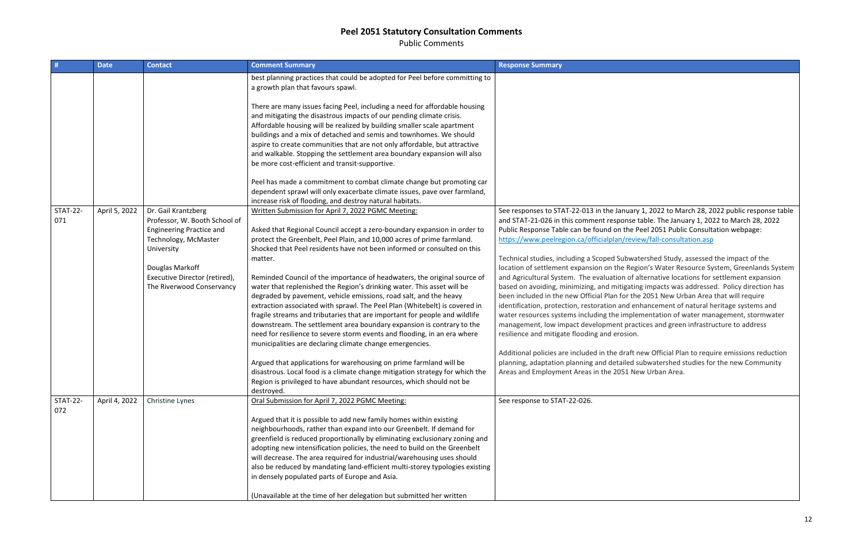Public Comments

| #                      | <b>Date</b>   | <b>Contact</b>                     | <b>Comment Summary</b>                                                                                                                            | <b>Response Summary</b>                         |
|------------------------|---------------|------------------------------------|---------------------------------------------------------------------------------------------------------------------------------------------------|-------------------------------------------------|
|                        |               |                                    | best planning practices that could be adopted for Peel before committing to<br>a growth plan that favours spawl.                                  |                                                 |
|                        |               |                                    | There are many issues facing Peel, including a need for affordable housing                                                                        |                                                 |
|                        |               |                                    | and mitigating the disastrous impacts of our pending climate crisis.<br>Affordable housing will be realized by building smaller scale apartment   |                                                 |
|                        |               |                                    | buildings and a mix of detached and semis and townhomes. We should                                                                                |                                                 |
|                        |               |                                    | aspire to create communities that are not only affordable, but attractive                                                                         |                                                 |
|                        |               |                                    | and walkable. Stopping the settlement area boundary expansion will also                                                                           |                                                 |
|                        |               |                                    | be more cost-efficient and transit-supportive.                                                                                                    |                                                 |
|                        |               |                                    | Peel has made a commitment to combat climate change but promoting car                                                                             |                                                 |
|                        |               |                                    | dependent sprawl will only exacerbate climate issues, pave over farmland,                                                                         |                                                 |
|                        |               |                                    | increase risk of flooding, and destroy natural habitats.                                                                                          |                                                 |
| <b>STAT-22-</b>        | April 5, 2022 | Dr. Gail Krantzberg                | Written Submission for April 7, 2022 PGMC Meeting:                                                                                                | See responses to STAT-22-013 in the January     |
| 071                    |               | Professor, W. Booth School of      |                                                                                                                                                   | and STAT-21-026 in this comment response t      |
|                        |               | <b>Engineering Practice and</b>    | Asked that Regional Council accept a zero-boundary expansion in order to                                                                          | Public Response Table can be found on the P     |
|                        |               | Technology, McMaster<br>University | protect the Greenbelt, Peel Plain, and 10,000 acres of prime farmland.<br>Shocked that Peel residents have not been informed or consulted on this | https://www.peelregion.ca/officialplan/revie    |
|                        |               |                                    | matter.                                                                                                                                           | Technical studies, including a Scoped Subwat    |
|                        |               | Douglas Markoff                    |                                                                                                                                                   | location of settlement expansion on the Reg     |
|                        |               | Executive Director (retired),      | Reminded Council of the importance of headwaters, the original source of                                                                          | and Agricultural System. The evaluation of a    |
|                        |               | The Riverwood Conservancy          | water that replenished the Region's drinking water. This asset will be                                                                            | based on avoiding, minimizing, and mitigatin    |
|                        |               |                                    | degraded by pavement, vehicle emissions, road salt, and the heavy                                                                                 | been included in the new Official Plan for the  |
|                        |               |                                    | extraction associated with sprawl. The Peel Plan (Whitebelt) is covered in                                                                        | identification, protection, restoration and en  |
|                        |               |                                    | fragile streams and tributaries that are important for people and wildlife                                                                        | water resources systems including the imple     |
|                        |               |                                    | downstream. The settlement area boundary expansion is contrary to the                                                                             | management, low impact development prac         |
|                        |               |                                    | need for resilience to severe storm events and flooding, in an era where<br>municipalities are declaring climate change emergencies.              | resilience and mitigate flooding and erosion.   |
|                        |               |                                    |                                                                                                                                                   | Additional policies are included in the draft r |
|                        |               |                                    | Argued that applications for warehousing on prime farmland will be                                                                                | planning, adaptation planning and detailed s    |
|                        |               |                                    | disastrous. Local food is a climate change mitigation strategy for which the                                                                      | Areas and Employment Areas in the 2051 Ne       |
|                        |               |                                    | Region is privileged to have abundant resources, which should not be                                                                              |                                                 |
|                        |               |                                    | destroyed.                                                                                                                                        |                                                 |
| <b>STAT-22-</b><br>072 | April 4, 2022 | Christine Lynes                    | Oral Submission for April 7, 2022 PGMC Meeting:                                                                                                   | See response to STAT-22-026.                    |
|                        |               |                                    | Argued that it is possible to add new family homes within existing                                                                                |                                                 |
|                        |               |                                    | neighbourhoods, rather than expand into our Greenbelt. If demand for                                                                              |                                                 |
|                        |               |                                    | greenfield is reduced proportionally by eliminating exclusionary zoning and                                                                       |                                                 |
|                        |               |                                    | adopting new intensification policies, the need to build on the Greenbelt                                                                         |                                                 |
|                        |               |                                    | will decrease. The area required for industrial/warehousing uses should                                                                           |                                                 |
|                        |               |                                    | also be reduced by mandating land-efficient multi-storey typologies existing                                                                      |                                                 |
|                        |               |                                    | in densely populated parts of Europe and Asia.                                                                                                    |                                                 |
|                        |               |                                    | (Unavailable at the time of her delegation but submitted her written                                                                              |                                                 |

ary 1, 2022 to March 28, 2022 public response table se table. The January 1, 2022 to March 28, 2022 Public Consultation webpage: eview/fall-consultation.asp

watershed Study, assessed the impact of the Region's Water Resource System, Greenlands System of alternative locations for settlement expansion ating impacts was addressed. Policy direction has  $\cdot$  the 2051 New Urban Area that will require I enhancement of natural heritage systems and plementation of water management, stormwater ractices and green infrastructure to address

aft new Official Plan to require emissions reduction ed subwatershed studies for the new Community New Urban Area.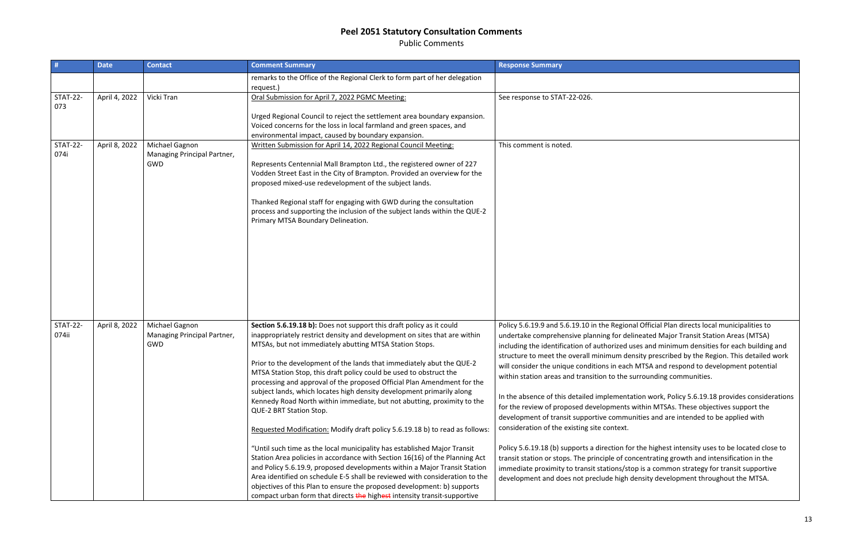Public Comments

| #                        | <b>Date</b>   | <b>Contact</b>                                              | <b>Comment Summary</b>                                                                                                                                                                                                                                                                                                                                                                                                                                                                                                                                                                                                                                                                                                                                                                                                                                                                                                                                                                                                                                                                                                                                                              | <b>Response Summary</b>                                                                                                                                                                                                                                                                                                                                                                                                                                                                                                                                                                                                                                               |
|--------------------------|---------------|-------------------------------------------------------------|-------------------------------------------------------------------------------------------------------------------------------------------------------------------------------------------------------------------------------------------------------------------------------------------------------------------------------------------------------------------------------------------------------------------------------------------------------------------------------------------------------------------------------------------------------------------------------------------------------------------------------------------------------------------------------------------------------------------------------------------------------------------------------------------------------------------------------------------------------------------------------------------------------------------------------------------------------------------------------------------------------------------------------------------------------------------------------------------------------------------------------------------------------------------------------------|-----------------------------------------------------------------------------------------------------------------------------------------------------------------------------------------------------------------------------------------------------------------------------------------------------------------------------------------------------------------------------------------------------------------------------------------------------------------------------------------------------------------------------------------------------------------------------------------------------------------------------------------------------------------------|
|                          |               |                                                             | remarks to the Office of the Regional Clerk to form part of her delegation<br>request.)                                                                                                                                                                                                                                                                                                                                                                                                                                                                                                                                                                                                                                                                                                                                                                                                                                                                                                                                                                                                                                                                                             |                                                                                                                                                                                                                                                                                                                                                                                                                                                                                                                                                                                                                                                                       |
| <b>STAT-22-</b><br>073   | April 4, 2022 | Vicki Tran                                                  | Oral Submission for April 7, 2022 PGMC Meeting:<br>Urged Regional Council to reject the settlement area boundary expansion.<br>Voiced concerns for the loss in local farmland and green spaces, and<br>environmental impact, caused by boundary expansion.                                                                                                                                                                                                                                                                                                                                                                                                                                                                                                                                                                                                                                                                                                                                                                                                                                                                                                                          | See response to STAT-22-026.                                                                                                                                                                                                                                                                                                                                                                                                                                                                                                                                                                                                                                          |
| <b>STAT-22-</b><br>074i  | April 8, 2022 | Michael Gagnon<br>Managing Principal Partner,<br>GWD        | Written Submission for April 14, 2022 Regional Council Meeting:<br>Represents Centennial Mall Brampton Ltd., the registered owner of 227<br>Vodden Street East in the City of Brampton. Provided an overview for the<br>proposed mixed-use redevelopment of the subject lands.<br>Thanked Regional staff for engaging with GWD during the consultation<br>process and supporting the inclusion of the subject lands within the QUE-2<br>Primary MTSA Boundary Delineation.                                                                                                                                                                                                                                                                                                                                                                                                                                                                                                                                                                                                                                                                                                          | This comment is noted.                                                                                                                                                                                                                                                                                                                                                                                                                                                                                                                                                                                                                                                |
| <b>STAT-22-</b><br>074ii | April 8, 2022 | Michael Gagnon<br>Managing Principal Partner,<br><b>GWD</b> | Section 5.6.19.18 b): Does not support this draft policy as it could<br>inappropriately restrict density and development on sites that are within<br>MTSAs, but not immediately abutting MTSA Station Stops.<br>Prior to the development of the lands that immediately abut the QUE-2<br>MTSA Station Stop, this draft policy could be used to obstruct the<br>processing and approval of the proposed Official Plan Amendment for the<br>subject lands, which locates high density development primarily along<br>Kennedy Road North within immediate, but not abutting, proximity to the<br>QUE-2 BRT Station Stop.<br>Requested Modification: Modify draft policy 5.6.19.18 b) to read as follows:<br>"Until such time as the local municipality has established Major Transit<br>Station Area policies in accordance with Section 16(16) of the Planning Act<br>and Policy 5.6.19.9, proposed developments within a Major Transit Station<br>Area identified on schedule E-5 shall be reviewed with consideration to the<br>objectives of this Plan to ensure the proposed development: b) supports<br>compact urban form that directs the highest intensity transit-supportive | Policy 5.6.19.9 and 5.6.19.10 in the Region<br>undertake comprehensive planning for del<br>including the identification of authorized u<br>structure to meet the overall minimum dei<br>will consider the unique conditions in each<br>within station areas and transition to the s<br>In the absence of this detailed implementa<br>for the review of proposed developments \<br>development of transit supportive commu<br>consideration of the existing site context.<br>Policy 5.6.19.18 (b) supports a direction for<br>transit station or stops. The principle of co<br>immediate proximity to transit stations/sto<br>development and does not preclude high o |

nal Official Plan directs local municipalities to lineated Major Transit Station Areas (MTSA) ises and minimum densities for each building and nsity prescribed by the Region. This detailed work n MTSA and respond to development potential surrounding communities.

ation work, Policy 5.6.19.18 provides considerations within MTSAs. These objectives support the inities and are intended to be applied with

or the highest intensity uses to be located close to ncentrating growth and intensification in the op is a common strategy for transit supportive density development throughout the MTSA.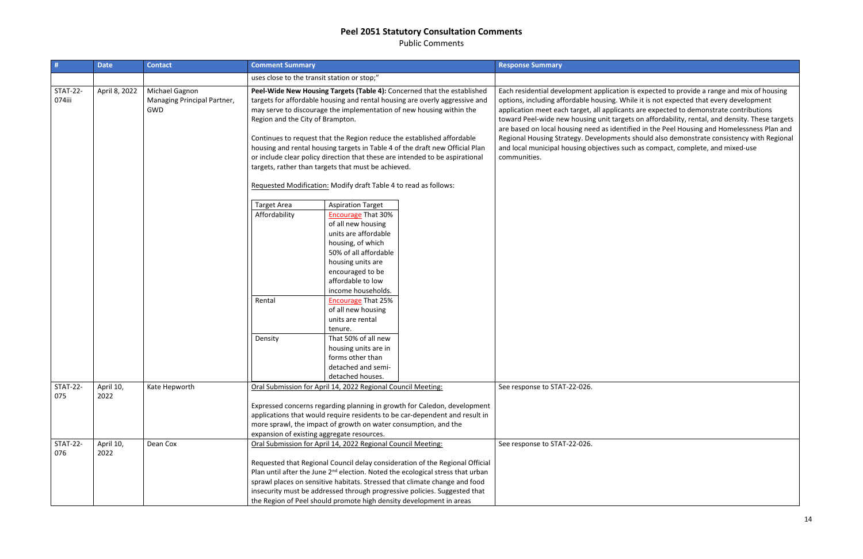Public Comments

| #                         | <b>Date</b>       | <b>Contact</b>                                       | <b>Comment Summary</b>              |                                                                                                                                                                                                                                                                                                                                                                                                                                                                                                                                                                                                                                         |                                                                                                                                                                                                                                                                                                                                       | <b>Response Summary</b>                                                                                                                                                                                                                                                                                                                             |
|---------------------------|-------------------|------------------------------------------------------|-------------------------------------|-----------------------------------------------------------------------------------------------------------------------------------------------------------------------------------------------------------------------------------------------------------------------------------------------------------------------------------------------------------------------------------------------------------------------------------------------------------------------------------------------------------------------------------------------------------------------------------------------------------------------------------------|---------------------------------------------------------------------------------------------------------------------------------------------------------------------------------------------------------------------------------------------------------------------------------------------------------------------------------------|-----------------------------------------------------------------------------------------------------------------------------------------------------------------------------------------------------------------------------------------------------------------------------------------------------------------------------------------------------|
|                           |                   |                                                      |                                     | uses close to the transit station or stop;"                                                                                                                                                                                                                                                                                                                                                                                                                                                                                                                                                                                             |                                                                                                                                                                                                                                                                                                                                       |                                                                                                                                                                                                                                                                                                                                                     |
| <b>STAT-22-</b><br>074iii | April 8, 2022     | Michael Gagnon<br>Managing Principal Partner,<br>GWD |                                     | Peel-Wide New Housing Targets (Table 4): Concerned that the established<br>targets for affordable housing and rental housing are overly aggressive and<br>may serve to discourage the implementation of new housing within the<br>Region and the City of Brampton.<br>Continues to request that the Region reduce the established affordable<br>housing and rental housing targets in Table 4 of the draft new Official Plan<br>or include clear policy direction that these are intended to be aspirational<br>targets, rather than targets that must be achieved.<br>Requested Modification: Modify draft Table 4 to read as follows: |                                                                                                                                                                                                                                                                                                                                       | Each residential development application is<br>options, including affordable housing. Whil<br>application meet each target, all applicants<br>toward Peel-wide new housing unit targets<br>are based on local housing need as identifie<br>Regional Housing Strategy. Developments s<br>and local municipal housing objectives such<br>communities. |
|                           |                   |                                                      | <b>Target Area</b><br>Affordability | <b>Aspiration Target</b><br><b>Encourage That 30%</b><br>of all new housing<br>units are affordable<br>housing, of which<br>50% of all affordable<br>housing units are<br>encouraged to be                                                                                                                                                                                                                                                                                                                                                                                                                                              |                                                                                                                                                                                                                                                                                                                                       |                                                                                                                                                                                                                                                                                                                                                     |
|                           |                   |                                                      | Rental                              | affordable to low<br>income households.<br><b>Encourage That 25%</b><br>of all new housing<br>units are rental<br>tenure.                                                                                                                                                                                                                                                                                                                                                                                                                                                                                                               |                                                                                                                                                                                                                                                                                                                                       |                                                                                                                                                                                                                                                                                                                                                     |
|                           |                   |                                                      | Density                             | That 50% of all new<br>housing units are in<br>forms other than<br>detached and semi-<br>detached houses.                                                                                                                                                                                                                                                                                                                                                                                                                                                                                                                               |                                                                                                                                                                                                                                                                                                                                       |                                                                                                                                                                                                                                                                                                                                                     |
| <b>STAT-22-</b><br>075    | April 10,<br>2022 | Kate Hepworth                                        |                                     | Oral Submission for April 14, 2022 Regional Council Meeting:<br>more sprawl, the impact of growth on water consumption, and the<br>expansion of existing aggregate resources.                                                                                                                                                                                                                                                                                                                                                                                                                                                           | Expressed concerns regarding planning in growth for Caledon, development<br>applications that would require residents to be car-dependent and result in                                                                                                                                                                               | See response to STAT-22-026.                                                                                                                                                                                                                                                                                                                        |
| <b>STAT-22-</b><br>076    | April 10,<br>2022 | Dean Cox                                             |                                     | Oral Submission for April 14, 2022 Regional Council Meeting:<br>the Region of Peel should promote high density development in areas                                                                                                                                                                                                                                                                                                                                                                                                                                                                                                     | Requested that Regional Council delay consideration of the Regional Official<br>Plan until after the June 2 <sup>nd</sup> election. Noted the ecological stress that urban<br>sprawl places on sensitive habitats. Stressed that climate change and food<br>insecurity must be addressed through progressive policies. Suggested that | See response to STAT-22-026.                                                                                                                                                                                                                                                                                                                        |

s expected to provide a range and mix of housing ile it is not expected that every development s are expected to demonstrate contributions s on affordability, rental, and density. These targets ied in the Peel Housing and Homelessness Plan and should also demonstrate consistency with Regional h as compact, complete, and mixed-use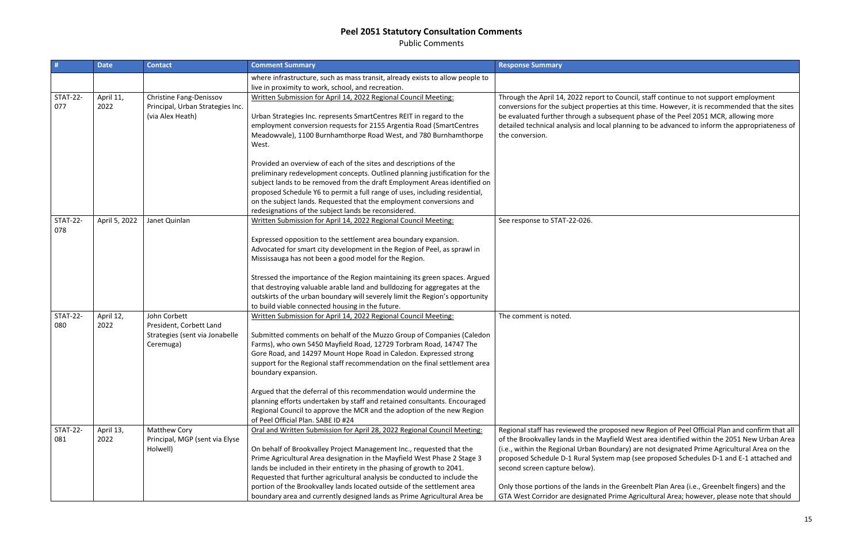Public Comments

| #                      | <b>Date</b>       | <b>Contact</b>                                                                         | <b>Comment Summary</b>                                                                                                                                                                                                                                                                                                                                                                                                                                                                                                                   | <b>Response Summary</b>                                                                                                                                                                                                                                                                                             |
|------------------------|-------------------|----------------------------------------------------------------------------------------|------------------------------------------------------------------------------------------------------------------------------------------------------------------------------------------------------------------------------------------------------------------------------------------------------------------------------------------------------------------------------------------------------------------------------------------------------------------------------------------------------------------------------------------|---------------------------------------------------------------------------------------------------------------------------------------------------------------------------------------------------------------------------------------------------------------------------------------------------------------------|
|                        |                   |                                                                                        | where infrastructure, such as mass transit, already exists to allow people to<br>live in proximity to work, school, and recreation.                                                                                                                                                                                                                                                                                                                                                                                                      |                                                                                                                                                                                                                                                                                                                     |
| <b>STAT-22-</b><br>077 | April 11,<br>2022 | Christine Fang-Denissov<br>Principal, Urban Strategies Inc.<br>(via Alex Heath)        | Written Submission for April 14, 2022 Regional Council Meeting:<br>Urban Strategies Inc. represents SmartCentres REIT in regard to the<br>employment conversion requests for 2155 Argentia Road (SmartCentres<br>Meadowvale), 1100 Burnhamthorpe Road West, and 780 Burnhamthorpe<br>West.                                                                                                                                                                                                                                               | Through the April 14, 2022 report to Counc<br>conversions for the subject properties at th<br>be evaluated further through a subsequent<br>detailed technical analysis and local plannir<br>the conversion.                                                                                                         |
|                        |                   |                                                                                        | Provided an overview of each of the sites and descriptions of the<br>preliminary redevelopment concepts. Outlined planning justification for the<br>subject lands to be removed from the draft Employment Areas identified on<br>proposed Schedule Y6 to permit a full range of uses, including residential,<br>on the subject lands. Requested that the employment conversions and<br>redesignations of the subject lands be reconsidered.                                                                                              |                                                                                                                                                                                                                                                                                                                     |
| <b>STAT-22-</b><br>078 | April 5, 2022     | Janet Quinlan                                                                          | Written Submission for April 14, 2022 Regional Council Meeting:<br>Expressed opposition to the settlement area boundary expansion.<br>Advocated for smart city development in the Region of Peel, as sprawl in<br>Mississauga has not been a good model for the Region.                                                                                                                                                                                                                                                                  | See response to STAT-22-026.                                                                                                                                                                                                                                                                                        |
|                        |                   |                                                                                        | Stressed the importance of the Region maintaining its green spaces. Argued<br>that destroying valuable arable land and bulldozing for aggregates at the<br>outskirts of the urban boundary will severely limit the Region's opportunity<br>to build viable connected housing in the future.                                                                                                                                                                                                                                              |                                                                                                                                                                                                                                                                                                                     |
| <b>STAT-22-</b><br>080 | April 12,<br>2022 | John Corbett<br>President, Corbett Land<br>Strategies (sent via Jonabelle<br>Ceremuga) | Written Submission for April 14, 2022 Regional Council Meeting:<br>Submitted comments on behalf of the Muzzo Group of Companies (Caledon<br>Farms), who own 5450 Mayfield Road, 12729 Torbram Road, 14747 The<br>Gore Road, and 14297 Mount Hope Road in Caledon. Expressed strong<br>support for the Regional staff recommendation on the final settlement area<br>boundary expansion.                                                                                                                                                  | The comment is noted.                                                                                                                                                                                                                                                                                               |
|                        |                   |                                                                                        | Argued that the deferral of this recommendation would undermine the<br>planning efforts undertaken by staff and retained consultants. Encouraged<br>Regional Council to approve the MCR and the adoption of the new Region<br>of Peel Official Plan. SABE ID #24                                                                                                                                                                                                                                                                         |                                                                                                                                                                                                                                                                                                                     |
| <b>STAT-22-</b><br>081 | April 13,<br>2022 | <b>Matthew Cory</b><br>Principal, MGP (sent via Elyse<br>Holwell)                      | Oral and Written Submission for April 28, 2022 Regional Council Meeting:<br>On behalf of Brookvalley Project Management Inc., requested that the<br>Prime Agricultural Area designation in the Mayfield West Phase 2 Stage 3<br>lands be included in their entirety in the phasing of growth to 2041.<br>Requested that further agricultural analysis be conducted to include the<br>portion of the Brookvalley lands located outside of the settlement area<br>boundary area and currently designed lands as Prime Agricultural Area be | Regional staff has reviewed the proposed n<br>of the Brookvalley lands in the Mayfield We<br>(i.e., within the Regional Urban Boundary) a<br>proposed Schedule D-1 Rural System map (<br>second screen capture below).<br>Only those portions of the lands in the Gree<br>GTA West Corridor are designated Prime Ag |

cil, staff continue to not support employment his time. However, it is recommended that the sites phase of the Peel 2051 MCR, allowing more ing to be advanced to inform the appropriateness of

new Region of Peel Official Plan and confirm that all est area identified within the 2051 New Urban Area are not designated Prime Agricultural Area on the (see proposed Schedules D-1 and E-1 attached and

enbelt Plan Area (i.e., Greenbelt fingers) and the gricultural Area; however, please note that should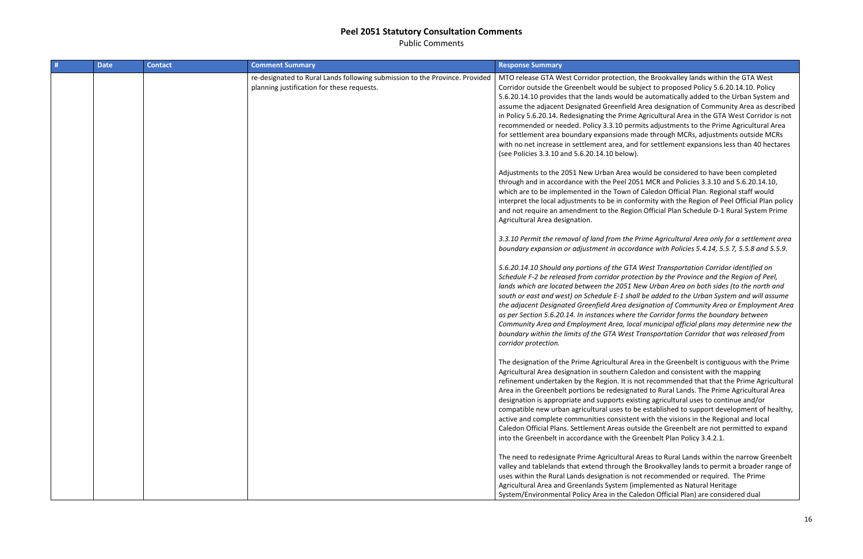Public Comments

| # | <b>Date</b> | <b>Contact</b> | <b>Comment Summary</b>                                                                                                    | <b>Response Summary</b>                                                                                                                                                                                                                                                                                                                                                                                                                         |
|---|-------------|----------------|---------------------------------------------------------------------------------------------------------------------------|-------------------------------------------------------------------------------------------------------------------------------------------------------------------------------------------------------------------------------------------------------------------------------------------------------------------------------------------------------------------------------------------------------------------------------------------------|
|   |             |                | re-designated to Rural Lands following submission to the Province. Provided<br>planning justification for these requests. | MTO release GTA West Corridor protection, t<br>Corridor outside the Greenbelt would be sub<br>5.6.20.14.10 provides that the lands would b<br>assume the adjacent Designated Greenfield /<br>in Policy 5.6.20.14. Redesignating the Prime /<br>recommended or needed. Policy 3.3.10 perm<br>for settlement area boundary expansions ma<br>with no net increase in settlement area, and<br>(see Policies 3.3.10 and 5.6.20.14.10 below).         |
|   |             |                |                                                                                                                           | Adjustments to the 2051 New Urban Area wo<br>through and in accordance with the Peel 205<br>which are to be implemented in the Town of<br>interpret the local adjustments to be in confo<br>and not require an amendment to the Regior<br>Agricultural Area designation.                                                                                                                                                                        |
|   |             |                |                                                                                                                           | 3.3.10 Permit the removal of land from the Pi<br>boundary expansion or adjustment in accord                                                                                                                                                                                                                                                                                                                                                     |
|   |             |                |                                                                                                                           | 5.6.20.14.10 Should any portions of the GTA<br>Schedule F-2 be released from corridor proted<br>lands which are located between the 2051 Ne<br>south or east and west) on Schedule E-1 shall<br>the adjacent Designated Greenfield Area desi<br>as per Section 5.6.20.14. In instances where t<br>Community Area and Employment Area, loca<br>boundary within the limits of the GTA West T<br>corridor protection.                              |
|   |             |                |                                                                                                                           | The designation of the Prime Agricultural Are<br>Agricultural Area designation in southern Cal<br>refinement undertaken by the Region. It is no<br>Area in the Greenbelt portions be redesignat<br>designation is appropriate and supports exist<br>compatible new urban agricultural uses to be<br>active and complete communities consistent<br>Caledon Official Plans. Settlement Areas outs<br>into the Greenbelt in accordance with the Gr |
|   |             |                |                                                                                                                           | The need to redesignate Prime Agricultural A<br>valley and tablelands that extend through the<br>uses within the Rural Lands designation is no<br>Agricultural Area and Greenlands System (im<br>System/Environmental Policy Area in the Cale                                                                                                                                                                                                   |

n, the Brookvalley lands within the GTA West ubject to proposed Policy 5.6.20.14.10. Policy I be automatically added to the Urban System and d Area designation of Community Area as described ie Agricultural Area in the GTA West Corridor is not rmits adjustments to the Prime Agricultural Area made through MCRs, adjustments outside MCRs nd for settlement expansions less than 40 hectares

would be considered to have been completed 051 MCR and Policies 3.3.10 and 5.6.20.14.10, of Caledon Official Plan. Regional staff would nformity with the Region of Peel Official Plan policy ion Official Plan Schedule D-1 Rural System Prime

### *3.3.10 Permit the removal of land from the Prime Agricultural Area only for a settlement area boundary expansion or adjustment in accordance with Policies 5.4.14, 5.5.7, 5.5.8 and 5.5.9.*

*5.6.20.14.10 Should any portions of the GTA West Transportation Corridor identified on Schedule F-2 be released from corridor protection by the Province and the Region of Peel, New Urban Area on both sides (to the north and south or east and west) on Schedule E-1 shall be added to the Urban System and will assume the adjacent Designated Greenfield Area designation of Community Area or Employment Area as per Section 5.6.20.14. In instances where the Corridor forms the boundary between*  cal municipal official plans may determine new the *boundary within the limits of the GTA West Transportation Corridor that was released from* 

Area in the Greenbelt is contiguous with the Prime Caledon and consistent with the mapping not recommended that that the Prime Agricultural ated to Rural Lands. The Prime Agricultural Area disting agricultural uses to continue and/or be established to support development of healthy, Int with the visions in the Regional and local utside the Greenbelt are not permitted to expand Greenbelt Plan Policy 3.4.2.1.

Areas to Rural Lands within the narrow Greenbelt the Brookvalley lands to permit a broader range of not recommended or required. The Prime implemented as Natural Heritage Caledon Official Plan) are considered dual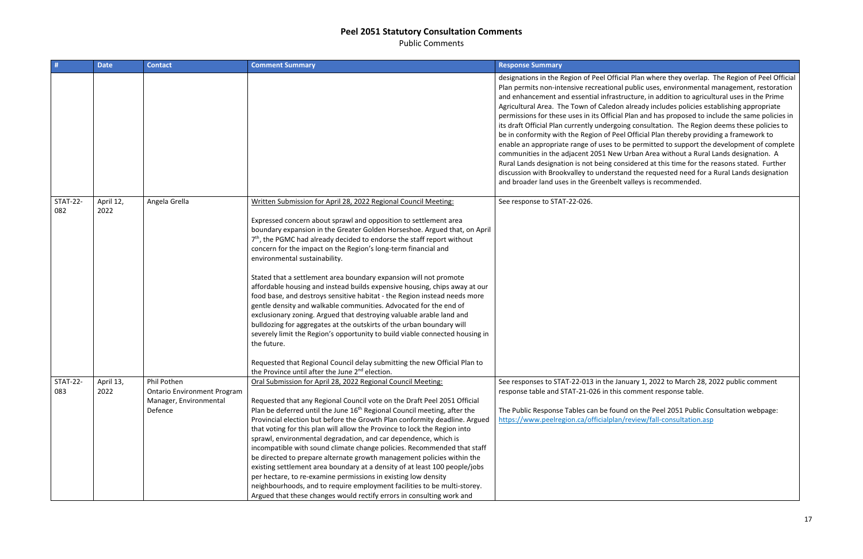Public Comments

| #                      | <b>Date</b>       | <b>Contact</b>                                                                         | <b>Comment Summary</b>                                                                                                                                                                                                                                                                                                                                                                                                                                                                                                                                                                                                                                                                                                                                                                                                                                                                                                                                                                                                                                                                                     | <b>Response Summary</b>                                                                                                                                                                                                                                                                                                                                                                                                                                                                                                                                                          |
|------------------------|-------------------|----------------------------------------------------------------------------------------|------------------------------------------------------------------------------------------------------------------------------------------------------------------------------------------------------------------------------------------------------------------------------------------------------------------------------------------------------------------------------------------------------------------------------------------------------------------------------------------------------------------------------------------------------------------------------------------------------------------------------------------------------------------------------------------------------------------------------------------------------------------------------------------------------------------------------------------------------------------------------------------------------------------------------------------------------------------------------------------------------------------------------------------------------------------------------------------------------------|----------------------------------------------------------------------------------------------------------------------------------------------------------------------------------------------------------------------------------------------------------------------------------------------------------------------------------------------------------------------------------------------------------------------------------------------------------------------------------------------------------------------------------------------------------------------------------|
|                        |                   |                                                                                        |                                                                                                                                                                                                                                                                                                                                                                                                                                                                                                                                                                                                                                                                                                                                                                                                                                                                                                                                                                                                                                                                                                            | designations in the Region of Peel Official P<br>Plan permits non-intensive recreational pul<br>and enhancement and essential infrastruct<br>Agricultural Area. The Town of Caledon alr<br>permissions for these uses in its Official Pla<br>its draft Official Plan currently undergoing o<br>be in conformity with the Region of Peel Of<br>enable an appropriate range of uses to be p<br>communities in the adjacent 2051 New Urk<br>Rural Lands designation is not being consid<br>discussion with Brookvalley to understand<br>and broader land uses in the Greenbelt vall |
| <b>STAT-22-</b><br>082 | April 12,<br>2022 | Angela Grella                                                                          | Written Submission for April 28, 2022 Regional Council Meeting:<br>Expressed concern about sprawl and opposition to settlement area<br>boundary expansion in the Greater Golden Horseshoe. Argued that, on April<br>7 <sup>th</sup> , the PGMC had already decided to endorse the staff report without<br>concern for the impact on the Region's long-term financial and<br>environmental sustainability.<br>Stated that a settlement area boundary expansion will not promote<br>affordable housing and instead builds expensive housing, chips away at our<br>food base, and destroys sensitive habitat - the Region instead needs more<br>gentle density and walkable communities. Advocated for the end of<br>exclusionary zoning. Argued that destroying valuable arable land and<br>bulldozing for aggregates at the outskirts of the urban boundary will<br>severely limit the Region's opportunity to build viable connected housing in<br>the future.<br>Requested that Regional Council delay submitting the new Official Plan to<br>the Province until after the June 2 <sup>nd</sup> election. | See response to STAT-22-026.                                                                                                                                                                                                                                                                                                                                                                                                                                                                                                                                                     |
| <b>STAT-22-</b><br>083 | April 13,<br>2022 | Phil Pothen<br><b>Ontario Environment Program</b><br>Manager, Environmental<br>Defence | Oral Submission for April 28, 2022 Regional Council Meeting:<br>Requested that any Regional Council vote on the Draft Peel 2051 Official<br>Plan be deferred until the June 16 <sup>th</sup> Regional Council meeting, after the<br>Provincial election but before the Growth Plan conformity deadline. Argued<br>that voting for this plan will allow the Province to lock the Region into<br>sprawl, environmental degradation, and car dependence, which is<br>incompatible with sound climate change policies. Recommended that staff<br>be directed to prepare alternate growth management policies within the<br>existing settlement area boundary at a density of at least 100 people/jobs<br>per hectare, to re-examine permissions in existing low density<br>neighbourhoods, and to require employment facilities to be multi-storey.<br>Argued that these changes would rectify errors in consulting work and                                                                                                                                                                                   | See responses to STAT-22-013 in the Januar<br>response table and STAT-21-026 in this con<br>The Public Response Tables can be found o<br>https://www.peelregion.ca/officialplan/rev                                                                                                                                                                                                                                                                                                                                                                                              |

Plan where they overlap. The Region of Peel Official ablic uses, environmental management, restoration ture, in addition to agricultural uses in the Prime ready includes policies establishing appropriate an and has proposed to include the same policies in consultation. The Region deems these policies to fficial Plan thereby providing a framework to permitted to support the development of complete ban Area without a Rural Lands designation. A dered at this time for the reasons stated. Further I the requested need for a Rural Lands designation lleys is recommended.

Sepany 1, 2022 to March 28, 2022 public comment mment response table.

on the Peel 2051 Public Consultation webpage: htter wiew/fall-consultation.asp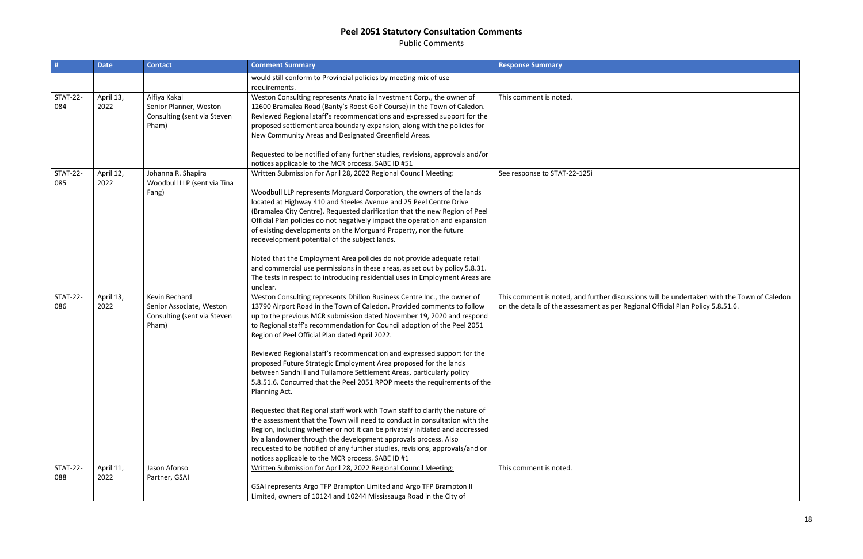Public Comments

| #                      | <b>Date</b>       | <b>Contact</b>                                                                    | <b>Comment Summary</b>                                                                                                                                                                                                                                                                                                                                                                                                                                                                                                                                                                                                                                                       | <b>Response Summary</b>                                                                   |
|------------------------|-------------------|-----------------------------------------------------------------------------------|------------------------------------------------------------------------------------------------------------------------------------------------------------------------------------------------------------------------------------------------------------------------------------------------------------------------------------------------------------------------------------------------------------------------------------------------------------------------------------------------------------------------------------------------------------------------------------------------------------------------------------------------------------------------------|-------------------------------------------------------------------------------------------|
|                        |                   |                                                                                   | would still conform to Provincial policies by meeting mix of use<br>requirements.                                                                                                                                                                                                                                                                                                                                                                                                                                                                                                                                                                                            |                                                                                           |
| <b>STAT-22-</b><br>084 | April 13,<br>2022 | Alfiya Kakal<br>Senior Planner, Weston<br>Consulting (sent via Steven<br>Pham)    | Weston Consulting represents Anatolia Investment Corp., the owner of<br>12600 Bramalea Road (Banty's Roost Golf Course) in the Town of Caledon.<br>Reviewed Regional staff's recommendations and expressed support for the<br>proposed settlement area boundary expansion, along with the policies for<br>New Community Areas and Designated Greenfield Areas.<br>Requested to be notified of any further studies, revisions, approvals and/or                                                                                                                                                                                                                               | This comment is noted.                                                                    |
| <b>STAT-22-</b><br>085 | April 12,<br>2022 | Johanna R. Shapira<br>Woodbull LLP (sent via Tina<br>Fang)                        | notices applicable to the MCR process. SABE ID #51<br>Written Submission for April 28, 2022 Regional Council Meeting:<br>Woodbull LLP represents Morguard Corporation, the owners of the lands<br>located at Highway 410 and Steeles Avenue and 25 Peel Centre Drive<br>(Bramalea City Centre). Requested clarification that the new Region of Peel<br>Official Plan policies do not negatively impact the operation and expansion<br>of existing developments on the Morguard Property, nor the future<br>redevelopment potential of the subject lands.<br>Noted that the Employment Area policies do not provide adequate retail                                           | See response to STAT-22-125i                                                              |
|                        |                   |                                                                                   | and commercial use permissions in these areas, as set out by policy 5.8.31.<br>The tests in respect to introducing residential uses in Employment Areas are<br>unclear.                                                                                                                                                                                                                                                                                                                                                                                                                                                                                                      |                                                                                           |
| <b>STAT-22-</b><br>086 | April 13,<br>2022 | Kevin Bechard<br>Senior Associate, Weston<br>Consulting (sent via Steven<br>Pham) | Weston Consulting represents Dhillon Business Centre Inc., the owner of<br>13790 Airport Road in the Town of Caledon. Provided comments to follow<br>up to the previous MCR submission dated November 19, 2020 and respond<br>to Regional staff's recommendation for Council adoption of the Peel 2051<br>Region of Peel Official Plan dated April 2022.<br>Reviewed Regional staff's recommendation and expressed support for the<br>proposed Future Strategic Employment Area proposed for the lands<br>between Sandhill and Tullamore Settlement Areas, particularly policy<br>5.8.51.6. Concurred that the Peel 2051 RPOP meets the requirements of the<br>Planning Act. | This comment is noted, and further discuss<br>on the details of the assessment as per Reg |
|                        |                   |                                                                                   | Requested that Regional staff work with Town staff to clarify the nature of<br>the assessment that the Town will need to conduct in consultation with the<br>Region, including whether or not it can be privately initiated and addressed<br>by a landowner through the development approvals process. Also<br>requested to be notified of any further studies, revisions, approvals/and or<br>notices applicable to the MCR process. SABE ID #1                                                                                                                                                                                                                             |                                                                                           |
| <b>STAT-22-</b><br>088 | April 11,<br>2022 | Jason Afonso<br>Partner, GSAI                                                     | Written Submission for April 28, 2022 Regional Council Meeting:<br>GSAI represents Argo TFP Brampton Limited and Argo TFP Brampton II<br>Limited, owners of 10124 and 10244 Mississauga Road in the City of                                                                                                                                                                                                                                                                                                                                                                                                                                                                  | This comment is noted.                                                                    |

sions will be undertaken with the Town of Caledon on<br>gional Official Plan Policy 5.8.51.6.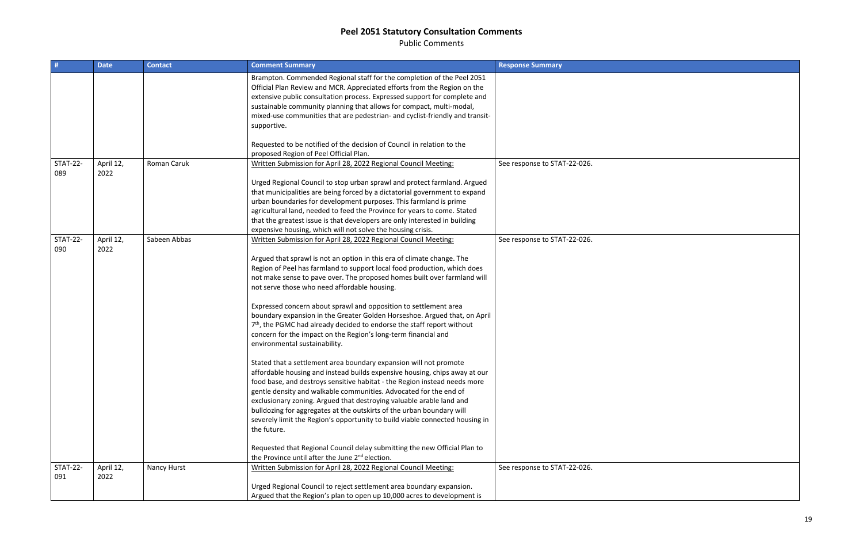Public Comments

| #                      | <b>Date</b>       | <b>Contact</b> | <b>Comment Summary</b>                                                                                                                                                                                                                                                                                                                                                                                                                                                                                                                                                                                                                                                                                                                                                                                                                                                                                                                                                                                                                                                                                                                                                                                                                                                                                                                                                                                                                                      | <b>Response Summary</b>      |
|------------------------|-------------------|----------------|-------------------------------------------------------------------------------------------------------------------------------------------------------------------------------------------------------------------------------------------------------------------------------------------------------------------------------------------------------------------------------------------------------------------------------------------------------------------------------------------------------------------------------------------------------------------------------------------------------------------------------------------------------------------------------------------------------------------------------------------------------------------------------------------------------------------------------------------------------------------------------------------------------------------------------------------------------------------------------------------------------------------------------------------------------------------------------------------------------------------------------------------------------------------------------------------------------------------------------------------------------------------------------------------------------------------------------------------------------------------------------------------------------------------------------------------------------------|------------------------------|
|                        |                   |                | Brampton. Commended Regional staff for the completion of the Peel 2051<br>Official Plan Review and MCR. Appreciated efforts from the Region on the<br>extensive public consultation process. Expressed support for complete and<br>sustainable community planning that allows for compact, multi-modal,<br>mixed-use communities that are pedestrian- and cyclist-friendly and transit-<br>supportive.                                                                                                                                                                                                                                                                                                                                                                                                                                                                                                                                                                                                                                                                                                                                                                                                                                                                                                                                                                                                                                                      |                              |
|                        |                   |                | Requested to be notified of the decision of Council in relation to the<br>proposed Region of Peel Official Plan.                                                                                                                                                                                                                                                                                                                                                                                                                                                                                                                                                                                                                                                                                                                                                                                                                                                                                                                                                                                                                                                                                                                                                                                                                                                                                                                                            |                              |
| <b>STAT-22-</b><br>089 | April 12,<br>2022 | Roman Caruk    | Written Submission for April 28, 2022 Regional Council Meeting:<br>Urged Regional Council to stop urban sprawl and protect farmland. Argued<br>that municipalities are being forced by a dictatorial government to expand<br>urban boundaries for development purposes. This farmland is prime<br>agricultural land, needed to feed the Province for years to come. Stated<br>that the greatest issue is that developers are only interested in building                                                                                                                                                                                                                                                                                                                                                                                                                                                                                                                                                                                                                                                                                                                                                                                                                                                                                                                                                                                                    | See response to STAT-22-026. |
| <b>STAT-22-</b><br>090 | April 12,<br>2022 | Sabeen Abbas   | expensive housing, which will not solve the housing crisis.<br>Written Submission for April 28, 2022 Regional Council Meeting:<br>Argued that sprawl is not an option in this era of climate change. The<br>Region of Peel has farmland to support local food production, which does<br>not make sense to pave over. The proposed homes built over farmland will<br>not serve those who need affordable housing.<br>Expressed concern about sprawl and opposition to settlement area<br>boundary expansion in the Greater Golden Horseshoe. Argued that, on April<br>7 <sup>th</sup> , the PGMC had already decided to endorse the staff report without<br>concern for the impact on the Region's long-term financial and<br>environmental sustainability.<br>Stated that a settlement area boundary expansion will not promote<br>affordable housing and instead builds expensive housing, chips away at our<br>food base, and destroys sensitive habitat - the Region instead needs more<br>gentle density and walkable communities. Advocated for the end of<br>exclusionary zoning. Argued that destroying valuable arable land and<br>bulldozing for aggregates at the outskirts of the urban boundary will<br>severely limit the Region's opportunity to build viable connected housing in<br>the future.<br>Requested that Regional Council delay submitting the new Official Plan to<br>the Province until after the June 2 <sup>nd</sup> election. | See response to STAT-22-026. |
| <b>STAT-22-</b><br>091 | April 12,<br>2022 | Nancy Hurst    | Written Submission for April 28, 2022 Regional Council Meeting:<br>Urged Regional Council to reject settlement area boundary expansion.                                                                                                                                                                                                                                                                                                                                                                                                                                                                                                                                                                                                                                                                                                                                                                                                                                                                                                                                                                                                                                                                                                                                                                                                                                                                                                                     | See response to STAT-22-026. |
|                        |                   |                | Argued that the Region's plan to open up 10,000 acres to development is                                                                                                                                                                                                                                                                                                                                                                                                                                                                                                                                                                                                                                                                                                                                                                                                                                                                                                                                                                                                                                                                                                                                                                                                                                                                                                                                                                                     |                              |

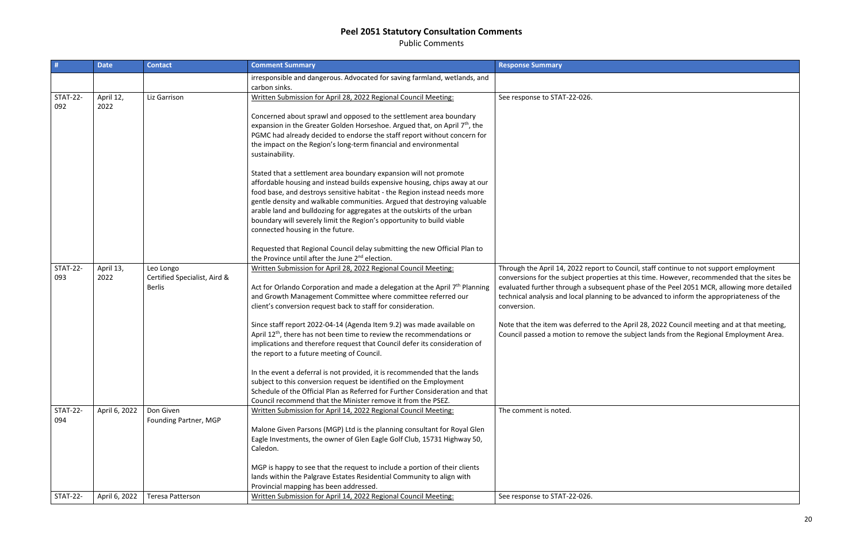Public Comments

|                        | <b>Date</b>       | <b>Contact</b>                                             | <b>Comment Summary</b>                                                                                                                                                                                                                                                                                                                                                                                                                                                                                                                                                                                                                                                                                                                                                                                                                                                                                                                                                              | <b>Response Summary</b>                                                                                                                                                                                                                                                                       |
|------------------------|-------------------|------------------------------------------------------------|-------------------------------------------------------------------------------------------------------------------------------------------------------------------------------------------------------------------------------------------------------------------------------------------------------------------------------------------------------------------------------------------------------------------------------------------------------------------------------------------------------------------------------------------------------------------------------------------------------------------------------------------------------------------------------------------------------------------------------------------------------------------------------------------------------------------------------------------------------------------------------------------------------------------------------------------------------------------------------------|-----------------------------------------------------------------------------------------------------------------------------------------------------------------------------------------------------------------------------------------------------------------------------------------------|
|                        |                   |                                                            | irresponsible and dangerous. Advocated for saving farmland, wetlands, and<br>carbon sinks.                                                                                                                                                                                                                                                                                                                                                                                                                                                                                                                                                                                                                                                                                                                                                                                                                                                                                          |                                                                                                                                                                                                                                                                                               |
| <b>STAT-22-</b><br>092 | April 12,<br>2022 | Liz Garrison                                               | Written Submission for April 28, 2022 Regional Council Meeting:<br>Concerned about sprawl and opposed to the settlement area boundary<br>expansion in the Greater Golden Horseshoe. Argued that, on April 7 <sup>th</sup> , the<br>PGMC had already decided to endorse the staff report without concern for<br>the impact on the Region's long-term financial and environmental<br>sustainability.<br>Stated that a settlement area boundary expansion will not promote<br>affordable housing and instead builds expensive housing, chips away at our<br>food base, and destroys sensitive habitat - the Region instead needs more<br>gentle density and walkable communities. Argued that destroying valuable<br>arable land and bulldozing for aggregates at the outskirts of the urban<br>boundary will severely limit the Region's opportunity to build viable<br>connected housing in the future.<br>Requested that Regional Council delay submitting the new Official Plan to | See response to STAT-22-026.                                                                                                                                                                                                                                                                  |
| <b>STAT-22-</b><br>093 | April 13,<br>2022 | Leo Longo<br>Certified Specialist, Aird &<br><b>Berlis</b> | the Province until after the June 2 <sup>nd</sup> election.<br>Written Submission for April 28, 2022 Regional Council Meeting:<br>Act for Orlando Corporation and made a delegation at the April 7 <sup>th</sup> Planning<br>and Growth Management Committee where committee referred our<br>client's conversion request back to staff for consideration.<br>Since staff report 2022-04-14 (Agenda Item 9.2) was made available on<br>April $12th$ , there has not been time to review the recommendations or<br>implications and therefore request that Council defer its consideration of<br>the report to a future meeting of Council.<br>In the event a deferral is not provided, it is recommended that the lands<br>subject to this conversion request be identified on the Employment<br>Schedule of the Official Plan as Referred for Further Consideration and that<br>Council recommend that the Minister remove it from the PSEZ.                                        | Through the April 14, 2022 report to Coun<br>conversions for the subject properties at t<br>evaluated further through a subsequent pl<br>technical analysis and local planning to be<br>conversion.<br>Note that the item was deferred to the Ap<br>Council passed a motion to remove the sul |
| <b>STAT-22-</b><br>094 | April 6, 2022     | Don Given<br>Founding Partner, MGP                         | Written Submission for April 14, 2022 Regional Council Meeting:<br>Malone Given Parsons (MGP) Ltd is the planning consultant for Royal Glen<br>Eagle Investments, the owner of Glen Eagle Golf Club, 15731 Highway 50,<br>Caledon.<br>MGP is happy to see that the request to include a portion of their clients<br>lands within the Palgrave Estates Residential Community to align with<br>Provincial mapping has been addressed.                                                                                                                                                                                                                                                                                                                                                                                                                                                                                                                                                 | The comment is noted.                                                                                                                                                                                                                                                                         |
| <b>STAT-22-</b>        | April 6, 2022     | <b>Teresa Patterson</b>                                    | Written Submission for April 14, 2022 Regional Council Meeting:                                                                                                                                                                                                                                                                                                                                                                                                                                                                                                                                                                                                                                                                                                                                                                                                                                                                                                                     | See response to STAT-22-026.                                                                                                                                                                                                                                                                  |

ncil, staff continue to not support employment this time. However, recommended that the sites be phase of the Peel 2051 MCR, allowing more detailed e advanced to inform the appropriateness of the

pril 28, 2022 Council meeting and at that meeting, ubject lands from the Regional Employment Area.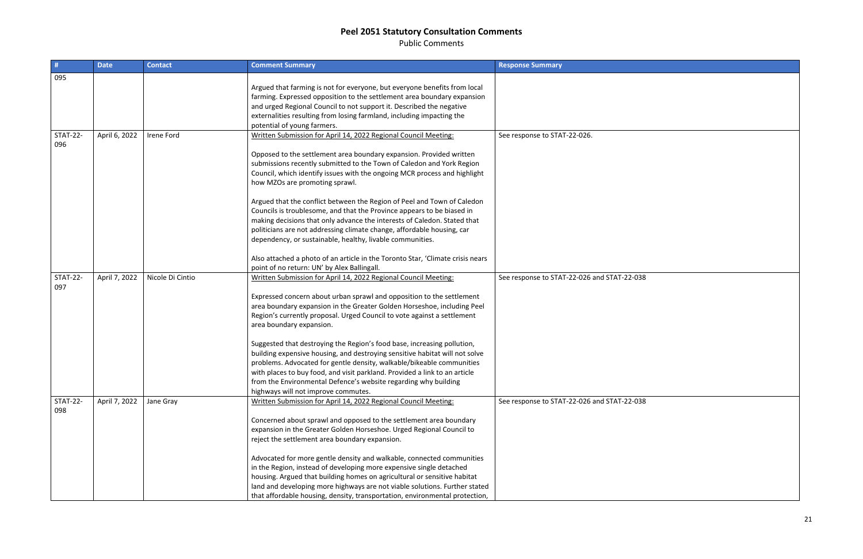Public Comments

| #               | <b>Date</b>   | <b>Contact</b>   | <b>Comment Summary</b>                                                                                                                           | <b>Response Summary</b>                     |
|-----------------|---------------|------------------|--------------------------------------------------------------------------------------------------------------------------------------------------|---------------------------------------------|
| 095             |               |                  |                                                                                                                                                  |                                             |
|                 |               |                  | Argued that farming is not for everyone, but everyone benefits from local                                                                        |                                             |
|                 |               |                  | farming. Expressed opposition to the settlement area boundary expansion                                                                          |                                             |
|                 |               |                  | and urged Regional Council to not support it. Described the negative                                                                             |                                             |
|                 |               |                  | externalities resulting from losing farmland, including impacting the                                                                            |                                             |
|                 |               |                  | potential of young farmers.                                                                                                                      |                                             |
| <b>STAT-22-</b> | April 6, 2022 | Irene Ford       | Written Submission for April 14, 2022 Regional Council Meeting:                                                                                  | See response to STAT-22-026.                |
| 096             |               |                  | Opposed to the settlement area boundary expansion. Provided written                                                                              |                                             |
|                 |               |                  | submissions recently submitted to the Town of Caledon and York Region                                                                            |                                             |
|                 |               |                  | Council, which identify issues with the ongoing MCR process and highlight                                                                        |                                             |
|                 |               |                  | how MZOs are promoting sprawl.                                                                                                                   |                                             |
|                 |               |                  |                                                                                                                                                  |                                             |
|                 |               |                  | Argued that the conflict between the Region of Peel and Town of Caledon                                                                          |                                             |
|                 |               |                  | Councils is troublesome, and that the Province appears to be biased in                                                                           |                                             |
|                 |               |                  | making decisions that only advance the interests of Caledon. Stated that                                                                         |                                             |
|                 |               |                  | politicians are not addressing climate change, affordable housing, car                                                                           |                                             |
|                 |               |                  | dependency, or sustainable, healthy, livable communities.                                                                                        |                                             |
|                 |               |                  |                                                                                                                                                  |                                             |
|                 |               |                  | Also attached a photo of an article in the Toronto Star, 'Climate crisis nears                                                                   |                                             |
|                 |               |                  | point of no return: UN' by Alex Ballingall.                                                                                                      |                                             |
| <b>STAT-22-</b> | April 7, 2022 | Nicole Di Cintio | Written Submission for April 14, 2022 Regional Council Meeting:                                                                                  | See response to STAT-22-026 and STAT-22-038 |
| 097             |               |                  |                                                                                                                                                  |                                             |
|                 |               |                  | Expressed concern about urban sprawl and opposition to the settlement<br>area boundary expansion in the Greater Golden Horseshoe, including Peel |                                             |
|                 |               |                  | Region's currently proposal. Urged Council to vote against a settlement                                                                          |                                             |
|                 |               |                  | area boundary expansion.                                                                                                                         |                                             |
|                 |               |                  |                                                                                                                                                  |                                             |
|                 |               |                  | Suggested that destroying the Region's food base, increasing pollution,                                                                          |                                             |
|                 |               |                  | building expensive housing, and destroying sensitive habitat will not solve                                                                      |                                             |
|                 |               |                  | problems. Advocated for gentle density, walkable/bikeable communities                                                                            |                                             |
|                 |               |                  | with places to buy food, and visit parkland. Provided a link to an article                                                                       |                                             |
|                 |               |                  | from the Environmental Defence's website regarding why building                                                                                  |                                             |
|                 |               |                  | highways will not improve commutes.                                                                                                              |                                             |
| <b>STAT-22-</b> | April 7, 2022 | Jane Gray        | Written Submission for April 14, 2022 Regional Council Meeting:                                                                                  | See response to STAT-22-026 and STAT-22-038 |
| 098             |               |                  |                                                                                                                                                  |                                             |
|                 |               |                  | Concerned about sprawl and opposed to the settlement area boundary                                                                               |                                             |
|                 |               |                  | expansion in the Greater Golden Horseshoe. Urged Regional Council to                                                                             |                                             |
|                 |               |                  | reject the settlement area boundary expansion.                                                                                                   |                                             |
|                 |               |                  | Advocated for more gentle density and walkable, connected communities                                                                            |                                             |
|                 |               |                  | in the Region, instead of developing more expensive single detached                                                                              |                                             |
|                 |               |                  | housing. Argued that building homes on agricultural or sensitive habitat                                                                         |                                             |
|                 |               |                  | land and developing more highways are not viable solutions. Further stated                                                                       |                                             |
|                 |               |                  | that affordable housing, density, transportation, environmental protection,                                                                      |                                             |

| 038 |  |
|-----|--|
|     |  |
|     |  |
|     |  |
|     |  |
|     |  |
|     |  |
|     |  |
|     |  |
|     |  |
|     |  |
|     |  |
|     |  |
|     |  |
| 038 |  |
|     |  |
|     |  |
|     |  |
|     |  |
|     |  |
|     |  |
|     |  |
|     |  |
|     |  |
|     |  |
|     |  |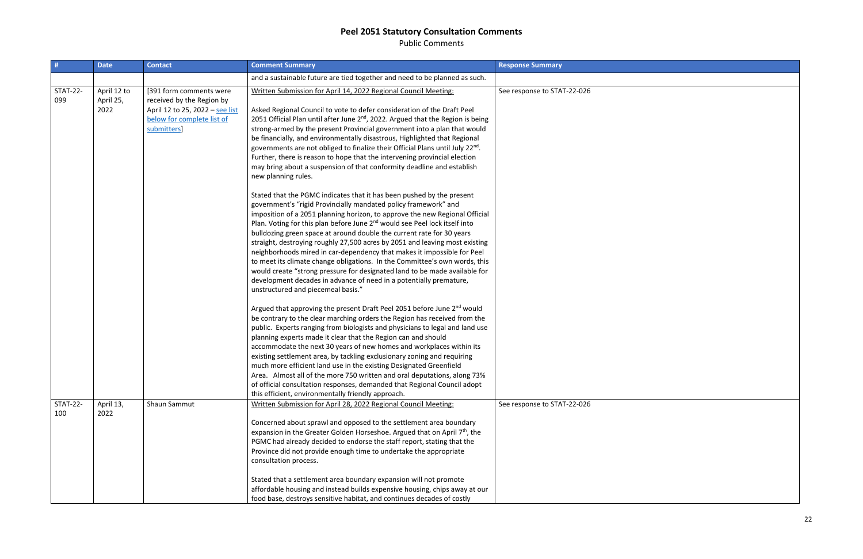Public Comments

| #                      | <b>Date</b>                      | <b>Contact</b>                                                                                                                       | <b>Comment Summary</b>                                                                                                                                                                                                                                                                                                                                                                                                                                                                                                                                                                                                                                                                                                                                                                                                       | <b>Response Summary</b>     |
|------------------------|----------------------------------|--------------------------------------------------------------------------------------------------------------------------------------|------------------------------------------------------------------------------------------------------------------------------------------------------------------------------------------------------------------------------------------------------------------------------------------------------------------------------------------------------------------------------------------------------------------------------------------------------------------------------------------------------------------------------------------------------------------------------------------------------------------------------------------------------------------------------------------------------------------------------------------------------------------------------------------------------------------------------|-----------------------------|
|                        |                                  |                                                                                                                                      | and a sustainable future are tied together and need to be planned as such.                                                                                                                                                                                                                                                                                                                                                                                                                                                                                                                                                                                                                                                                                                                                                   |                             |
| <b>STAT-22-</b><br>099 | April 12 to<br>April 25,<br>2022 | [391 form comments were<br>received by the Region by<br>April 12 to 25, 2022 - see list<br>below for complete list of<br>submitters] | Written Submission for April 14, 2022 Regional Council Meeting:<br>Asked Regional Council to vote to defer consideration of the Draft Peel<br>2051 Official Plan until after June 2 <sup>nd</sup> , 2022. Argued that the Region is being<br>strong-armed by the present Provincial government into a plan that would<br>be financially, and environmentally disastrous, Highlighted that Regional<br>governments are not obliged to finalize their Official Plans until July 22 <sup>nd</sup> .<br>Further, there is reason to hope that the intervening provincial election<br>may bring about a suspension of that conformity deadline and establish<br>new planning rules.                                                                                                                                               | See response to STAT-22-026 |
|                        |                                  |                                                                                                                                      | Stated that the PGMC indicates that it has been pushed by the present<br>government's "rigid Provincially mandated policy framework" and<br>imposition of a 2051 planning horizon, to approve the new Regional Official<br>Plan. Voting for this plan before June 2 <sup>nd</sup> would see Peel lock itself into<br>bulldozing green space at around double the current rate for 30 years<br>straight, destroying roughly 27,500 acres by 2051 and leaving most existing<br>neighborhoods mired in car-dependency that makes it impossible for Peel<br>to meet its climate change obligations. In the Committee's own words, this<br>would create "strong pressure for designated land to be made available for<br>development decades in advance of need in a potentially premature,<br>unstructured and piecemeal basis." |                             |
|                        |                                  |                                                                                                                                      | Argued that approving the present Draft Peel 2051 before June 2 <sup>nd</sup> would<br>be contrary to the clear marching orders the Region has received from the<br>public. Experts ranging from biologists and physicians to legal and land use<br>planning experts made it clear that the Region can and should<br>accommodate the next 30 years of new homes and workplaces within its<br>existing settlement area, by tackling exclusionary zoning and requiring<br>much more efficient land use in the existing Designated Greenfield<br>Area. Almost all of the more 750 written and oral deputations, along 73%<br>of official consultation responses, demanded that Regional Council adopt<br>this efficient, environmentally friendly approach.                                                                     |                             |
| <b>STAT-22-</b><br>100 | April 13,<br>2022                | Shaun Sammut                                                                                                                         | Written Submission for April 28, 2022 Regional Council Meeting:<br>Concerned about sprawl and opposed to the settlement area boundary<br>expansion in the Greater Golden Horseshoe. Argued that on April 7 <sup>th</sup> , the<br>PGMC had already decided to endorse the staff report, stating that the<br>Province did not provide enough time to undertake the appropriate<br>consultation process.<br>Stated that a settlement area boundary expansion will not promote<br>affordable housing and instead builds expensive housing, chips away at our<br>food base, destroys sensitive habitat, and continues decades of costly                                                                                                                                                                                          | See response to STAT-22-026 |

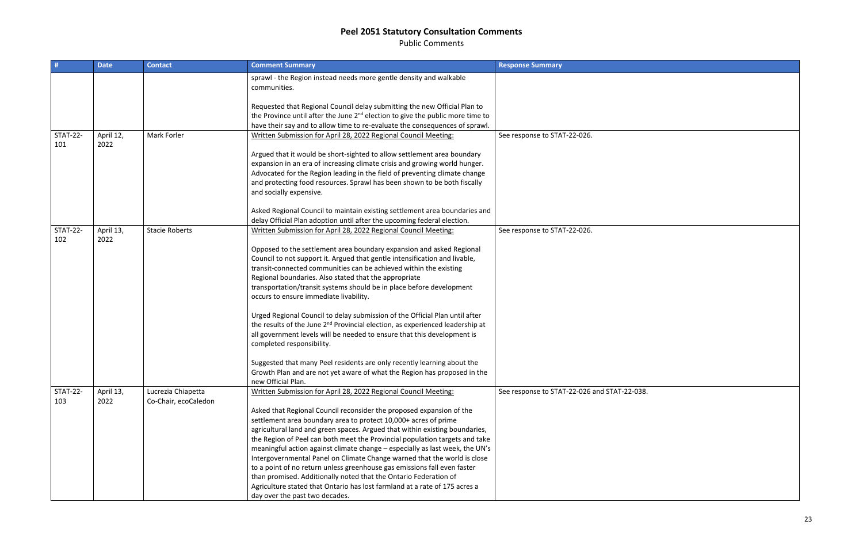Public Comments

|                        | <b>Date</b>       | <b>Contact</b>                             | <b>Comment Summary</b>                                                                                                                                                                                                                                                                                                                                                                                                                                                                                                                                                                                                                                                                                                                                                                                                                                                                                                                 | <b>Response Summary</b>                 |
|------------------------|-------------------|--------------------------------------------|----------------------------------------------------------------------------------------------------------------------------------------------------------------------------------------------------------------------------------------------------------------------------------------------------------------------------------------------------------------------------------------------------------------------------------------------------------------------------------------------------------------------------------------------------------------------------------------------------------------------------------------------------------------------------------------------------------------------------------------------------------------------------------------------------------------------------------------------------------------------------------------------------------------------------------------|-----------------------------------------|
|                        |                   |                                            | sprawl - the Region instead needs more gentle density and walkable<br>communities.                                                                                                                                                                                                                                                                                                                                                                                                                                                                                                                                                                                                                                                                                                                                                                                                                                                     |                                         |
|                        |                   |                                            | Requested that Regional Council delay submitting the new Official Plan to<br>the Province until after the June 2 <sup>nd</sup> election to give the public more time to<br>have their say and to allow time to re-evaluate the consequences of sprawl.                                                                                                                                                                                                                                                                                                                                                                                                                                                                                                                                                                                                                                                                                 |                                         |
| <b>STAT-22-</b><br>101 | April 12,<br>2022 | Mark Forler                                | Written Submission for April 28, 2022 Regional Council Meeting:<br>Argued that it would be short-sighted to allow settlement area boundary                                                                                                                                                                                                                                                                                                                                                                                                                                                                                                                                                                                                                                                                                                                                                                                             | See response to STAT-22-026.            |
|                        |                   |                                            | expansion in an era of increasing climate crisis and growing world hunger.<br>Advocated for the Region leading in the field of preventing climate change<br>and protecting food resources. Sprawl has been shown to be both fiscally<br>and socially expensive.                                                                                                                                                                                                                                                                                                                                                                                                                                                                                                                                                                                                                                                                        |                                         |
|                        |                   |                                            | Asked Regional Council to maintain existing settlement area boundaries and<br>delay Official Plan adoption until after the upcoming federal election.                                                                                                                                                                                                                                                                                                                                                                                                                                                                                                                                                                                                                                                                                                                                                                                  |                                         |
| <b>STAT-22-</b><br>102 | April 13,<br>2022 | <b>Stacie Roberts</b>                      | Written Submission for April 28, 2022 Regional Council Meeting:<br>Opposed to the settlement area boundary expansion and asked Regional<br>Council to not support it. Argued that gentle intensification and livable,<br>transit-connected communities can be achieved within the existing<br>Regional boundaries. Also stated that the appropriate<br>transportation/transit systems should be in place before development<br>occurs to ensure immediate livability.<br>Urged Regional Council to delay submission of the Official Plan until after<br>the results of the June 2 <sup>nd</sup> Provincial election, as experienced leadership at<br>all government levels will be needed to ensure that this development is<br>completed responsibility.<br>Suggested that many Peel residents are only recently learning about the<br>Growth Plan and are not yet aware of what the Region has proposed in the<br>new Official Plan. | See response to STAT-22-026.            |
| <b>STAT-22-</b><br>103 | April 13,<br>2022 | Lucrezia Chiapetta<br>Co-Chair, ecoCaledon | Written Submission for April 28, 2022 Regional Council Meeting:<br>Asked that Regional Council reconsider the proposed expansion of the<br>settlement area boundary area to protect 10,000+ acres of prime<br>agricultural land and green spaces. Argued that within existing boundaries,<br>the Region of Peel can both meet the Provincial population targets and take<br>meaningful action against climate change - especially as last week, the UN's<br>Intergovernmental Panel on Climate Change warned that the world is close<br>to a point of no return unless greenhouse gas emissions fall even faster<br>than promised. Additionally noted that the Ontario Federation of<br>Agriculture stated that Ontario has lost farmland at a rate of 175 acres a<br>day over the past two decades.                                                                                                                                   | See response to STAT-22-026 and STAT-22 |

 $\overline{2-038.}$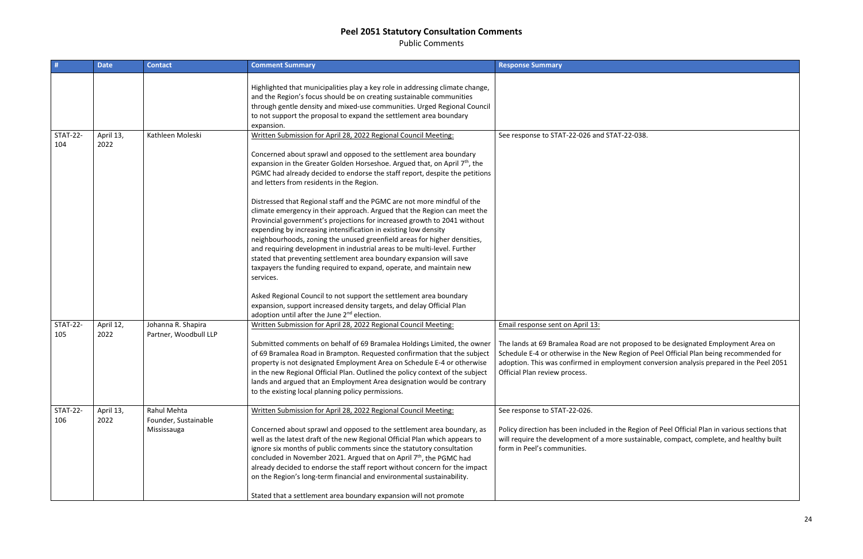Public Comments

| #                      | <b>Date</b>       | <b>Contact</b>                                     | <b>Comment Summary</b>                                                                                                                                                                                                                                                                                                                                                                                                                                                                                                                                                                                                                                                                                                                                                                                                                                                                                                                                                               | <b>Response Summary</b>                                                                                                                                                                                  |
|------------------------|-------------------|----------------------------------------------------|--------------------------------------------------------------------------------------------------------------------------------------------------------------------------------------------------------------------------------------------------------------------------------------------------------------------------------------------------------------------------------------------------------------------------------------------------------------------------------------------------------------------------------------------------------------------------------------------------------------------------------------------------------------------------------------------------------------------------------------------------------------------------------------------------------------------------------------------------------------------------------------------------------------------------------------------------------------------------------------|----------------------------------------------------------------------------------------------------------------------------------------------------------------------------------------------------------|
|                        |                   |                                                    | Highlighted that municipalities play a key role in addressing climate change,<br>and the Region's focus should be on creating sustainable communities<br>through gentle density and mixed-use communities. Urged Regional Council<br>to not support the proposal to expand the settlement area boundary<br>expansion.                                                                                                                                                                                                                                                                                                                                                                                                                                                                                                                                                                                                                                                                |                                                                                                                                                                                                          |
| <b>STAT-22-</b><br>104 | April 13,<br>2022 | Kathleen Moleski                                   | Written Submission for April 28, 2022 Regional Council Meeting:<br>Concerned about sprawl and opposed to the settlement area boundary<br>expansion in the Greater Golden Horseshoe. Argued that, on April 7 <sup>th</sup> , the<br>PGMC had already decided to endorse the staff report, despite the petitions<br>and letters from residents in the Region.<br>Distressed that Regional staff and the PGMC are not more mindful of the<br>climate emergency in their approach. Argued that the Region can meet the<br>Provincial government's projections for increased growth to 2041 without<br>expending by increasing intensification in existing low density<br>neighbourhoods, zoning the unused greenfield areas for higher densities,<br>and requiring development in industrial areas to be multi-level. Further<br>stated that preventing settlement area boundary expansion will save<br>taxpayers the funding required to expand, operate, and maintain new<br>services. | See response to STAT-22-026 and STAT-22-                                                                                                                                                                 |
|                        |                   |                                                    | Asked Regional Council to not support the settlement area boundary<br>expansion, support increased density targets, and delay Official Plan<br>adoption until after the June 2 <sup>nd</sup> election.                                                                                                                                                                                                                                                                                                                                                                                                                                                                                                                                                                                                                                                                                                                                                                               |                                                                                                                                                                                                          |
| <b>STAT-22-</b><br>105 | April 12,<br>2022 | Johanna R. Shapira<br>Partner, Woodbull LLP        | Written Submission for April 28, 2022 Regional Council Meeting:<br>Submitted comments on behalf of 69 Bramalea Holdings Limited, the owner<br>of 69 Bramalea Road in Brampton. Requested confirmation that the subject<br>property is not designated Employment Area on Schedule E-4 or otherwise<br>in the new Regional Official Plan. Outlined the policy context of the subject<br>lands and argued that an Employment Area designation would be contrary<br>to the existing local planning policy permissions.                                                                                                                                                                                                                                                                                                                                                                                                                                                                   | Email response sent on April 13:<br>The lands at 69 Bramalea Road are not pro<br>Schedule E-4 or otherwise in the New Regio<br>adoption. This was confirmed in employme<br>Official Plan review process. |
| <b>STAT-22-</b><br>106 | April 13,<br>2022 | Rahul Mehta<br>Founder, Sustainable<br>Mississauga | Written Submission for April 28, 2022 Regional Council Meeting:<br>Concerned about sprawl and opposed to the settlement area boundary, as<br>well as the latest draft of the new Regional Official Plan which appears to<br>ignore six months of public comments since the statutory consultation<br>concluded in November 2021. Argued that on April 7 <sup>th</sup> , the PGMC had<br>already decided to endorse the staff report without concern for the impact<br>on the Region's long-term financial and environmental sustainability.<br>Stated that a settlement area boundary expansion will not promote                                                                                                                                                                                                                                                                                                                                                                     | See response to STAT-22-026.<br>Policy direction has been included in the Re<br>will require the development of a more sus<br>form in Peel's communities.                                                |

 $\overline{2-038}$ .

pposed to be designated Employment Area on ion of Peel Official Plan being recommended for ent conversion analysis prepared in the Peel 2051

Region of Peel Official Plan in various sections that istainable, compact, complete, and healthy built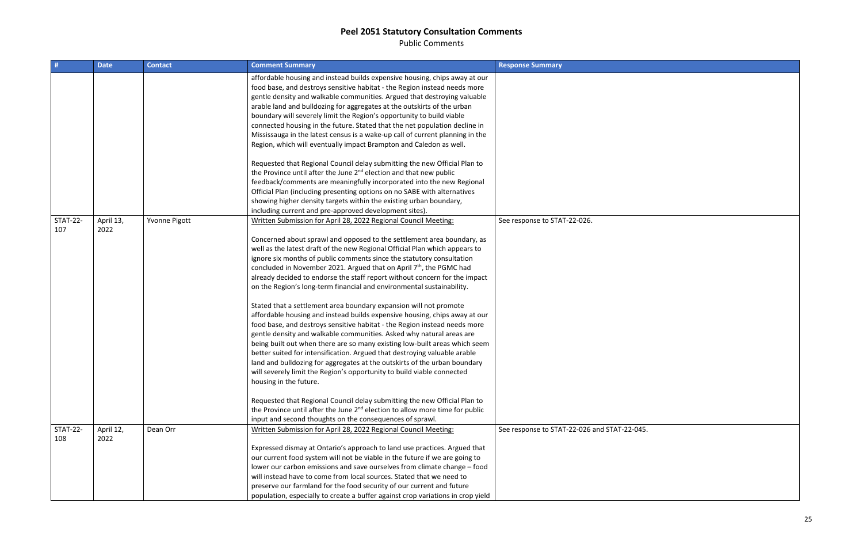Public Comments

|                        | <b>Date</b>       | <b>Contact</b> | <b>Comment Summary</b>                                                                                                                                                                                                                                                                                                                                                                                                                                                                                                                                                                                                                                                                                                                                                                                                                                                                                                                                                                                                                                                                                                                                                                          | <b>Response Summary</b>               |
|------------------------|-------------------|----------------|-------------------------------------------------------------------------------------------------------------------------------------------------------------------------------------------------------------------------------------------------------------------------------------------------------------------------------------------------------------------------------------------------------------------------------------------------------------------------------------------------------------------------------------------------------------------------------------------------------------------------------------------------------------------------------------------------------------------------------------------------------------------------------------------------------------------------------------------------------------------------------------------------------------------------------------------------------------------------------------------------------------------------------------------------------------------------------------------------------------------------------------------------------------------------------------------------|---------------------------------------|
|                        |                   |                | affordable housing and instead builds expensive housing, chips away at our<br>food base, and destroys sensitive habitat - the Region instead needs more<br>gentle density and walkable communities. Argued that destroying valuable<br>arable land and bulldozing for aggregates at the outskirts of the urban<br>boundary will severely limit the Region's opportunity to build viable<br>connected housing in the future. Stated that the net population decline in<br>Mississauga in the latest census is a wake-up call of current planning in the<br>Region, which will eventually impact Brampton and Caledon as well.                                                                                                                                                                                                                                                                                                                                                                                                                                                                                                                                                                    |                                       |
|                        |                   |                | Requested that Regional Council delay submitting the new Official Plan to<br>the Province until after the June 2 <sup>nd</sup> election and that new public<br>feedback/comments are meaningfully incorporated into the new Regional<br>Official Plan (including presenting options on no SABE with alternatives<br>showing higher density targets within the existing urban boundary,<br>including current and pre-approved development sites).                                                                                                                                                                                                                                                                                                                                                                                                                                                                                                                                                                                                                                                                                                                                                |                                       |
| <b>STAT-22-</b><br>107 | April 13,<br>2022 | Yvonne Pigott  | Written Submission for April 28, 2022 Regional Council Meeting:<br>Concerned about sprawl and opposed to the settlement area boundary, as<br>well as the latest draft of the new Regional Official Plan which appears to<br>ignore six months of public comments since the statutory consultation<br>concluded in November 2021. Argued that on April 7 <sup>th</sup> , the PGMC had<br>already decided to endorse the staff report without concern for the impact<br>on the Region's long-term financial and environmental sustainability.<br>Stated that a settlement area boundary expansion will not promote<br>affordable housing and instead builds expensive housing, chips away at our<br>food base, and destroys sensitive habitat - the Region instead needs more<br>gentle density and walkable communities. Asked why natural areas are<br>being built out when there are so many existing low-built areas which seem<br>better suited for intensification. Argued that destroying valuable arable<br>land and bulldozing for aggregates at the outskirts of the urban boundary<br>will severely limit the Region's opportunity to build viable connected<br>housing in the future. | See response to STAT-22-026.          |
|                        |                   |                | Requested that Regional Council delay submitting the new Official Plan to<br>the Province until after the June 2 <sup>nd</sup> election to allow more time for public<br>input and second thoughts on the consequences of sprawl.                                                                                                                                                                                                                                                                                                                                                                                                                                                                                                                                                                                                                                                                                                                                                                                                                                                                                                                                                               |                                       |
| <b>STAT-22-</b><br>108 | April 12,<br>2022 | Dean Orr       | Written Submission for April 28, 2022 Regional Council Meeting:<br>Expressed dismay at Ontario's approach to land use practices. Argued that<br>our current food system will not be viable in the future if we are going to<br>lower our carbon emissions and save ourselves from climate change - food<br>will instead have to come from local sources. Stated that we need to<br>preserve our farmland for the food security of our current and future<br>population, especially to create a buffer against crop variations in crop yield                                                                                                                                                                                                                                                                                                                                                                                                                                                                                                                                                                                                                                                     | See response to STAT-22-026 and STAT- |

 $-22-045.$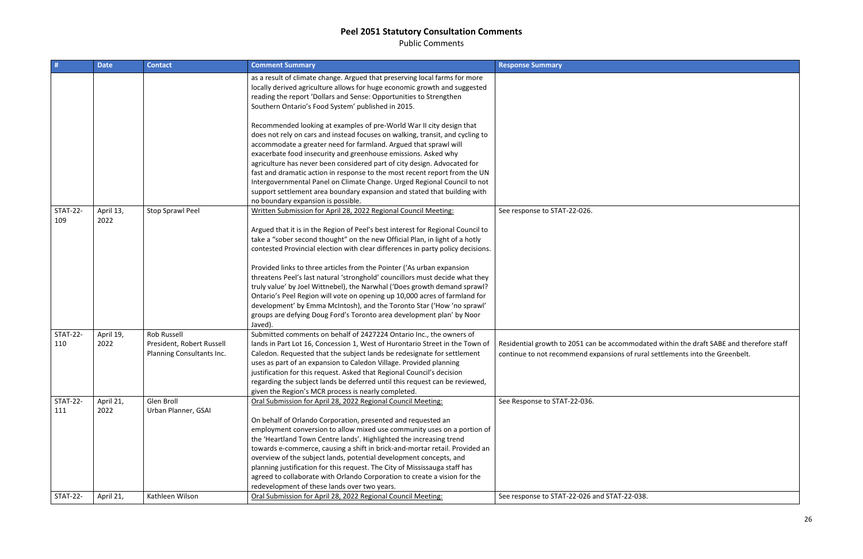Public Comments

|                        | <b>Date</b>       | <b>Contact</b>                                                               | <b>Comment Summary</b>                                                                                                                                                                                                                                                                                                                                                                                                                                                                                                                                                                                                                              | <b>Response Summary</b>                                                                      |
|------------------------|-------------------|------------------------------------------------------------------------------|-----------------------------------------------------------------------------------------------------------------------------------------------------------------------------------------------------------------------------------------------------------------------------------------------------------------------------------------------------------------------------------------------------------------------------------------------------------------------------------------------------------------------------------------------------------------------------------------------------------------------------------------------------|----------------------------------------------------------------------------------------------|
|                        |                   |                                                                              | as a result of climate change. Argued that preserving local farms for more<br>locally derived agriculture allows for huge economic growth and suggested<br>reading the report 'Dollars and Sense: Opportunities to Strengthen<br>Southern Ontario's Food System' published in 2015.                                                                                                                                                                                                                                                                                                                                                                 |                                                                                              |
|                        |                   |                                                                              | Recommended looking at examples of pre-World War II city design that<br>does not rely on cars and instead focuses on walking, transit, and cycling to<br>accommodate a greater need for farmland. Argued that sprawl will<br>exacerbate food insecurity and greenhouse emissions. Asked why<br>agriculture has never been considered part of city design. Advocated for<br>fast and dramatic action in response to the most recent report from the UN<br>Intergovernmental Panel on Climate Change. Urged Regional Council to not<br>support settlement area boundary expansion and stated that building with<br>no boundary expansion is possible. |                                                                                              |
| <b>STAT-22-</b><br>109 | April 13,<br>2022 | Stop Sprawl Peel                                                             | Written Submission for April 28, 2022 Regional Council Meeting:<br>Argued that it is in the Region of Peel's best interest for Regional Council to<br>take a "sober second thought" on the new Official Plan, in light of a hotly<br>contested Provincial election with clear differences in party policy decisions.                                                                                                                                                                                                                                                                                                                                | See response to STAT-22-026.                                                                 |
|                        |                   |                                                                              | Provided links to three articles from the Pointer ('As urban expansion<br>threatens Peel's last natural 'stronghold' councillors must decide what they<br>truly value' by Joel Wittnebel), the Narwhal ('Does growth demand sprawl?<br>Ontario's Peel Region will vote on opening up 10,000 acres of farmland for<br>development' by Emma McIntosh), and the Toronto Star ('How 'no sprawl'<br>groups are defying Doug Ford's Toronto area development plan' by Noor<br>Javed).                                                                                                                                                                     |                                                                                              |
| <b>STAT-22-</b><br>110 | April 19,<br>2022 | <b>Rob Russell</b><br>President, Robert Russell<br>Planning Consultants Inc. | Submitted comments on behalf of 2427224 Ontario Inc., the owners of<br>lands in Part Lot 16, Concession 1, West of Hurontario Street in the Town of<br>Caledon. Requested that the subject lands be redesignate for settlement<br>uses as part of an expansion to Caledon Village. Provided planning<br>justification for this request. Asked that Regional Council's decision<br>regarding the subject lands be deferred until this request can be reviewed,<br>given the Region's MCR process is nearly completed.                                                                                                                                | Residential growth to 2051 can be accommodat<br>continue to not recommend expansions of rura |
| <b>STAT-22-</b><br>111 | April 21,<br>2022 | Glen Broll<br>Urban Planner, GSAI                                            | Oral Submission for April 28, 2022 Regional Council Meeting:<br>On behalf of Orlando Corporation, presented and requested an<br>employment conversion to allow mixed use community uses on a portion of<br>the 'Heartland Town Centre lands'. Highlighted the increasing trend<br>towards e-commerce, causing a shift in brick-and-mortar retail. Provided an<br>overview of the subject lands, potential development concepts, and<br>planning justification for this request. The City of Mississauga staff has<br>agreed to collaborate with Orlando Corporation to create a vision for the<br>redevelopment of these lands over two years.      | See Response to STAT-22-036.                                                                 |
| <b>STAT-22-</b>        | April 21,         | Kathleen Wilson                                                              | Oral Submission for April 28, 2022 Regional Council Meeting:                                                                                                                                                                                                                                                                                                                                                                                                                                                                                                                                                                                        | See response to STAT-22-026 and STAT-22-038.                                                 |

nmodated within the draft SABE and therefore staff of rural settlements into the Greenbelt.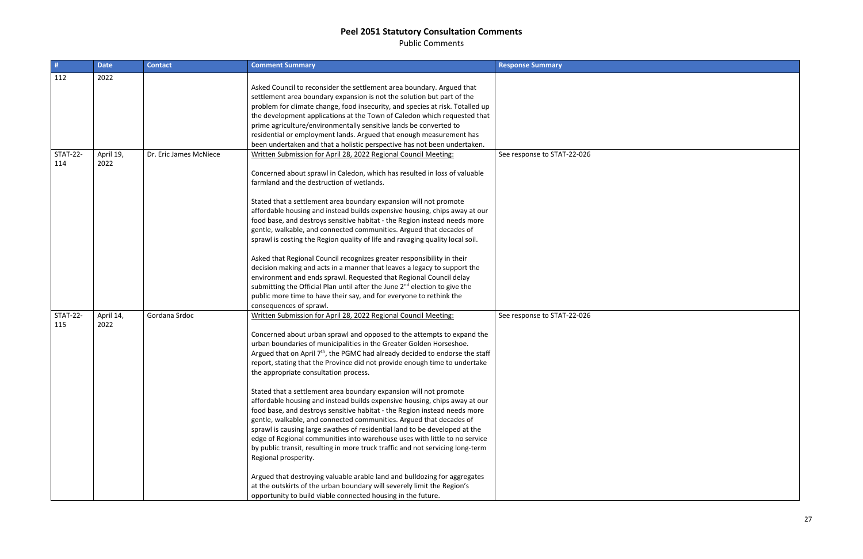Public Comments

| #               | <b>Date</b> | <b>Contact</b>         | <b>Comment Summary</b>                                                                                                                   | <b>Response Summary</b>     |
|-----------------|-------------|------------------------|------------------------------------------------------------------------------------------------------------------------------------------|-----------------------------|
| 112             | 2022        |                        |                                                                                                                                          |                             |
|                 |             |                        | Asked Council to reconsider the settlement area boundary. Argued that                                                                    |                             |
|                 |             |                        | settlement area boundary expansion is not the solution but part of the                                                                   |                             |
|                 |             |                        | problem for climate change, food insecurity, and species at risk. Totalled up                                                            |                             |
|                 |             |                        | the development applications at the Town of Caledon which requested that                                                                 |                             |
|                 |             |                        | prime agriculture/environmentally sensitive lands be converted to<br>residential or employment lands. Argued that enough measurement has |                             |
|                 |             |                        | been undertaken and that a holistic perspective has not been undertaken.                                                                 |                             |
| <b>STAT-22-</b> | April 19,   | Dr. Eric James McNiece | Written Submission for April 28, 2022 Regional Council Meeting:                                                                          | See response to STAT-22-026 |
| 114             | 2022        |                        |                                                                                                                                          |                             |
|                 |             |                        | Concerned about sprawl in Caledon, which has resulted in loss of valuable                                                                |                             |
|                 |             |                        | farmland and the destruction of wetlands.                                                                                                |                             |
|                 |             |                        |                                                                                                                                          |                             |
|                 |             |                        | Stated that a settlement area boundary expansion will not promote                                                                        |                             |
|                 |             |                        | affordable housing and instead builds expensive housing, chips away at our                                                               |                             |
|                 |             |                        | food base, and destroys sensitive habitat - the Region instead needs more                                                                |                             |
|                 |             |                        | gentle, walkable, and connected communities. Argued that decades of                                                                      |                             |
|                 |             |                        | sprawl is costing the Region quality of life and ravaging quality local soil.                                                            |                             |
|                 |             |                        |                                                                                                                                          |                             |
|                 |             |                        | Asked that Regional Council recognizes greater responsibility in their                                                                   |                             |
|                 |             |                        | decision making and acts in a manner that leaves a legacy to support the                                                                 |                             |
|                 |             |                        | environment and ends sprawl. Requested that Regional Council delay                                                                       |                             |
|                 |             |                        | submitting the Official Plan until after the June 2 <sup>nd</sup> election to give the                                                   |                             |
|                 |             |                        | public more time to have their say, and for everyone to rethink the                                                                      |                             |
| <b>STAT-22-</b> | April 14,   | Gordana Srdoc          | consequences of sprawl.<br>Written Submission for April 28, 2022 Regional Council Meeting:                                               |                             |
| 115             | 2022        |                        |                                                                                                                                          | See response to STAT-22-026 |
|                 |             |                        | Concerned about urban sprawl and opposed to the attempts to expand the                                                                   |                             |
|                 |             |                        | urban boundaries of municipalities in the Greater Golden Horseshoe.                                                                      |                             |
|                 |             |                        | Argued that on April 7 <sup>th</sup> , the PGMC had already decided to endorse the staff                                                 |                             |
|                 |             |                        | report, stating that the Province did not provide enough time to undertake                                                               |                             |
|                 |             |                        | the appropriate consultation process.                                                                                                    |                             |
|                 |             |                        |                                                                                                                                          |                             |
|                 |             |                        | Stated that a settlement area boundary expansion will not promote                                                                        |                             |
|                 |             |                        | affordable housing and instead builds expensive housing, chips away at our                                                               |                             |
|                 |             |                        | food base, and destroys sensitive habitat - the Region instead needs more                                                                |                             |
|                 |             |                        | gentle, walkable, and connected communities. Argued that decades of                                                                      |                             |
|                 |             |                        | sprawl is causing large swathes of residential land to be developed at the                                                               |                             |
|                 |             |                        | edge of Regional communities into warehouse uses with little to no service                                                               |                             |
|                 |             |                        | by public transit, resulting in more truck traffic and not servicing long-term                                                           |                             |
|                 |             |                        | Regional prosperity.                                                                                                                     |                             |
|                 |             |                        | Argued that destroying valuable arable land and bulldozing for aggregates                                                                |                             |
|                 |             |                        | at the outskirts of the urban boundary will severely limit the Region's                                                                  |                             |
|                 |             |                        | opportunity to build viable connected housing in the future.                                                                             |                             |

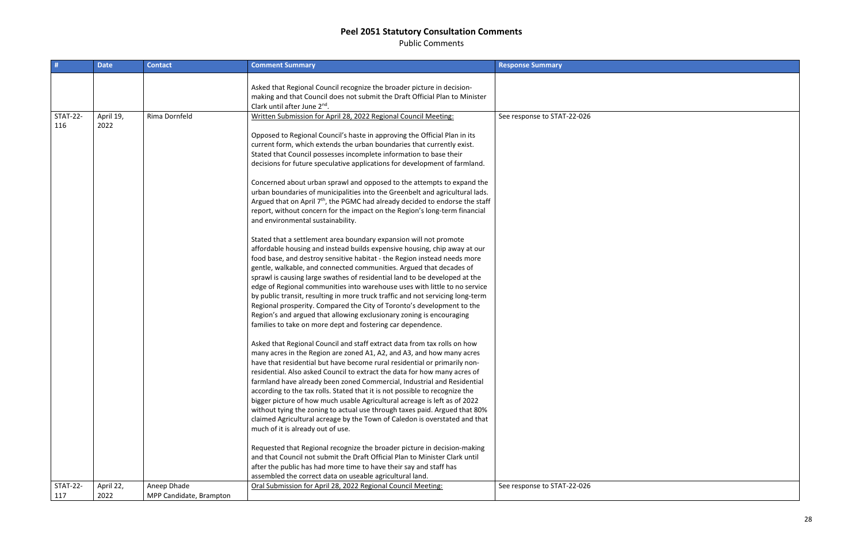Public Comments

28

| #                      | <b>Date</b>       | <b>Contact</b>          | <b>Comment Summary</b>                                                                                                                                                                                                                                                                                                                                                                                                                                                                                                                                                                                                                                                                                                                                                                                                                                                                                                                                                                                                                                                                                                                                                                                                                                                                                                                                                                                                                                                                                                                                                                                                                                                                                                                                                                                                                                                                                                                                                                                                                                                                                                                                                                                                                                                                                                                                                                                                                    | <b>Response Summary</b>     |
|------------------------|-------------------|-------------------------|-------------------------------------------------------------------------------------------------------------------------------------------------------------------------------------------------------------------------------------------------------------------------------------------------------------------------------------------------------------------------------------------------------------------------------------------------------------------------------------------------------------------------------------------------------------------------------------------------------------------------------------------------------------------------------------------------------------------------------------------------------------------------------------------------------------------------------------------------------------------------------------------------------------------------------------------------------------------------------------------------------------------------------------------------------------------------------------------------------------------------------------------------------------------------------------------------------------------------------------------------------------------------------------------------------------------------------------------------------------------------------------------------------------------------------------------------------------------------------------------------------------------------------------------------------------------------------------------------------------------------------------------------------------------------------------------------------------------------------------------------------------------------------------------------------------------------------------------------------------------------------------------------------------------------------------------------------------------------------------------------------------------------------------------------------------------------------------------------------------------------------------------------------------------------------------------------------------------------------------------------------------------------------------------------------------------------------------------------------------------------------------------------------------------------------------------|-----------------------------|
|                        |                   |                         | Asked that Regional Council recognize the broader picture in decision-<br>making and that Council does not submit the Draft Official Plan to Minister<br>Clark until after June 2nd.                                                                                                                                                                                                                                                                                                                                                                                                                                                                                                                                                                                                                                                                                                                                                                                                                                                                                                                                                                                                                                                                                                                                                                                                                                                                                                                                                                                                                                                                                                                                                                                                                                                                                                                                                                                                                                                                                                                                                                                                                                                                                                                                                                                                                                                      |                             |
| <b>STAT-22-</b><br>116 | April 19,<br>2022 | Rima Dornfeld           | Written Submission for April 28, 2022 Regional Council Meeting:<br>Opposed to Regional Council's haste in approving the Official Plan in its<br>current form, which extends the urban boundaries that currently exist.<br>Stated that Council possesses incomplete information to base their<br>decisions for future speculative applications for development of farmland.<br>Concerned about urban sprawl and opposed to the attempts to expand the<br>urban boundaries of municipalities into the Greenbelt and agricultural lads.<br>Argued that on April 7 <sup>th</sup> , the PGMC had already decided to endorse the staff<br>report, without concern for the impact on the Region's long-term financial<br>and environmental sustainability.<br>Stated that a settlement area boundary expansion will not promote<br>affordable housing and instead builds expensive housing, chip away at our<br>food base, and destroy sensitive habitat - the Region instead needs more<br>gentle, walkable, and connected communities. Argued that decades of<br>sprawl is causing large swathes of residential land to be developed at the<br>edge of Regional communities into warehouse uses with little to no service<br>by public transit, resulting in more truck traffic and not servicing long-term<br>Regional prosperity. Compared the City of Toronto's development to the<br>Region's and argued that allowing exclusionary zoning is encouraging<br>families to take on more dept and fostering car dependence.<br>Asked that Regional Council and staff extract data from tax rolls on how<br>many acres in the Region are zoned A1, A2, and A3, and how many acres<br>have that residential but have become rural residential or primarily non-<br>residential. Also asked Council to extract the data for how many acres of<br>farmland have already been zoned Commercial, Industrial and Residential<br>according to the tax rolls. Stated that it is not possible to recognize the<br>bigger picture of how much usable Agricultural acreage is left as of 2022<br>without tying the zoning to actual use through taxes paid. Argued that 80%<br>claimed Agricultural acreage by the Town of Caledon is overstated and that<br>much of it is already out of use.<br>Requested that Regional recognize the broader picture in decision-making<br>and that Council not submit the Draft Official Plan to Minister Clark until | See response to STAT-22-026 |
|                        |                   |                         | after the public has had more time to have their say and staff has<br>assembled the correct data on useable agricultural land.                                                                                                                                                                                                                                                                                                                                                                                                                                                                                                                                                                                                                                                                                                                                                                                                                                                                                                                                                                                                                                                                                                                                                                                                                                                                                                                                                                                                                                                                                                                                                                                                                                                                                                                                                                                                                                                                                                                                                                                                                                                                                                                                                                                                                                                                                                            |                             |
| <b>STAT-22-</b>        | April 22,         | Aneep Dhade             | Oral Submission for April 28, 2022 Regional Council Meeting:                                                                                                                                                                                                                                                                                                                                                                                                                                                                                                                                                                                                                                                                                                                                                                                                                                                                                                                                                                                                                                                                                                                                                                                                                                                                                                                                                                                                                                                                                                                                                                                                                                                                                                                                                                                                                                                                                                                                                                                                                                                                                                                                                                                                                                                                                                                                                                              | See response to STAT-22-026 |
| 117                    | 2022              | MPP Candidate, Brampton |                                                                                                                                                                                                                                                                                                                                                                                                                                                                                                                                                                                                                                                                                                                                                                                                                                                                                                                                                                                                                                                                                                                                                                                                                                                                                                                                                                                                                                                                                                                                                                                                                                                                                                                                                                                                                                                                                                                                                                                                                                                                                                                                                                                                                                                                                                                                                                                                                                           |                             |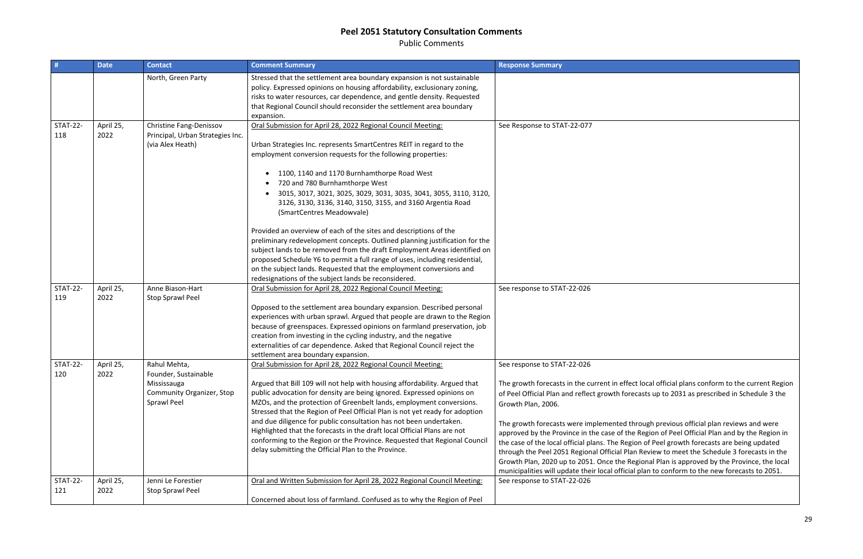Public Comments

| #                      | <b>Date</b>       | <b>Contact</b>                                                                                  | <b>Comment Summary</b>                                                                                                                                                                                                                                                                                                                                                                                                                                                                                                                                                                                                                                                                                                                                                                                                                                                                              | <b>Response Summary</b>                                                                                                                                                                                                                                                                                                                                                                                                                 |
|------------------------|-------------------|-------------------------------------------------------------------------------------------------|-----------------------------------------------------------------------------------------------------------------------------------------------------------------------------------------------------------------------------------------------------------------------------------------------------------------------------------------------------------------------------------------------------------------------------------------------------------------------------------------------------------------------------------------------------------------------------------------------------------------------------------------------------------------------------------------------------------------------------------------------------------------------------------------------------------------------------------------------------------------------------------------------------|-----------------------------------------------------------------------------------------------------------------------------------------------------------------------------------------------------------------------------------------------------------------------------------------------------------------------------------------------------------------------------------------------------------------------------------------|
|                        |                   | North, Green Party                                                                              | Stressed that the settlement area boundary expansion is not sustainable<br>policy. Expressed opinions on housing affordability, exclusionary zoning,<br>risks to water resources, car dependence, and gentle density. Requested<br>that Regional Council should reconsider the settlement area boundary<br>expansion.                                                                                                                                                                                                                                                                                                                                                                                                                                                                                                                                                                               |                                                                                                                                                                                                                                                                                                                                                                                                                                         |
| <b>STAT-22-</b><br>118 | April 25,<br>2022 | Christine Fang-Denissov<br>Principal, Urban Strategies Inc.<br>(via Alex Heath)                 | Oral Submission for April 28, 2022 Regional Council Meeting:<br>Urban Strategies Inc. represents SmartCentres REIT in regard to the<br>employment conversion requests for the following properties:<br>1100, 1140 and 1170 Burnhamthorpe Road West<br>720 and 780 Burnhamthorpe West<br>3015, 3017, 3021, 3025, 3029, 3031, 3035, 3041, 3055, 3110, 3120,<br>3126, 3130, 3136, 3140, 3150, 3155, and 3160 Argentia Road<br>(SmartCentres Meadowvale)<br>Provided an overview of each of the sites and descriptions of the<br>preliminary redevelopment concepts. Outlined planning justification for the<br>subject lands to be removed from the draft Employment Areas identified on<br>proposed Schedule Y6 to permit a full range of uses, including residential,<br>on the subject lands. Requested that the employment conversions and<br>redesignations of the subject lands be reconsidered. | See Response to STAT-22-077                                                                                                                                                                                                                                                                                                                                                                                                             |
| <b>STAT-22-</b><br>119 | April 25,<br>2022 | Anne Biason-Hart<br>Stop Sprawl Peel                                                            | Oral Submission for April 28, 2022 Regional Council Meeting:<br>Opposed to the settlement area boundary expansion. Described personal<br>experiences with urban sprawl. Argued that people are drawn to the Region<br>because of greenspaces. Expressed opinions on farmland preservation, job<br>creation from investing in the cycling industry, and the negative<br>externalities of car dependence. Asked that Regional Council reject the<br>settlement area boundary expansion.                                                                                                                                                                                                                                                                                                                                                                                                               | See response to STAT-22-026                                                                                                                                                                                                                                                                                                                                                                                                             |
| <b>STAT-22-</b><br>120 | April 25,<br>2022 | Rahul Mehta,<br>Founder, Sustainable<br>Mississauga<br>Community Organizer, Stop<br>Sprawl Peel | Oral Submission for April 28, 2022 Regional Council Meeting:<br>Argued that Bill 109 will not help with housing affordability. Argued that<br>public advocation for density are being ignored. Expressed opinions on<br>MZOs, and the protection of Greenbelt lands, employment conversions.<br>Stressed that the Region of Peel Official Plan is not yet ready for adoption<br>and due diligence for public consultation has not been undertaken.<br>Highlighted that the forecasts in the draft local Official Plans are not<br>conforming to the Region or the Province. Requested that Regional Council<br>delay submitting the Official Plan to the Province.                                                                                                                                                                                                                                  | See response to STAT-22-026<br>The growth forecasts in the current in effe<br>of Peel Official Plan and reflect growth for<br>Growth Plan, 2006.<br>The growth forecasts were implemented t<br>approved by the Province in the case of th<br>the case of the local official plans. The Reg<br>through the Peel 2051 Regional Official Pla<br>Growth Plan, 2020 up to 2051. Once the R<br>municipalities will update their local officia |
| <b>STAT-22-</b><br>121 | April 25,<br>2022 | Jenni Le Forestier<br><b>Stop Sprawl Peel</b>                                                   | Oral and Written Submission for April 28, 2022 Regional Council Meeting:<br>Concerned about loss of farmland. Confused as to why the Region of Peel                                                                                                                                                                                                                                                                                                                                                                                                                                                                                                                                                                                                                                                                                                                                                 | See response to STAT-22-026                                                                                                                                                                                                                                                                                                                                                                                                             |

The growth forecasts in the current Region recasts up to 2031 as prescribed in Schedule 3 the

through previous official plan reviews and were he Region of Peel Official Plan and by the Region in gion of Peel growth forecasts are being updated lan Review to meet the Schedule 3 forecasts in the Regional Plan is approved by the Province, the local ial plan to conform to the new forecasts to 2051.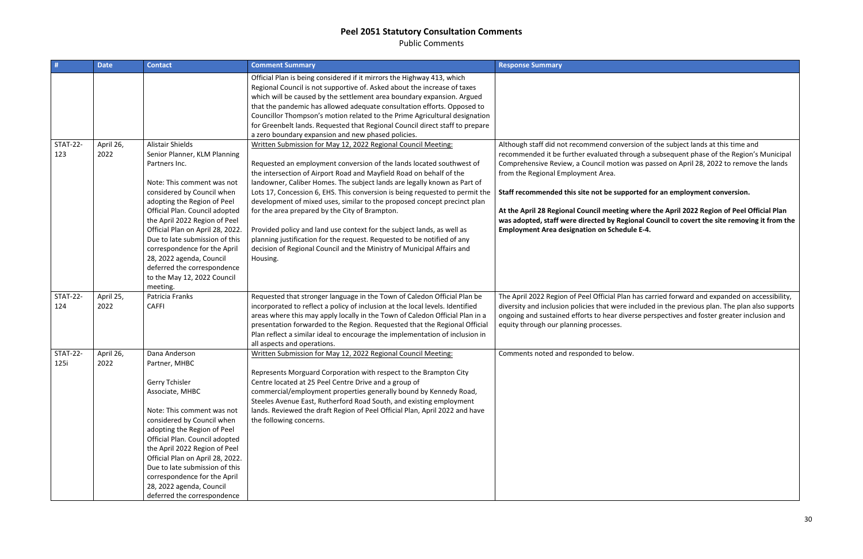Public Comments

| #                       | <b>Date</b>       | <b>Contact</b>                                                                                                                                                                                                                                                                                                                                                                                                                                     | <b>Comment Summary</b>                                                                                                                                                                                                                                                                                                                                                                                                                                                                                                                                                                                                                                                                                                                            | <b>Response Summary</b>                                                                                                                                                                                                                                                                                                                                             |
|-------------------------|-------------------|----------------------------------------------------------------------------------------------------------------------------------------------------------------------------------------------------------------------------------------------------------------------------------------------------------------------------------------------------------------------------------------------------------------------------------------------------|---------------------------------------------------------------------------------------------------------------------------------------------------------------------------------------------------------------------------------------------------------------------------------------------------------------------------------------------------------------------------------------------------------------------------------------------------------------------------------------------------------------------------------------------------------------------------------------------------------------------------------------------------------------------------------------------------------------------------------------------------|---------------------------------------------------------------------------------------------------------------------------------------------------------------------------------------------------------------------------------------------------------------------------------------------------------------------------------------------------------------------|
|                         |                   |                                                                                                                                                                                                                                                                                                                                                                                                                                                    | Official Plan is being considered if it mirrors the Highway 413, which<br>Regional Council is not supportive of. Asked about the increase of taxes<br>which will be caused by the settlement area boundary expansion. Argued<br>that the pandemic has allowed adequate consultation efforts. Opposed to<br>Councillor Thompson's motion related to the Prime Agricultural designation<br>for Greenbelt lands. Requested that Regional Council direct staff to prepare<br>a zero boundary expansion and new phased policies.                                                                                                                                                                                                                       |                                                                                                                                                                                                                                                                                                                                                                     |
| <b>STAT-22-</b><br>123  | April 26,<br>2022 | <b>Alistair Shields</b><br>Senior Planner, KLM Planning<br>Partners Inc.<br>Note: This comment was not<br>considered by Council when<br>adopting the Region of Peel<br>Official Plan. Council adopted<br>the April 2022 Region of Peel<br>Official Plan on April 28, 2022.<br>Due to late submission of this<br>correspondence for the April<br>28, 2022 agenda, Council<br>deferred the correspondence<br>to the May 12, 2022 Council<br>meeting. | Written Submission for May 12, 2022 Regional Council Meeting:<br>Requested an employment conversion of the lands located southwest of<br>the intersection of Airport Road and Mayfield Road on behalf of the<br>landowner, Caliber Homes. The subject lands are legally known as Part of<br>Lots 17, Concession 6, EHS. This conversion is being requested to permit the<br>development of mixed uses, similar to the proposed concept precinct plan<br>for the area prepared by the City of Brampton.<br>Provided policy and land use context for the subject lands, as well as<br>planning justification for the request. Requested to be notified of any<br>decision of Regional Council and the Ministry of Municipal Affairs and<br>Housing. | Although staff did not recommend conversi<br>recommended it be further evaluated throu<br>Comprehensive Review, a Council motion w<br>from the Regional Employment Area.<br>Staff recommended this site not be suppor<br>At the April 28 Regional Council meeting w<br>was adopted, staff were directed by Regior<br><b>Employment Area designation on Schedule</b> |
| <b>STAT-22-</b><br>124  | April 25,<br>2022 | Patricia Franks<br><b>CAFFI</b>                                                                                                                                                                                                                                                                                                                                                                                                                    | Requested that stronger language in the Town of Caledon Official Plan be<br>incorporated to reflect a policy of inclusion at the local levels. Identified<br>areas where this may apply locally in the Town of Caledon Official Plan in a<br>presentation forwarded to the Region. Requested that the Regional Official<br>Plan reflect a similar ideal to encourage the implementation of inclusion in<br>all aspects and operations.                                                                                                                                                                                                                                                                                                            | The April 2022 Region of Peel Official Plan h<br>diversity and inclusion policies that were in<br>ongoing and sustained efforts to hear diver<br>equity through our planning processes.                                                                                                                                                                             |
| <b>STAT-22-</b><br>125i | April 26,<br>2022 | Dana Anderson<br>Partner, MHBC<br><b>Gerry Tchisler</b><br>Associate, MHBC<br>Note: This comment was not<br>considered by Council when<br>adopting the Region of Peel<br>Official Plan. Council adopted<br>the April 2022 Region of Peel<br>Official Plan on April 28, 2022.<br>Due to late submission of this<br>correspondence for the April<br>28, 2022 agenda, Council<br>deferred the correspondence                                          | Written Submission for May 12, 2022 Regional Council Meeting:<br>Represents Morguard Corporation with respect to the Brampton City<br>Centre located at 25 Peel Centre Drive and a group of<br>commercial/employment properties generally bound by Kennedy Road,<br>Steeles Avenue East, Rutherford Road South, and existing employment<br>lands. Reviewed the draft Region of Peel Official Plan, April 2022 and have<br>the following concerns.                                                                                                                                                                                                                                                                                                 | Comments noted and responded to below.                                                                                                                                                                                                                                                                                                                              |

sion of the subject lands at this time and ough a subsequent phase of the Region's Municipal was passed on April 28, 2022 to remove the lands

### **State for an employment conversion.**

where the April 2022 Region of Peel Official Plan onal Council to covert the site removing it from the le E-4.

has carried forward and expanded on accessibility, ncluded in the previous plan. The plan also supports engoing perspectives and foster greater inclusion and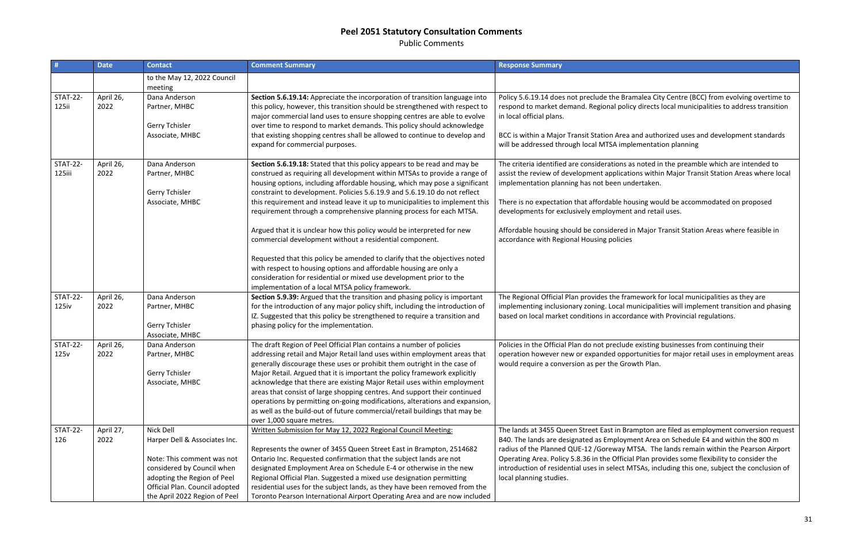Public Comments

| #                         | <b>Date</b>       | <b>Contact</b>                                                      | <b>Comment Summary</b>                                                                                                                                                                                                                                                                                                                                                                                                                                                   | <b>Response Summary</b>                                                                                                                                                                                                            |
|---------------------------|-------------------|---------------------------------------------------------------------|--------------------------------------------------------------------------------------------------------------------------------------------------------------------------------------------------------------------------------------------------------------------------------------------------------------------------------------------------------------------------------------------------------------------------------------------------------------------------|------------------------------------------------------------------------------------------------------------------------------------------------------------------------------------------------------------------------------------|
|                           |                   | to the May 12, 2022 Council<br>meeting                              |                                                                                                                                                                                                                                                                                                                                                                                                                                                                          |                                                                                                                                                                                                                                    |
| <b>STAT-22-</b><br>125ii  | April 26,<br>2022 | Dana Anderson<br>Partner, MHBC                                      | Section 5.6.19.14: Appreciate the incorporation of transition language into<br>this policy, however, this transition should be strengthened with respect to<br>major commercial land uses to ensure shopping centres are able to evolve                                                                                                                                                                                                                                  | Policy 5.6.19.14 does not preclude the Bran<br>respond to market demand. Regional policy<br>in local official plans.                                                                                                               |
|                           |                   | Gerry Tchisler<br>Associate, MHBC                                   | over time to respond to market demands. This policy should acknowledge<br>that existing shopping centres shall be allowed to continue to develop and<br>expand for commercial purposes.                                                                                                                                                                                                                                                                                  | BCC is within a Major Transit Station Area a<br>will be addressed through local MTSA imple                                                                                                                                         |
| <b>STAT-22-</b><br>125iii | April 26,<br>2022 | Dana Anderson<br>Partner, MHBC<br>Gerry Tchisler<br>Associate, MHBC | Section 5.6.19.18: Stated that this policy appears to be read and may be<br>construed as requiring all development within MTSAs to provide a range of<br>housing options, including affordable housing, which may pose a significant<br>constraint to development. Policies 5.6.19.9 and 5.6.19.10 do not reflect<br>this requirement and instead leave it up to municipalities to implement this<br>requirement through a comprehensive planning process for each MTSA. | The criteria identified are considerations as<br>assist the review of development applicatic<br>implementation planning has not been und<br>There is no expectation that affordable hou<br>developments for exclusively employment |
|                           |                   |                                                                     | Argued that it is unclear how this policy would be interpreted for new<br>commercial development without a residential component.                                                                                                                                                                                                                                                                                                                                        | Affordable housing should be considered in<br>accordance with Regional Housing policies                                                                                                                                            |
|                           |                   |                                                                     | Requested that this policy be amended to clarify that the objectives noted<br>with respect to housing options and affordable housing are only a<br>consideration for residential or mixed use development prior to the<br>implementation of a local MTSA policy framework.                                                                                                                                                                                               |                                                                                                                                                                                                                                    |
| <b>STAT-22-</b>           | April 26,         | Dana Anderson                                                       | Section 5.9.39: Argued that the transition and phasing policy is important                                                                                                                                                                                                                                                                                                                                                                                               | The Regional Official Plan provides the fram                                                                                                                                                                                       |
| 125iv                     | 2022              | Partner, MHBC                                                       | for the introduction of any major policy shift, including the introduction of<br>IZ. Suggested that this policy be strengthened to require a transition and                                                                                                                                                                                                                                                                                                              | implementing inclusionary zoning. Local mu<br>based on local market conditions in accorda                                                                                                                                          |
|                           |                   | Gerry Tchisler<br>Associate, MHBC                                   | phasing policy for the implementation.                                                                                                                                                                                                                                                                                                                                                                                                                                   |                                                                                                                                                                                                                                    |
| <b>STAT-22-</b>           | April 26,         | Dana Anderson                                                       | The draft Region of Peel Official Plan contains a number of policies                                                                                                                                                                                                                                                                                                                                                                                                     | Policies in the Official Plan do not preclude                                                                                                                                                                                      |
| 125v                      | 2022              | Partner, MHBC                                                       | addressing retail and Major Retail land uses within employment areas that<br>generally discourage these uses or prohibit them outright in the case of                                                                                                                                                                                                                                                                                                                    | operation however new or expanded oppo<br>would require a conversion as per the Grov                                                                                                                                               |
|                           |                   | Gerry Tchisler                                                      | Major Retail. Argued that it is important the policy framework explicitly                                                                                                                                                                                                                                                                                                                                                                                                |                                                                                                                                                                                                                                    |
|                           |                   | Associate, MHBC                                                     | acknowledge that there are existing Major Retail uses within employment                                                                                                                                                                                                                                                                                                                                                                                                  |                                                                                                                                                                                                                                    |
|                           |                   |                                                                     | areas that consist of large shopping centres. And support their continued                                                                                                                                                                                                                                                                                                                                                                                                |                                                                                                                                                                                                                                    |
|                           |                   |                                                                     | operations by permitting on-going modifications, alterations and expansion,                                                                                                                                                                                                                                                                                                                                                                                              |                                                                                                                                                                                                                                    |
|                           |                   |                                                                     | as well as the build-out of future commercial/retail buildings that may be<br>over 1,000 square metres.                                                                                                                                                                                                                                                                                                                                                                  |                                                                                                                                                                                                                                    |
| <b>STAT-22-</b>           | April 27,         | Nick Dell                                                           | Written Submission for May 12, 2022 Regional Council Meeting:                                                                                                                                                                                                                                                                                                                                                                                                            | The lands at 3455 Queen Street East in Brar                                                                                                                                                                                        |
| 126                       | 2022              | Harper Dell & Associates Inc.                                       |                                                                                                                                                                                                                                                                                                                                                                                                                                                                          | B40. The lands are designated as Employme                                                                                                                                                                                          |
|                           |                   |                                                                     | Represents the owner of 3455 Queen Street East in Brampton, 2514682                                                                                                                                                                                                                                                                                                                                                                                                      | radius of the Planned QUE-12 / Goreway M                                                                                                                                                                                           |
|                           |                   | Note: This comment was not                                          | Ontario Inc. Requested confirmation that the subject lands are not                                                                                                                                                                                                                                                                                                                                                                                                       | Operating Area. Policy 5.8.36 in the Official                                                                                                                                                                                      |
|                           |                   | considered by Council when                                          | designated Employment Area on Schedule E-4 or otherwise in the new                                                                                                                                                                                                                                                                                                                                                                                                       | introduction of residential uses in select M1                                                                                                                                                                                      |
|                           |                   | adopting the Region of Peel                                         | Regional Official Plan. Suggested a mixed use designation permitting                                                                                                                                                                                                                                                                                                                                                                                                     | local planning studies.                                                                                                                                                                                                            |
|                           |                   | Official Plan. Council adopted                                      | residential uses for the subject lands, as they have been removed from the                                                                                                                                                                                                                                                                                                                                                                                               |                                                                                                                                                                                                                                    |
|                           |                   | the April 2022 Region of Peel                                       | Toronto Pearson International Airport Operating Area and are now included                                                                                                                                                                                                                                                                                                                                                                                                |                                                                                                                                                                                                                                    |

malea City Centre (BCC) from evolving overtime to y directs local municipalities to address transition

and authorized uses and development standards ementation planning

If noted in the preamble which are intended to ans within Major Transit Station Areas where local dertaken.

Ising would be accommodated on proposed and retail uses.

n Major Transit Station Areas where feasible in

mework for local municipalities as they are unicipalities will implement transition and phasing lance with Provincial regulations.

Policial Plann do not existing businesses from continuing their rtunities for major retail uses in employment areas wth Plan.

mpton are filed as employment conversion request ent Area on Schedule E4 and within the 800 m TSA. The lands remain within the Pearson Airport Plan provides some flexibility to consider the TSAs, including this one, subject the conclusion of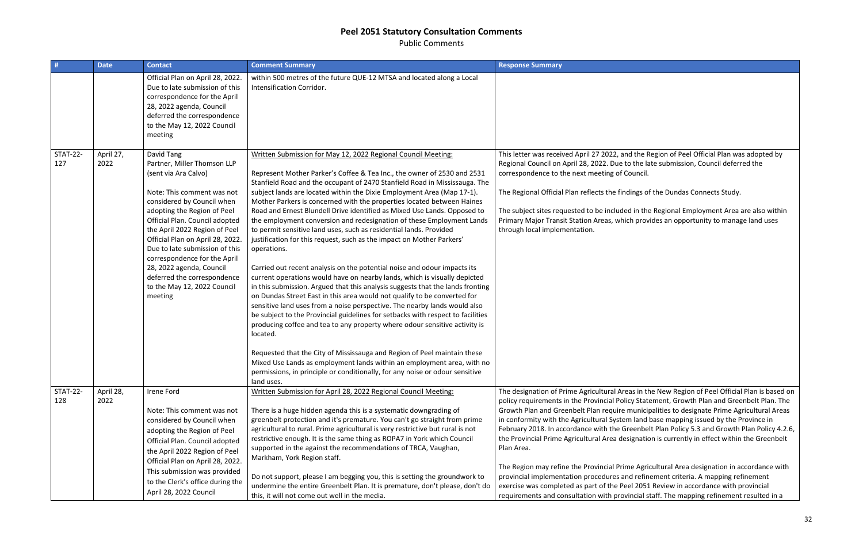Public Comments

|                        | <b>Date</b>       | <b>Contact</b>                                                                                                                                                                                                                                                                                                                                                                                                                             | <b>Comment Summary</b>                                                                                                                                                                                                                                                                                                                                                                                                                                                                                                                                                                                                                                                                                                                                                                                                                                                                                                                                                                                                                                                                                                                                                                                                                                                                                                                                                                                                                                                                                               | <b>Response Summary</b>                                                                                                                                                                                                                                                                                                                                                                                                                |
|------------------------|-------------------|--------------------------------------------------------------------------------------------------------------------------------------------------------------------------------------------------------------------------------------------------------------------------------------------------------------------------------------------------------------------------------------------------------------------------------------------|----------------------------------------------------------------------------------------------------------------------------------------------------------------------------------------------------------------------------------------------------------------------------------------------------------------------------------------------------------------------------------------------------------------------------------------------------------------------------------------------------------------------------------------------------------------------------------------------------------------------------------------------------------------------------------------------------------------------------------------------------------------------------------------------------------------------------------------------------------------------------------------------------------------------------------------------------------------------------------------------------------------------------------------------------------------------------------------------------------------------------------------------------------------------------------------------------------------------------------------------------------------------------------------------------------------------------------------------------------------------------------------------------------------------------------------------------------------------------------------------------------------------|----------------------------------------------------------------------------------------------------------------------------------------------------------------------------------------------------------------------------------------------------------------------------------------------------------------------------------------------------------------------------------------------------------------------------------------|
|                        |                   | Official Plan on April 28, 2022.<br>Due to late submission of this<br>correspondence for the April<br>28, 2022 agenda, Council<br>deferred the correspondence<br>to the May 12, 2022 Council<br>meeting                                                                                                                                                                                                                                    | within 500 metres of the future QUE-12 MTSA and located along a Local<br>Intensification Corridor.                                                                                                                                                                                                                                                                                                                                                                                                                                                                                                                                                                                                                                                                                                                                                                                                                                                                                                                                                                                                                                                                                                                                                                                                                                                                                                                                                                                                                   |                                                                                                                                                                                                                                                                                                                                                                                                                                        |
| <b>STAT-22-</b><br>127 | April 27,<br>2022 | David Tang<br>Partner, Miller Thomson LLP<br>(sent via Ara Calvo)<br>Note: This comment was not<br>considered by Council when<br>adopting the Region of Peel<br>Official Plan. Council adopted<br>the April 2022 Region of Peel<br>Official Plan on April 28, 2022.<br>Due to late submission of this<br>correspondence for the April<br>28, 2022 agenda, Council<br>deferred the correspondence<br>to the May 12, 2022 Council<br>meeting | Written Submission for May 12, 2022 Regional Council Meeting:<br>Represent Mother Parker's Coffee & Tea Inc., the owner of 2530 and 2531<br>Stanfield Road and the occupant of 2470 Stanfield Road in Mississauga. The<br>subject lands are located within the Dixie Employment Area (Map 17-1).<br>Mother Parkers is concerned with the properties located between Haines<br>Road and Ernest Blundell Drive identified as Mixed Use Lands. Opposed to<br>the employment conversion and redesignation of these Employment Lands<br>to permit sensitive land uses, such as residential lands. Provided<br>justification for this request, such as the impact on Mother Parkers'<br>operations.<br>Carried out recent analysis on the potential noise and odour impacts its<br>current operations would have on nearby lands, which is visually depicted<br>in this submission. Argued that this analysis suggests that the lands fronting<br>on Dundas Street East in this area would not qualify to be converted for<br>sensitive land uses from a noise perspective. The nearby lands would also<br>be subject to the Provincial guidelines for setbacks with respect to facilities<br>producing coffee and tea to any property where odour sensitive activity is<br>located.<br>Requested that the City of Mississauga and Region of Peel maintain these<br>Mixed Use Lands as employment lands within an employment area, with no<br>permissions, in principle or conditionally, for any noise or odour sensitive | This letter was received April 27 2022, and<br>Regional Council on April 28, 2022. Due to<br>correspondence to the next meeting of Cou<br>The Regional Official Plan reflects the findir<br>The subject sites requested to be included<br>Primary Major Transit Station Areas, which<br>through local implementation.                                                                                                                  |
| <b>STAT-22-</b>        | April 28,         | Irene Ford                                                                                                                                                                                                                                                                                                                                                                                                                                 | land uses.<br>Written Submission for April 28, 2022 Regional Council Meeting:                                                                                                                                                                                                                                                                                                                                                                                                                                                                                                                                                                                                                                                                                                                                                                                                                                                                                                                                                                                                                                                                                                                                                                                                                                                                                                                                                                                                                                        | The designation of Prime Agricultural Areas                                                                                                                                                                                                                                                                                                                                                                                            |
| 128                    | 2022              | Note: This comment was not<br>considered by Council when<br>adopting the Region of Peel<br>Official Plan. Council adopted<br>the April 2022 Region of Peel<br>Official Plan on April 28, 2022.<br>This submission was provided<br>to the Clerk's office during the<br>April 28, 2022 Council                                                                                                                                               | There is a huge hidden agenda this is a systematic downgrading of<br>greenbelt protection and it's premature. You can't go straight from prime<br>agricultural to rural. Prime agricultural is very restrictive but rural is not<br>restrictive enough. It is the same thing as ROPA7 in York which Council<br>supported in the against the recommendations of TRCA, Vaughan,<br>Markham, York Region staff.<br>Do not support, please I am begging you, this is setting the groundwork to<br>undermine the entire Greenbelt Plan. It is premature, don't please, don't do<br>this, it will not come out well in the media.                                                                                                                                                                                                                                                                                                                                                                                                                                                                                                                                                                                                                                                                                                                                                                                                                                                                                          | policy requirements in the Provincial Policy<br>Growth Plan and Greenbelt Plan require m<br>in conformity with the Agricultural System<br>February 2018. In accordance with the Gre<br>the Provincial Prime Agricultural Area desig<br>Plan Area.<br>The Region may refine the Provincial Prime<br>provincial implementation procedures and<br>exercise was completed as part of the Peel<br>requirements and consultation with provin |

I the Region of Peel Official Plan was adopted by the late submission, Council deferred the uncil.

ngs of the Dundas Connects Study.

in the Regional Employment Area are also within Provides an opportunity to manage land uses

as in the New Region of Peel Official Plan is based on y Statement, Growth Plan and Greenbelt Plan. The Iunicipalities to designate Prime Agricultural Areas land base mapping issued by the Province in enbelt Plan Policy 5.3 and Growth Plan Policy 4.2.6, ignation is currently in effect within the Greenbelt

**Agricultural Area designation in accordance with** I refinement criteria. A mapping refinement I 2051 Review in accordance with provincial ncial staff. The mapping refinement resulted in a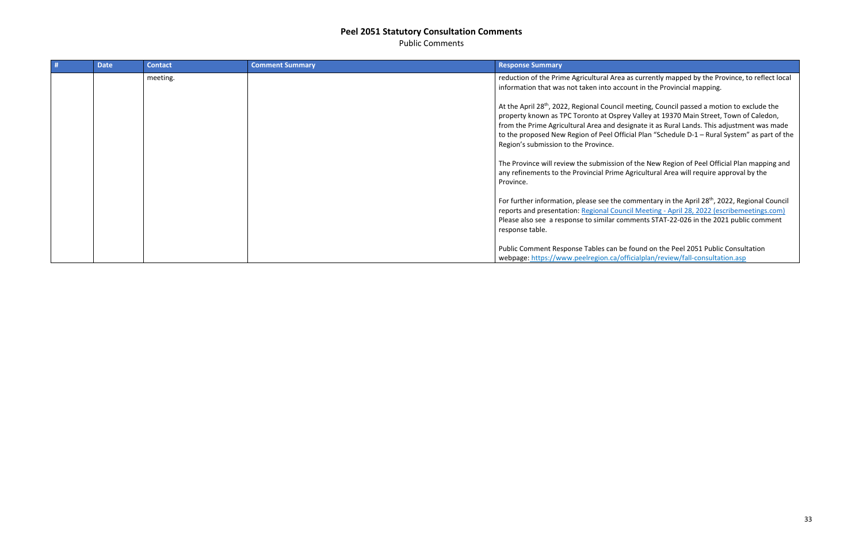Public Comments

| <b>Date</b> | <b>Contact</b> | <b>Comment Summary</b> | <b>Response Summary</b>                                                                                                                                                                                                                     |
|-------------|----------------|------------------------|---------------------------------------------------------------------------------------------------------------------------------------------------------------------------------------------------------------------------------------------|
|             | meeting.       |                        | reduction of the Prime Agricultural Area as<br>information that was not taken into accoun                                                                                                                                                   |
|             |                |                        | At the April 28 <sup>th</sup> , 2022, Regional Council me<br>property known as TPC Toronto at Osprey \<br>from the Prime Agricultural Area and design<br>to the proposed New Region of Peel Officia<br>Region's submission to the Province. |
|             |                |                        | The Province will review the submission of<br>any refinements to the Provincial Prime Age<br>Province.                                                                                                                                      |
|             |                |                        | For further information, please see the com<br>reports and presentation: Regional Council<br>Please also see a response to similar comm<br>response table.                                                                                  |
|             |                |                        | Public Comment Response Tables can be fo<br>webpage: https://www.peelregion.ca/offici                                                                                                                                                       |

s currently mapped by the Province, to reflect local nt in the Provincial mapping.

eeting, Council passed a motion to exclude the Valley at 19370 Main Street, Town of Caledon, mate it as Rural Lands. This adjustment was made Il Plan "Schedule D-1 – Rural System" as part of the

f the New Region of Peel Official Plan mapping and ricultural Area will require approval by the

mmentary in the April 28<sup>th</sup>, 2022, Regional Council <u>Reeting - April 28, 2022 (escribemeetings.com)</u> nents STAT-22-026 in the 2021 public comment

Pund on the Peel 2051 Public Consultation ialplan/review/fall-consultation.asp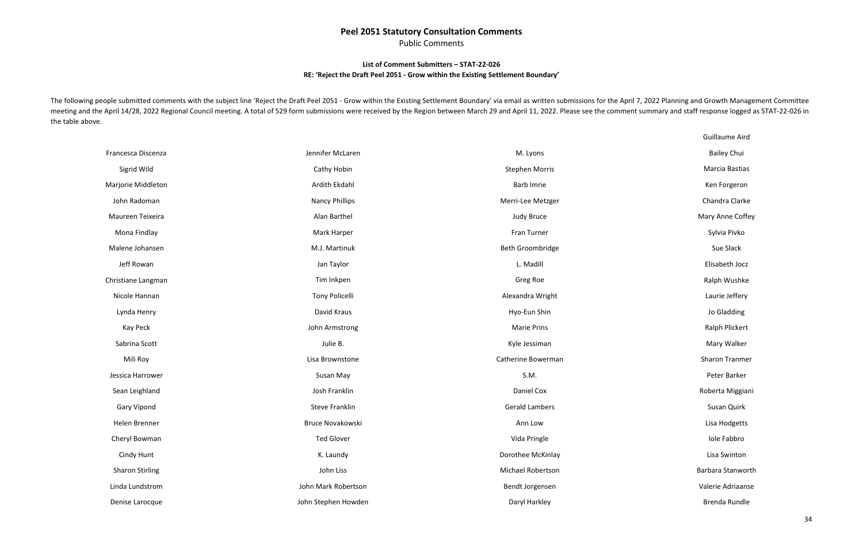Public Comments

### **List of Comment Submitters – STAT-22-026 RE: 'Reject the Draft Peel 2051 - Grow within the Existing Settlement Boundary'**

The following people submitted comments with the subject line 'Reject the Draft Peel 2051 - Grow within the Existing Settlement Boundary' via email as written submissions for the April 7, 2022 Planning and Growth Managemen meeting and the April 14/28, 2022 Regional Council meeting. A total of 529 form submissions were received by the Region between March 29 and April 11, 2022. Please see the comment summary and staff response logged as STATthe table above.

| Francesca Discenza     | Jennifer McLaren      | M. Lyons              |
|------------------------|-----------------------|-----------------------|
| Sigrid Wild            | Cathy Hobin           | <b>Stephen Morris</b> |
| Marjorie Middleton     | Ardith Ekdahl         | <b>Barb Imrie</b>     |
| John Radoman           | <b>Nancy Phillips</b> | Merri-Lee Metzger     |
| Maureen Teixeira       | Alan Barthel          | <b>Judy Bruce</b>     |
| Mona Findlay           | Mark Harper           | Fran Turner           |
| Malene Johansen        | M.J. Martinuk         | Beth Groombridge      |
| Jeff Rowan             | Jan Taylor            | L. Madill             |
| Christiane Langman     | Tim Inkpen            | Greg Roe              |
| Nicole Hannan          | <b>Tony Policelli</b> | Alexandra Wright      |
| Lynda Henry            | David Kraus           | Hyo-Eun Shin          |
| Kay Peck               | John Armstrong        | <b>Marie Prins</b>    |
| Sabrina Scott          | Julie B.              | Kyle Jessiman         |
| Mili Roy               | Lisa Brownstone       | Catherine Bowerman    |
| Jessica Harrower       | Susan May             | S.M.                  |
| Sean Leighland         | Josh Franklin         | Daniel Cox            |
| <b>Gary Vipond</b>     | <b>Steve Franklin</b> | <b>Gerald Lambers</b> |
| Helen Brenner          | Bruce Novakowski      | Ann Low               |
| Cheryl Bowman          | <b>Ted Glover</b>     | Vida Pringle          |
| Cindy Hunt             | K. Laundy             | Dorothee McKinlay     |
| <b>Sharon Stirling</b> | John Liss             | Michael Robertson     |
| Linda Lundstrom        | John Mark Robertson   | Bendt Jorgensen       |
| Denise Larocque        | John Stephen Howden   | Daryl Harkley         |

Guillaume Aird Bailey Chui Marcia Bastias Ken Forgeron Chandra Clarke Mary Anne Coffey Sylvia Pivko Sue Slack Elisabeth Jocz Ralph Wushke Laurie Jeffery Jo Gladding Ralph Plickert Mary Walker Sharon Tranmer Peter Barker Roberta Miggiani Susan Quirk Lisa Hodgetts Iole Fabbro Lisa Swinton Barbara Stanworth Valerie Adriaanse Brenda Rundle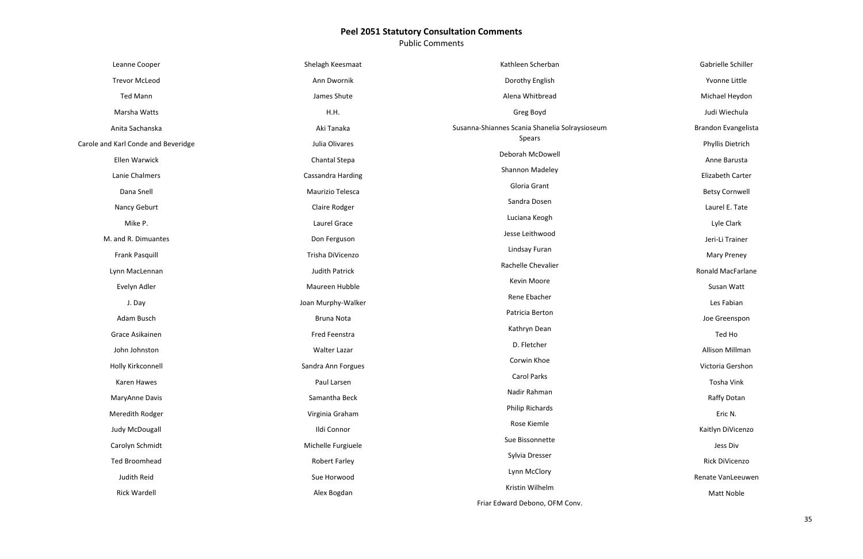Public Comments

| Leanne Cooper                       | Shelagh Keesmaat      | Kathleen Scherban                              |
|-------------------------------------|-----------------------|------------------------------------------------|
| <b>Trevor McLeod</b>                | Ann Dwornik           | Dorothy English                                |
| <b>Ted Mann</b>                     | James Shute           | Alena Whitbread                                |
| Marsha Watts                        | H.H.                  | Greg Boyd                                      |
| Anita Sachanska                     | Aki Tanaka            | Susanna-Shiannes Scania Shanelia Solraysioseum |
| Carole and Karl Conde and Beveridge | Julia Olivares        | Spears                                         |
| Ellen Warwick                       | <b>Chantal Stepa</b>  | Deborah McDowell                               |
| Lanie Chalmers                      | Cassandra Harding     | Shannon Madeley                                |
| Dana Snell                          | Maurizio Telesca      | Gloria Grant                                   |
| Nancy Geburt                        | Claire Rodger         | Sandra Dosen                                   |
| Mike P.                             | Laurel Grace          | Luciana Keogh                                  |
| M. and R. Dimuantes                 | Don Ferguson          | Jesse Leithwood                                |
| <b>Frank Pasquill</b>               | Trisha DiVicenzo      | Lindsay Furan                                  |
| Lynn MacLennan                      | <b>Judith Patrick</b> | Rachelle Chevalier                             |
| Evelyn Adler                        | Maureen Hubble        | Kevin Moore                                    |
| J. Day                              | Joan Murphy-Walker    | Rene Ebacher                                   |
| Adam Busch                          | <b>Bruna Nota</b>     | Patricia Berton                                |
| Grace Asikainen                     | Fred Feenstra         | Kathryn Dean                                   |
| John Johnston                       | Walter Lazar          | D. Fletcher                                    |
| Holly Kirkconnell                   | Sandra Ann Forgues    | Corwin Khoe                                    |
| Karen Hawes                         | Paul Larsen           | <b>Carol Parks</b>                             |
| MaryAnne Davis                      | Samantha Beck         | Nadir Rahman                                   |
| Meredith Rodger                     | Virginia Graham       | Philip Richards                                |
| Judy McDougall                      | Ildi Connor           | Rose Kiemle                                    |
| Carolyn Schmidt                     | Michelle Furgiuele    | Sue Bissonnette                                |
| <b>Ted Broomhead</b>                | <b>Robert Farley</b>  | Sylvia Dresser                                 |
| Judith Reid                         | Sue Horwood           | Lynn McClory                                   |
| <b>Rick Wardell</b>                 | Alex Bogdan           | Kristin Wilhelm                                |
|                                     |                       |                                                |

Friar Edward Debono, OFM Conv.

Gabrielle Schiller

Yvonne Little

Michael Heydon

Judi Wiechula

Brandon Evangelista

Phyllis Dietrich

Anne Barusta

Elizabeth Carter

Betsy Cornwell

Laurel E. Tate

Lyle Clark

Jeri -Li Trainer

Mary Prene y

Ronald MacFarlane

Susan Watt

Les Fabian

Joe Greenspon

Ted Ho

Allison Millman

Victoria Gershon

Tosha Vink

Raffy Dotan

Eric N.

Kaitlyn DiVicenzo

Jess Div

Rick DiVicenzo

Renate VanLeeuwen

Matt Noble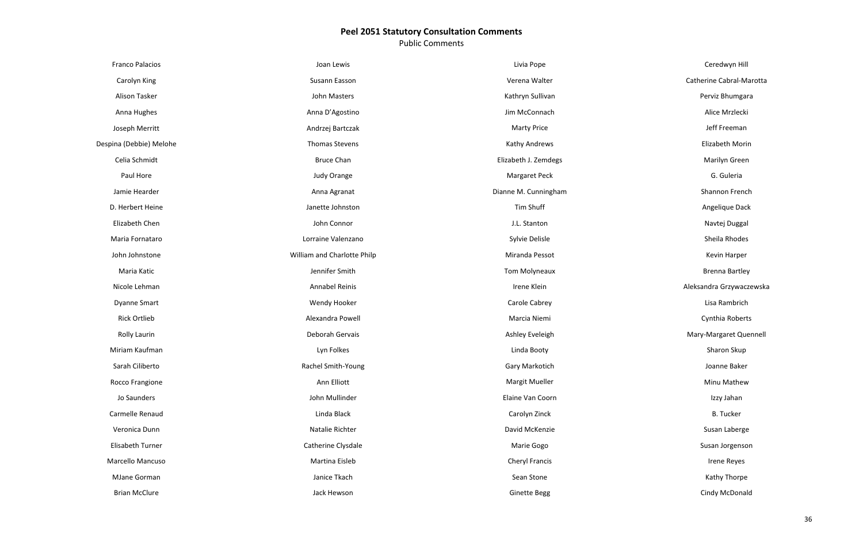Public Comments

| <b>Franco Palacios</b>  | Joan Lewis                  | Livia Pope            |
|-------------------------|-----------------------------|-----------------------|
| Carolyn King            | Susann Easson               | Verena Walter         |
| Alison Tasker           | John Masters                | Kathryn Sullivan      |
| Anna Hughes             | Anna D'Agostino             | Jim McConnach         |
| Joseph Merritt          | Andrzej Bartczak            | <b>Marty Price</b>    |
| Despina (Debbie) Melohe | <b>Thomas Stevens</b>       | Kathy Andrews         |
| Celia Schmidt           | <b>Bruce Chan</b>           | Elizabeth J. Zemdegs  |
| Paul Hore               | Judy Orange                 | Margaret Peck         |
| Jamie Hearder           | Anna Agranat                | Dianne M. Cunningham  |
| D. Herbert Heine        | Janette Johnston            | <b>Tim Shuff</b>      |
| Elizabeth Chen          | John Connor                 | J.L. Stanton          |
| Maria Fornataro         | Lorraine Valenzano          | Sylvie Delisle        |
| John Johnstone          | William and Charlotte Philp | Miranda Pessot        |
| Maria Katic             | Jennifer Smith              | <b>Tom Molyneaux</b>  |
| Nicole Lehman           | <b>Annabel Reinis</b>       | Irene Klein           |
| <b>Dyanne Smart</b>     | Wendy Hooker                | Carole Cabrey         |
| <b>Rick Ortlieb</b>     | Alexandra Powell            | Marcia Niemi          |
| <b>Rolly Laurin</b>     | Deborah Gervais             | Ashley Eveleigh       |
| Miriam Kaufman          | Lyn Folkes                  | Linda Booty           |
| Sarah Ciliberto         | Rachel Smith-Young          | Gary Markotich        |
| Rocco Frangione         | Ann Elliott                 | Margit Mueller        |
| Jo Saunders             | John Mullinder              | Elaine Van Coorn      |
| Carmelle Renaud         | Linda Black                 | Carolyn Zinck         |
| Veronica Dunn           | Natalie Richter             | David McKenzie        |
| <b>Elisabeth Turner</b> | Catherine Clysdale          | Marie Gogo            |
| Marcello Mancuso        | Martina Eisleb              | <b>Cheryl Francis</b> |
| MJane Gorman            | Janice Tkach                | Sean Stone            |
| <b>Brian McClure</b>    | Jack Hewson                 | <b>Ginette Begg</b>   |

Ceredwyn Hill

### Catherine Cabral-Marotta

Perviz Bhumgara

Alice Mrzlecki

Jeff Freeman

Elizabeth Morin

Marilyn Green

G. Guleria

Shannon French

Angelique Dack

Navtej Duggal

Sheila Rhodes

Kevin Harper

Brenna Bartley

Aleksandra Grzywaczewska

Lisa Rambrich

Cynthia Roberts

Mary-Margaret Quennell

Sharon Skup

Joanne Baker

Minu Mathew

Izzy Jahan

B. Tucker

Susan Laberge

Susan Jorgenson

Irene Reyes

Kathy Thorpe

Cindy McDonald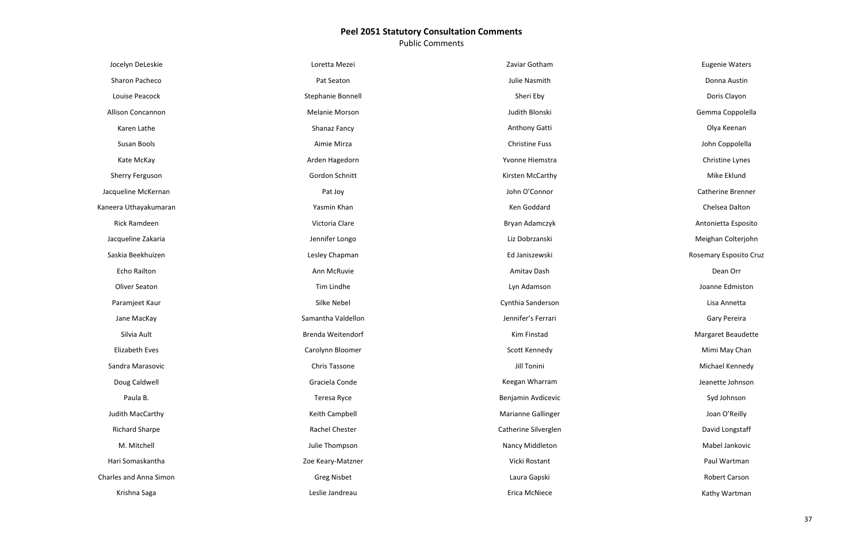Public Comments

| Jocelyn DeLeskie              | Loretta Mezei      | Zaviar Gotham         |
|-------------------------------|--------------------|-----------------------|
| Sharon Pacheco                | Pat Seaton         | Julie Nasmith         |
| Louise Peacock                | Stephanie Bonnell  | Sheri Eby             |
| <b>Allison Concannon</b>      | Melanie Morson     | Judith Blonski        |
| Karen Lathe                   | Shanaz Fancy       | Anthony Gatti         |
| Susan Bools                   | Aimie Mirza        | <b>Christine Fuss</b> |
| Kate McKay                    | Arden Hagedorn     | Yvonne Hiemstra       |
| Sherry Ferguson               | Gordon Schnitt     | Kirsten McCarthy      |
| Jacqueline McKernan           | Pat Joy            | John O'Connor         |
| Kaneera Uthayakumaran         | Yasmin Khan        | Ken Goddard           |
| Rick Ramdeen                  | Victoria Clare     | Bryan Adamczyk        |
| Jacqueline Zakaria            | Jennifer Longo     | Liz Dobrzanski        |
| Saskia Beekhuizen             | Lesley Chapman     | Ed Janiszewski        |
| <b>Echo Railton</b>           | Ann McRuvie        | Amitav Dash           |
| Oliver Seaton                 | Tim Lindhe         | Lyn Adamson           |
| Paramjeet Kaur                | Silke Nebel        | Cynthia Sanderson     |
| Jane MacKay                   | Samantha Valdellon | Jennifer's Ferrari    |
| Silvia Ault                   | Brenda Weitendorf  | Kim Finstad           |
| <b>Elizabeth Eves</b>         | Carolynn Bloomer   | Scott Kennedy         |
| Sandra Marasovic              | Chris Tassone      | <b>Jill Tonini</b>    |
| Doug Caldwell                 | Graciela Conde     | Keegan Wharram        |
| Paula B.                      | Teresa Ryce        | Benjamin Avdicevic    |
| Judith MacCarthy              | Keith Campbell     | Marianne Gallinger    |
| <b>Richard Sharpe</b>         | Rachel Chester     | Catherine Silverglen  |
| M. Mitchell                   | Julie Thompson     | Nancy Middleton       |
| Hari Somaskantha              | Zoe Keary-Matzner  | Vicki Rostant         |
| <b>Charles and Anna Simon</b> | <b>Greg Nisbet</b> | Laura Gapski          |
| Krishna Saga                  | Leslie Jandreau    | Erica McNiece         |

Eugenie Waters

Donna Austin

Doris Clayon

Gemma Coppolella

Olya Keenan

John Coppolella

Christine Lynes

Mike Eklund

Catherine Brenner

Chelsea Dalton

Antonietta Esposito

Meighan Colterjohn

Rosemary Esposito Cruz

Dean Orr

Joanne Edmiston

Lisa Annetta

Gary Pereira

Margaret Beaudette

Mimi May Chan

Michael Kennedy

Jeanette Johnson

Syd Johnson

Joan O'Reilly

David Longstaff

Mabel Jankovic

Paul Wartman

Robert Carson

Kathy Wartman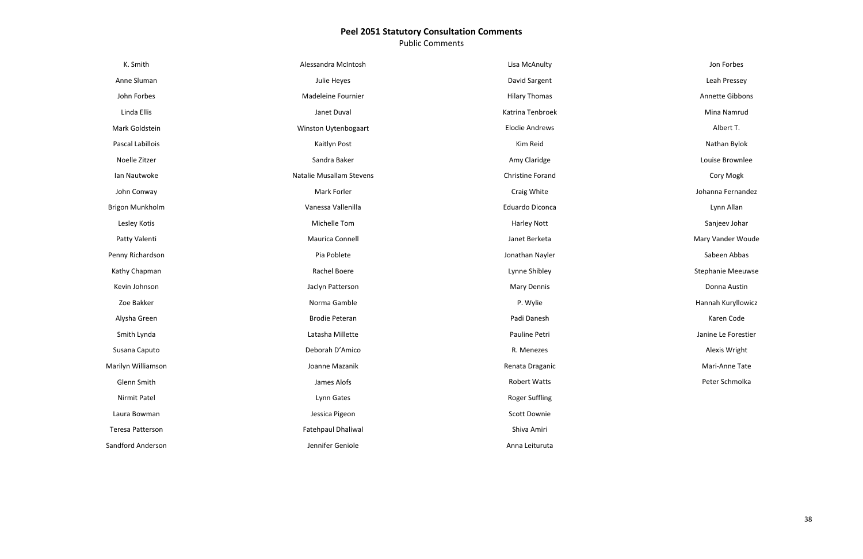Public Comments

| K. Smith                | Alessandra McIntosh      | Lisa McAnulty           |
|-------------------------|--------------------------|-------------------------|
| Anne Sluman             | Julie Heyes              | David Sargent           |
| John Forbes             | Madeleine Fournier       | <b>Hilary Thomas</b>    |
| Linda Ellis             | Janet Duval              | Katrina Tenbroek        |
| Mark Goldstein          | Winston Uytenbogaart     | <b>Elodie Andrews</b>   |
| Pascal Labillois        | Kaitlyn Post             | Kim Reid                |
| Noelle Zitzer           | Sandra Baker             | Amy Claridge            |
| Ian Nautwoke            | Natalie Musallam Stevens | <b>Christine Forand</b> |
| John Conway             | Mark Forler              | Craig White             |
| Brigon Munkholm         | Vanessa Vallenilla       | Eduardo Diconca         |
| Lesley Kotis            | Michelle Tom             | <b>Harley Nott</b>      |
| Patty Valenti           | Maurica Connell          | Janet Berketa           |
| Penny Richardson        | Pia Poblete              | Jonathan Nayler         |
| Kathy Chapman           | Rachel Boere             | Lynne Shibley           |
| Kevin Johnson           | Jaclyn Patterson         | <b>Mary Dennis</b>      |
| Zoe Bakker              | Norma Gamble             | P. Wylie                |
| Alysha Green            | <b>Brodie Peteran</b>    | Padi Danesh             |
| Smith Lynda             | Latasha Millette         | Pauline Petri           |
| Susana Caputo           | Deborah D'Amico          | R. Menezes              |
| Marilyn Williamson      | Joanne Mazanik           | Renata Draganic         |
| Glenn Smith             | James Alofs              | <b>Robert Watts</b>     |
| Nirmit Patel            | Lynn Gates               | <b>Roger Suffling</b>   |
| Laura Bowman            | Jessica Pigeon           | Scott Downie            |
| <b>Teresa Patterson</b> | Fatehpaul Dhaliwal       | Shiva Amiri             |
| Sandford Anderson       | Jennifer Geniole         | Anna Leituruta          |

Jon Forbes Leah Pressey Annette Gibbons Mina Namrud Albert T. Nathan Bylok Louise Brownlee Cory Mogk Johanna Fernandez Lynn Allan Sanjeev Johar Mary Vander Woude Sabeen Abbas Stephanie Meeuwse Donna Austin Hannah Kuryllowicz Karen Code Janine Le Forestier Alexis Wright Mari-Anne Tate Peter Schmolka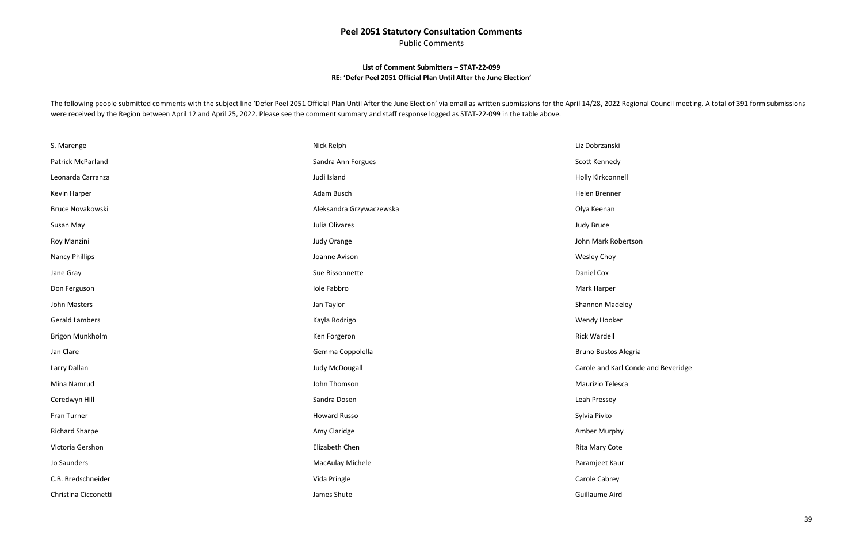Public Comments

### **List of Comment Submitters – STAT-22-099 RE: 'Defer Peel 2051 Official Plan Until After the June Election'**

<span id="page-38-0"></span>The following people submitted comments with the subject line 'Defer Peel 2051 Official Plan Until After the June Election' via email as written submissions for the April 14/28, 2022 Regional Council meeting. A total of 39 were received by the Region between April 12 and April 25, 2022. Please see the comment summary and staff response logged as STAT-22-099 in the table above.

| S. Marenge            | Nick Relph               | Liz Dobrzanski            |
|-----------------------|--------------------------|---------------------------|
| Patrick McParland     | Sandra Ann Forgues       | Scott Kennedy             |
| Leonarda Carranza     | Judi Island              | Holly Kirkconnell         |
| Kevin Harper          | Adam Busch               | Helen Brenner             |
| Bruce Novakowski      | Aleksandra Grzywaczewska | Olya Keenan               |
| Susan May             | Julia Olivares           | Judy Bruce                |
| Roy Manzini           | Judy Orange              | John Mark Roberts         |
| <b>Nancy Phillips</b> | Joanne Avison            | Wesley Choy               |
| Jane Gray             | Sue Bissonnette          | Daniel Cox                |
| Don Ferguson          | Iole Fabbro              | Mark Harper               |
| John Masters          | Jan Taylor               | Shannon Madeley           |
| <b>Gerald Lambers</b> | Kayla Rodrigo            | Wendy Hooker              |
| Brigon Munkholm       | Ken Forgeron             | <b>Rick Wardell</b>       |
| Jan Clare             | Gemma Coppolella         | <b>Bruno Bustos Alegi</b> |
| Larry Dallan          | Judy McDougall           | Carole and Karl Cor       |
| Mina Namrud           | John Thomson             | Maurizio Telesca          |
| Ceredwyn Hill         | Sandra Dosen             | Leah Pressey              |
| Fran Turner           | <b>Howard Russo</b>      | Sylvia Pivko              |
| <b>Richard Sharpe</b> | Amy Claridge             | Amber Murphy              |
| Victoria Gershon      | Elizabeth Chen           | Rita Mary Cote            |
| Jo Saunders           | MacAulay Michele         | Paramjeet Kaur            |
| C.B. Bredschneider    | Vida Pringle             | Carole Cabrey             |
| Christina Cicconetti  | James Shute              | Guillaume Aird            |

son

ria

onde and Beveridge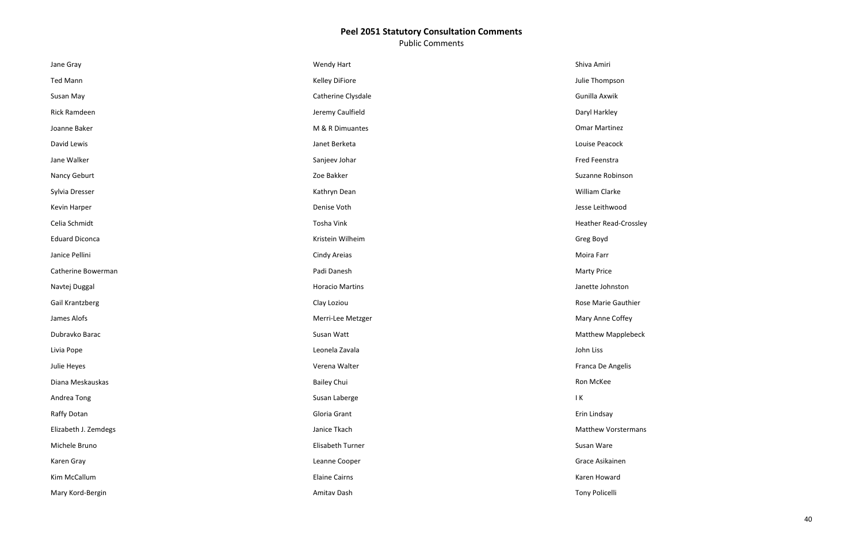Public Comments

| Jane Gray             | Wendy Hart             | Shiva Amiri                 |
|-----------------------|------------------------|-----------------------------|
| <b>Ted Mann</b>       | <b>Kelley DiFiore</b>  | Julie Thompson              |
| Susan May             | Catherine Clysdale     | Gunilla Axwik               |
| Rick Ramdeen          | Jeremy Caulfield       | Daryl Harkley               |
| Joanne Baker          | M & R Dimuantes        | <b>Omar Martinez</b>        |
| David Lewis           | Janet Berketa          | Louise Peacock              |
| Jane Walker           | Sanjeev Johar          | Fred Feenstra               |
| Nancy Geburt          | Zoe Bakker             | Suzanne Robinson            |
| Sylvia Dresser        | Kathryn Dean           | William Clarke              |
| Kevin Harper          | Denise Voth            | Jesse Leithwood             |
| Celia Schmidt         | Tosha Vink             | <b>Heather Read-Crossle</b> |
| <b>Eduard Diconca</b> | Kristein Wilheim       | Greg Boyd                   |
| Janice Pellini        | Cindy Areias           | Moira Farr                  |
| Catherine Bowerman    | Padi Danesh            | <b>Marty Price</b>          |
| Navtej Duggal         | <b>Horacio Martins</b> | Janette Johnston            |
| Gail Krantzberg       | Clay Loziou            | Rose Marie Gauthier         |
| James Alofs           | Merri-Lee Metzger      | Mary Anne Coffey            |
| Dubravko Barac        | Susan Watt             | <b>Matthew Mapplebeck</b>   |
| Livia Pope            | Leonela Zavala         | John Liss                   |
| Julie Heyes           | Verena Walter          | Franca De Angelis           |
| Diana Meskauskas      | <b>Bailey Chui</b>     | Ron McKee                   |
| Andrea Tong           | Susan Laberge          | $\mathsf{I}$ K              |
| Raffy Dotan           | Gloria Grant           | Erin Lindsay                |
| Elizabeth J. Zemdegs  | Janice Tkach           | Matthew Vorsterman          |
| Michele Bruno         | Elisabeth Turner       | Susan Ware                  |
| Karen Gray            | Leanne Cooper          | Grace Asikainen             |
| Kim McCallum          | <b>Elaine Cairns</b>   | Karen Howard                |
| Mary Kord-Bergin      | Amitav Dash            | <b>Tony Policelli</b>       |

ossley

beck

nans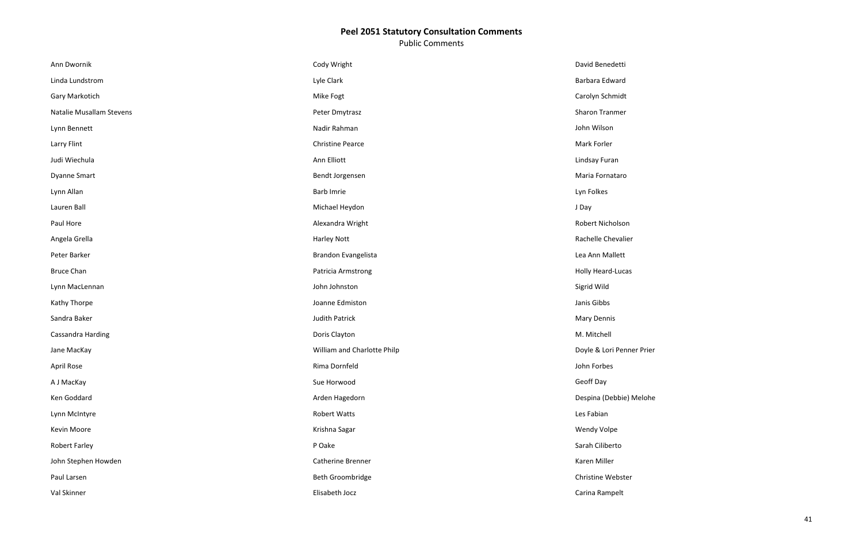Public Comments

| Ann Dwornik              | Cody Wright                 | David Benedetti       |
|--------------------------|-----------------------------|-----------------------|
| Linda Lundstrom          | Lyle Clark                  | Barbara Edward        |
| Gary Markotich           | Mike Fogt                   | Carolyn Schmidt       |
| Natalie Musallam Stevens | Peter Dmytrasz              | <b>Sharon Tranmer</b> |
| Lynn Bennett             | Nadir Rahman                | John Wilson           |
| Larry Flint              | <b>Christine Pearce</b>     | Mark Forler           |
| Judi Wiechula            | Ann Elliott                 | Lindsay Furan         |
| <b>Dyanne Smart</b>      | Bendt Jorgensen             | Maria Fornataro       |
| Lynn Allan               | <b>Barb Imrie</b>           | Lyn Folkes            |
| Lauren Ball              | Michael Heydon              | J Day                 |
| Paul Hore                | Alexandra Wright            | Robert Nicholson      |
| Angela Grella            | <b>Harley Nott</b>          | Rachelle Chevalier    |
| Peter Barker             | Brandon Evangelista         | Lea Ann Mallett       |
| <b>Bruce Chan</b>        | Patricia Armstrong          | Holly Heard-Lucas     |
| Lynn MacLennan           | John Johnston               | Sigrid Wild           |
| Kathy Thorpe             | Joanne Edmiston             | Janis Gibbs           |
| Sandra Baker             | <b>Judith Patrick</b>       | Mary Dennis           |
| Cassandra Harding        | Doris Clayton               | M. Mitchell           |
| Jane MacKay              | William and Charlotte Philp | Doyle & Lori Penne    |
| April Rose               | Rima Dornfeld               | John Forbes           |
| A J MacKay               | Sue Horwood                 | Geoff Day             |
| Ken Goddard              | Arden Hagedorn              | Despina (Debbie) N    |
| Lynn McIntyre            | <b>Robert Watts</b>         | Les Fabian            |
| Kevin Moore              | Krishna Sagar               | Wendy Volpe           |
| <b>Robert Farley</b>     | P Oake                      | Sarah Ciliberto       |
| John Stephen Howden      | Catherine Brenner           | Karen Miller          |
| Paul Larsen              | Beth Groombridge            | Christine Webster     |
| Val Skinner              | Elisabeth Jocz              | Carina Rampelt        |

ner Prier

Melohe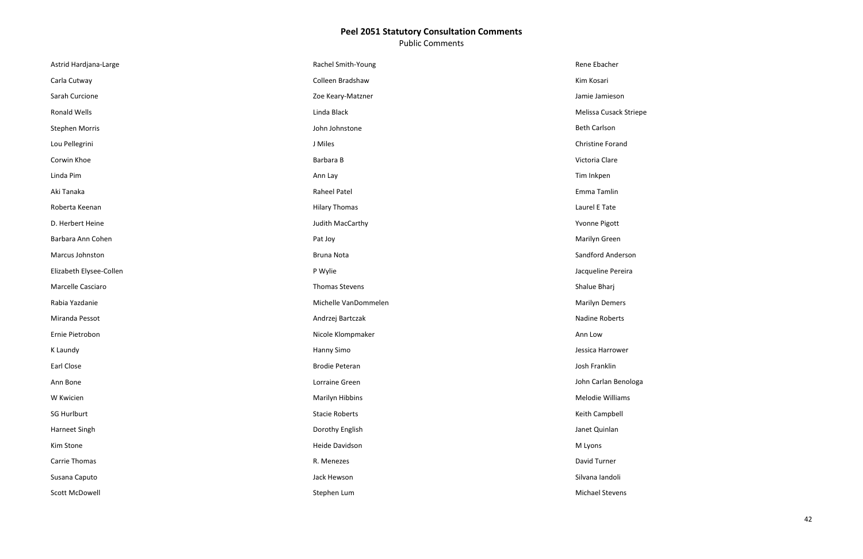Public Comments

| Astrid Hardjana-Large   | Rachel Smith-Young    | Rene Ebacher          |
|-------------------------|-----------------------|-----------------------|
| Carla Cutway            | Colleen Bradshaw      | Kim Kosari            |
| Sarah Curcione          | Zoe Keary-Matzner     | Jamie Jamieson        |
| Ronald Wells            | Linda Black           | Melissa Cusack Stri   |
| <b>Stephen Morris</b>   | John Johnstone        | <b>Beth Carlson</b>   |
| Lou Pellegrini          | J Miles               | Christine Forand      |
| Corwin Khoe             | Barbara B             | Victoria Clare        |
| Linda Pim               | Ann Lay               | Tim Inkpen            |
| Aki Tanaka              | <b>Raheel Patel</b>   | Emma Tamlin           |
| Roberta Keenan          | <b>Hilary Thomas</b>  | Laurel E Tate         |
| D. Herbert Heine        | Judith MacCarthy      | Yvonne Pigott         |
| Barbara Ann Cohen       | Pat Joy               | Marilyn Green         |
| Marcus Johnston         | <b>Bruna Nota</b>     | Sandford Anderson     |
| Elizabeth Elysee-Collen | P Wylie               | Jacqueline Pereira    |
| Marcelle Casciaro       | Thomas Stevens        | Shalue Bharj          |
| Rabia Yazdanie          | Michelle VanDommelen  | <b>Marilyn Demers</b> |
| Miranda Pessot          | Andrzej Bartczak      | Nadine Roberts        |
| Ernie Pietrobon         | Nicole Klompmaker     | Ann Low               |
| K Laundy                | Hanny Simo            | Jessica Harrower      |
| Earl Close              | <b>Brodie Peteran</b> | Josh Franklin         |
| Ann Bone                | Lorraine Green        | John Carlan Benolo    |
| W Kwicien               | Marilyn Hibbins       | Melodie Williams      |
| <b>SG Hurlburt</b>      | <b>Stacie Roberts</b> | Keith Campbell        |
| Harneet Singh           | Dorothy English       | Janet Quinlan         |
| Kim Stone               | Heide Davidson        | M Lyons               |
| Carrie Thomas           | R. Menezes            | David Turner          |
| Susana Caputo           | Jack Hewson           | Silvana landoli       |
| Scott McDowell          | Stephen Lum           | Michael Stevens       |

riepe

oga